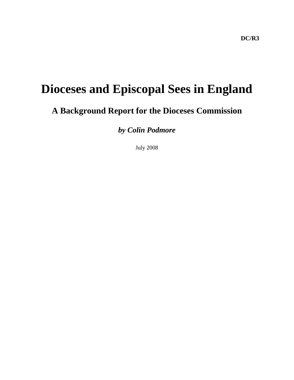# **Dioceses and Episcopal Sees in England**

## **A Background Report for the Dioceses Commission**

*by Colin Podmore* 

July 2008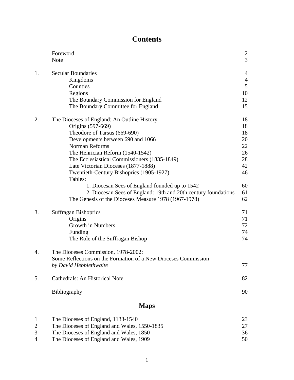## **Contents**

|    | Foreword                                                       | $\overline{c}$ |
|----|----------------------------------------------------------------|----------------|
|    | <b>Note</b>                                                    | $\overline{3}$ |
| 1. | <b>Secular Boundaries</b>                                      | $\overline{4}$ |
|    | Kingdoms                                                       | $\overline{4}$ |
|    | Counties                                                       | 5              |
|    | Regions                                                        | 10             |
|    | The Boundary Commission for England                            | 12             |
|    | The Boundary Committee for England                             | 15             |
| 2. | The Dioceses of England: An Outline History                    | 18             |
|    | Origins (597-669)                                              | 18             |
|    | Theodore of Tarsus (669-690)                                   | 18             |
|    | Developments between 690 and 1066                              | 20             |
|    | Norman Reforms                                                 | 22             |
|    | The Henrician Reform (1540-1542)                               | 26             |
|    | The Ecclesiastical Commissioners (1835-1849)                   | 28             |
|    | Late Victorian Dioceses (1877-1888)                            | 42             |
|    | Twentieth-Century Bishoprics (1905-1927)                       | 46             |
|    | Tables:                                                        |                |
|    | 1. Diocesan Sees of England founded up to 1542                 | 60             |
|    | 2. Diocesan Sees of England: 19th and 20th century foundations | 61             |
|    | The Genesis of the Dioceses Measure 1978 (1967-1978)           | 62             |
| 3. | <b>Suffragan Bishoprics</b>                                    | 71             |
|    | Origins                                                        | 71             |
|    | Growth in Numbers                                              | 72             |
|    | Funding                                                        | 74             |
|    | The Role of the Suffragan Bishop                               | 74             |
| 4. | The Dioceses Commission, 1978-2002:                            |                |
|    | Some Reflections on the Formation of a New Dioceses Commission |                |
|    | by David Hebblethwaite                                         | 77             |
| 5. | <b>Cathedrals: An Historical Note</b>                          | 82             |
|    | Bibliography                                                   | 90             |
|    | <b>Maps</b>                                                    |                |
|    |                                                                |                |

|   | The Dioceses of England, 1133-1540           |    |
|---|----------------------------------------------|----|
|   | The Dioceses of England and Wales, 1550-1835 |    |
| 3 | The Dioceses of England and Wales, 1850      | 36 |
| 4 | The Dioceses of England and Wales, 1909      | 50 |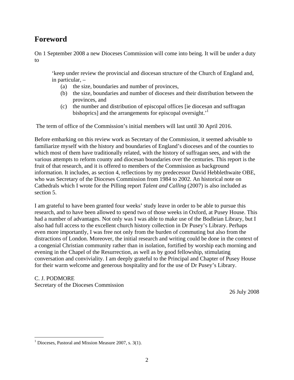## **Foreword**

On 1 September 2008 a new Dioceses Commission will come into being. It will be under a duty to

'keep under review the provincial and diocesan structure of the Church of England and, in particular, –

- (a) the size, boundaries and number of provinces,
- (b) the size, boundaries and number of dioceses and their distribution between the provinces, and
- (c) the number and distribution of episcopal offices [ie diocesan and suffragan bishoprics] and the arrangements for episcopal oversight.<sup>'1</sup>

The term of office of the Commission's initial members will last until 30 April 2016.

Before embarking on this review work as Secretary of the Commission, it seemed advisable to familiarize myself with the history and boundaries of England's dioceses and of the counties to which most of them have traditionally related, with the history of suffragan sees, and with the various attempts to reform county and diocesan boundaries over the centuries. This report is the fruit of that research, and it is offered to members of the Commission as background information. It includes, as section 4, reflections by my predecessor David Hebblethwaite OBE, who was Secretary of the Dioceses Commission from 1984 to 2002. An historical note on Cathedrals which I wrote for the Pilling report *Talent and Calling* (2007) is also included as section 5.

I am grateful to have been granted four weeks' study leave in order to be able to pursue this research, and to have been allowed to spend two of those weeks in Oxford, at Pusey House. This had a number of advantages. Not only was I was able to make use of the Bodleian Library, but I also had full access to the excellent church history collection in Dr Pusey's Library. Perhaps even more importantly, I was free not only from the burden of commuting but also from the distractions of London. Moreover, the initial research and writing could be done in the context of a congenial Christian community rather than in isolation, fortified by worship each morning and evening in the Chapel of the Resurrection, as well as by good fellowship, stimulating conversation and conviviality. I am deeply grateful to the Principal and Chapter of Pusey House for their warm welcome and generous hospitality and for the use of Dr Pusey's Library.

#### C. J. PODMORE

 $\overline{a}$ 

Secretary of the Dioceses Commission

26 July 2008

<sup>&</sup>lt;sup>1</sup> Dioceses, Pastoral and Mission Measure 2007, s. 3(1).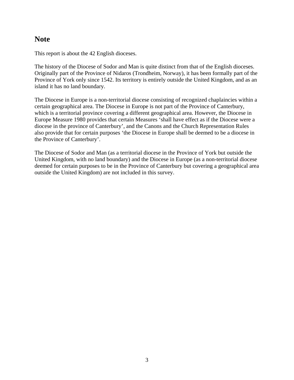### **Note**

This report is about the 42 English dioceses.

The history of the Diocese of Sodor and Man is quite distinct from that of the English dioceses. Originally part of the Province of Nidaros (Trondheim, Norway), it has been formally part of the Province of York only since 1542. Its territory is entirely outside the United Kingdom, and as an island it has no land boundary.

The Diocese in Europe is a non-territorial diocese consisting of recognized chaplaincies within a certain geographical area. The Diocese in Europe is not part of the Province of Canterbury, which is a territorial province covering a different geographical area. However, the Diocese in Europe Measure 1980 provides that certain Measures 'shall have effect as if the Diocese were a diocese in the province of Canterbury', and the Canons and the Church Representation Rules also provide that for certain purposes 'the Diocese in Europe shall be deemed to be a diocese in the Province of Canterbury'.

The Diocese of Sodor and Man (as a territorial diocese in the Province of York but outside the United Kingdom, with no land boundary) and the Diocese in Europe (as a non-territorial diocese deemed for certain purposes to be in the Province of Canterbury but covering a geographical area outside the United Kingdom) are not included in this survey.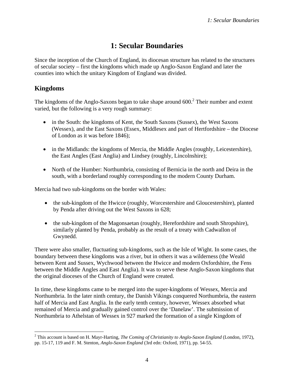## **1: Secular Boundaries**

Since the inception of the Church of England, its diocesan structure has related to the structures of secular society – first the kingdoms which made up Anglo-Saxon England and later the counties into which the unitary Kingdom of England was divided.

### **Kingdoms**

1

The kingdoms of the Anglo-Saxons began to take shape around  $600<sup>2</sup>$  Their number and extent varied, but the following is a very rough summary:

- in the South: the kingdoms of Kent, the South Saxons (Sussex), the West Saxons (Wessex), and the East Saxons (Essex, Middlesex and part of Hertfordshire – the Diocese of London as it was before 1846);
- in the Midlands: the kingdoms of Mercia, the Middle Angles (roughly, Leicestershire), the East Angles (East Anglia) and Lindsey (roughly, Lincolnshire);
- North of the Humber: Northumbria, consisting of Bernicia in the north and Deira in the south, with a borderland roughly corresponding to the modern County Durham.

Mercia had two sub-kingdoms on the border with Wales:

- the sub-kingdom of the Hwicce (roughly, Worcestershire and Gloucestershire), planted by Penda after driving out the West Saxons in 628;
- the sub-kingdom of the Magonsaetan (roughly, Herefordshire and south Shropshire), similarly planted by Penda, probably as the result of a treaty with Cadwallon of Gwynedd.

There were also smaller, fluctuating sub-kingdoms, such as the Isle of Wight. In some cases, the boundary between these kingdoms was a river, but in others it was a wilderness (the Weald between Kent and Sussex, Wychwood between the Hwicce and modern Oxfordshire, the Fens between the Middle Angles and East Anglia). It was to serve these Anglo-Saxon kingdoms that the original dioceses of the Church of England were created.

In time, these kingdoms came to be merged into the super-kingdoms of Wessex, Mercia and Northumbria. In the later ninth century, the Danish Vikings conquered Northumbria, the eastern half of Mercia and East Anglia. In the early tenth century, however, Wessex absorbed what remained of Mercia and gradually gained control over the 'Danelaw'. The submission of Northumbria to Athelstan of Wessex in 927 marked the formation of a single Kingdom of

<sup>2</sup> This account is based on H. Mayr-Harting, *The Coming of Christianity to Anglo-Saxon England* (London, 1972), pp. 15-17, 119 and F. M. Stenton, *Anglo-Saxon England* (3rd edn: Oxford, 1971), pp. 54-55.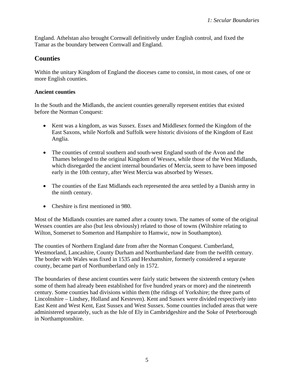England. Athelstan also brought Cornwall definitively under English control, and fixed the Tamar as the boundary between Cornwall and England.

### **Counties**

Within the unitary Kingdom of England the dioceses came to consist, in most cases, of one or more English counties.

### **Ancient counties**

In the South and the Midlands, the ancient counties generally represent entities that existed before the Norman Conquest:

- Kent was a kingdom, as was Sussex. Essex and Middlesex formed the Kingdom of the East Saxons, while Norfolk and Suffolk were historic divisions of the Kingdom of East Anglia.
- The counties of central southern and south-west England south of the Avon and the Thames belonged to the original Kingdom of Wessex, while those of the West Midlands, which disregarded the ancient internal boundaries of Mercia, seem to have been imposed early in the 10th century, after West Mercia was absorbed by Wessex.
- The counties of the East Midlands each represented the area settled by a Danish army in the ninth century.
- Cheshire is first mentioned in 980.

Most of the Midlands counties are named after a county town. The names of some of the original Wessex counties are also (but less obviously) related to those of towns (Wiltshire relating to Wilton, Somerset to Somerton and Hampshire to Hamwic, now in Southampton).

The counties of Northern England date from after the Norman Conquest. Cumberland, Westmorland, Lancashire, County Durham and Northumberland date from the twelfth century. The border with Wales was fixed in 1535 and Hexhamshire, formerly considered a separate county, became part of Northumberland only in 1572.

The boundaries of these ancient counties were fairly static between the sixteenth century (when some of them had already been established for five hundred years or more) and the nineteenth century. Some counties had divisions within them (the ridings of Yorkshire; the three parts of Lincolnshire – Lindsey, Holland and Kesteven). Kent and Sussex were divided respectively into East Kent and West Kent, East Sussex and West Sussex. Some counties included areas that were administered separately, such as the Isle of Ely in Cambridgeshire and the Soke of Peterborough in Northamptonshire.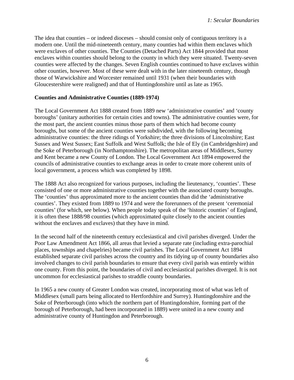The idea that counties – or indeed dioceses – should consist only of contiguous territory is a modern one. Until the mid-nineteenth century, many counties had within them enclaves which were exclaves of other counties. The Counties (Detached Parts) Act 1844 provided that most enclaves within counties should belong to the county in which they were situated. Twenty-seven counties were affected by the changes. Seven English counties continued to have exclaves within other counties, however. Most of these were dealt with in the later nineteenth century, though those of Warwickshire and Worcester remained until 1931 (when their boundaries with Gloucestershire were realigned) and that of Huntingdonshire until as late as 1965.

#### **Counties and Administrative Counties (1889-1974)**

The Local Government Act 1888 created from 1889 new 'administrative counties' and 'county boroughs' (unitary authorities for certain cities and towns). The administrative counties were, for the most part, the ancient counties minus those parts of them which had become county boroughs, but some of the ancient counties were subdivided, with the following becoming administrative counties: the three ridings of Yorkshire; the three divisions of Lincolnshire; East Sussex and West Sussex; East Suffolk and West Suffolk; the Isle of Ely (in Cambridgeshire) and the Soke of Peterborough (in Northamptonshire). The metropolitan areas of Middlesex, Surrey and Kent became a new County of London. The Local Government Act 1894 empowered the councils of administrative counties to exchange areas in order to create more coherent units of local government, a process which was completed by 1898.

The 1888 Act also recognized for various purposes, including the lieutenancy, 'counties'. These consisted of one or more administrative counties together with the associated county boroughs. The 'counties' thus approximated more to the ancient counties than did the 'administrative counties'. They existed from 1889 to 1974 and were the forerunners of the present 'ceremonial counties' (for which, see below). When people today speak of the 'historic counties' of England, it is often these 1888/98 counties (which approximated quite closely to the ancient counties without the enclaves and exclaves) that they have in mind.

In the second half of the nineteenth century ecclesiastical and civil parishes diverged. Under the Poor Law Amendment Act 1866, all areas that levied a separate rate (including extra-parochial places, townships and chapelries) became civil parishes. The Local Government Act 1894 established separate civil parishes across the country and its tidying up of county boundaries also involved changes to civil parish boundaries to ensure that every civil parish was entirely within one county. From this point, the boundaries of civil and ecclesiastical parishes diverged. It is not uncommon for ecclesiastical parishes to straddle county boundaries.

In 1965 a new county of Greater London was created, incorporating most of what was left of Middlesex (small parts being allocated to Hertfordshire and Surrey). Huntingdonshire and the Soke of Peterborough (into which the northern part of Huntingdonshire, forming part of the borough of Peterborough, had been incorporated in 1889) were united in a new county and administrative county of Huntingdon and Peterborough.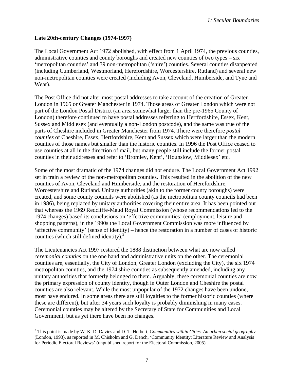#### **Late 20th-century Changes (1974-1997)**

 $\overline{a}$ 

The Local Government Act 1972 abolished, with effect from 1 April 1974, the previous counties, administrative counties and county boroughs and created new counties of two types – six 'metropolitan counties' and 39 non-metropolitan ('shire') counties. Several counties disappeared (including Cumberland, Westmorland, Herefordshire, Worcestershire, Rutland) and several new non-metropolitan counties were created (including Avon, Cleveland, Humberside, and Tyne and Wear).

The Post Office did not alter most postal addresses to take account of the creation of Greater London in 1965 or Greater Manchester in 1974. Those areas of Greater London which were not part of the London Postal District (an area somewhat larger than the pre-1965 County of London) therefore continued to have postal addresses referring to Hertfordshire, Essex, Kent, Sussex and Middlesex (and eventually a non-London postcode), and the same was true of the parts of Cheshire included in Greater Manchester from 1974. There were therefore *postal counties* of Cheshire, Essex, Hertfordshire, Kent and Sussex which were larger than the modern counties of those names but smaller than the historic counties. In 1996 the Post Office ceased to use counties at all in the direction of mail, but many people still include the former postal counties in their addresses and refer to 'Bromley, Kent', 'Hounslow, Middlesex' etc.

Some of the most dramatic of the 1974 changes did not endure. The Local Government Act 1992 set in train a review of the non-metropolitan counties. This resulted in the abolition of the new counties of Avon, Cleveland and Humberside, and the restoration of Herefordshire, Worcestershire and Rutland. Unitary authorities (akin to the former county boroughs) were created, and some county councils were abolished (as the metropolitan county councils had been in 1986), being replaced by unitary authorities covering their entire area. It has been pointed out that whereas the 1969 Redcliffe-Maud Royal Commission (whose recommendations led to the 1974 changes) based its conclusions on 'effective communities' (employment, leisure and shopping patterns), in the 1990s the Local Government Commission was more influenced by 'affective community' (sense of identity) – hence the restoration in a number of cases of historic counties (which still defined identity).<sup>3</sup>

The Lieutenancies Act 1997 restored the 1888 distinction between what are now called *ceremonial counties* on the one hand and administrative units on the other. The ceremonial counties are, essentially, the City of London, Greater London (excluding the City), the six 1974 metropolitan counties, and the 1974 shire counties as subsequently amended, including any unitary authorities that formerly belonged to them. Arguably, these ceremonial counties are now the primary expression of county identity, though in Outer London and Cheshire the postal counties are also relevant. While the most unpopular of the 1972 changes have been undone, most have endured. In some areas there are still loyalties to the former historic counties (where these are different), but after 34 years such loyalty is probably diminishing in many cases. Ceremonial counties may be altered by the Secretary of State for Communities and Local Government, but as yet there have been no changes.

<sup>3</sup> This point is made by W. K. D. Davies and D. T. Herbert, *Communities within Cities. An urban social geography* (London, 1993), as reported in M. Chisholm and G. Dench, 'Community Identity: Literature Review and Analysis for Periodic Electoral Reviews' (unpublished report for the Electoral Commission, 2005).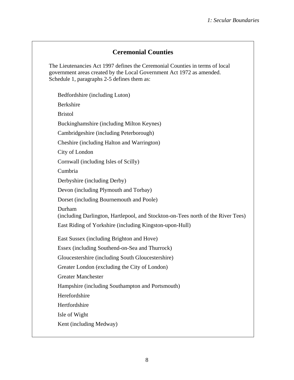### **Ceremonial Counties**

The Lieutenancies Act 1997 defines the Ceremonial Counties in terms of local government areas created by the Local Government Act 1972 as amended. Schedule 1, paragraphs 2-5 defines them as:

Bedfordshire (including Luton)

Berkshire

Bristol

Buckinghamshire (including Milton Keynes)

Cambridgeshire (including Peterborough)

Cheshire (including Halton and Warrington)

City of London

Cornwall (including Isles of Scilly)

Cumbria

Derbyshire (including Derby)

Devon (including Plymouth and Torbay)

Dorset (including Bournemouth and Poole)

Durham

(including Darlington, Hartlepool, and Stockton-on-Tees north of the River Tees)

East Riding of Yorkshire (including Kingston-upon-Hull)

East Sussex (including Brighton and Hove)

Essex (including Southend-on-Sea and Thurrock)

Gloucestershire (including South Gloucestershire)

Greater London (excluding the City of London)

Greater Manchester

Hampshire (including Southampton and Portsmouth)

Herefordshire

Hertfordshire

Isle of Wight

Kent (including Medway)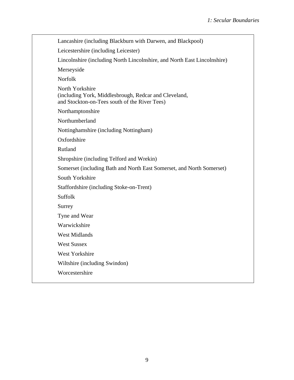| Lancashire (including Blackburn with Darwen, and Blackpool)                                                               |
|---------------------------------------------------------------------------------------------------------------------------|
| Leicestershire (including Leicester)                                                                                      |
| Lincolnshire (including North Lincolnshire, and North East Lincolnshire)                                                  |
| Merseyside                                                                                                                |
| Norfolk                                                                                                                   |
| North Yorkshire<br>(including York, Middlesbrough, Redcar and Cleveland,<br>and Stockton-on-Tees south of the River Tees) |
| Northamptonshire                                                                                                          |
| Northumberland                                                                                                            |
| Nottinghamshire (including Nottingham)                                                                                    |
| Oxfordshire                                                                                                               |
| Rutland                                                                                                                   |
| Shropshire (including Telford and Wrekin)                                                                                 |
| Somerset (including Bath and North East Somerset, and North Somerset)                                                     |
| South Yorkshire                                                                                                           |
| Staffordshire (including Stoke-on-Trent)                                                                                  |
| Suffolk                                                                                                                   |
| Surrey                                                                                                                    |
| Tyne and Wear                                                                                                             |
| Warwickshire                                                                                                              |
| <b>West Midlands</b>                                                                                                      |
| <b>West Sussex</b>                                                                                                        |
| <b>West Yorkshire</b>                                                                                                     |
| Wiltshire (including Swindon)                                                                                             |
| Worcestershire                                                                                                            |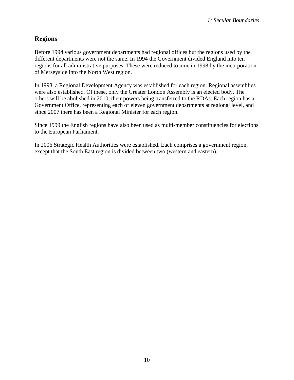### **Regions**

Before 1994 various government departments had regional offices but the regions used by the different departments were not the same. In 1994 the Government divided England into ten regions for all administrative purposes. These were reduced to nine in 1998 by the incorporation of Merseyside into the North West region.

In 1998, a Regional Development Agency was established for each region. Regional assemblies were also established. Of these, only the Greater London Assembly is an elected body. The others will be abolished in 2010, their powers being transferred to the RDAs. Each region has a Government Office, representing each of eleven government departments at regional level, and since 2007 there has been a Regional Minister for each region.

Since 1999 the English regions have also been used as multi-member constituencies for elections to the European Parliament.

In 2006 Strategic Health Authorities were established. Each comprises a government region, except that the South East region is divided between two (western and eastern).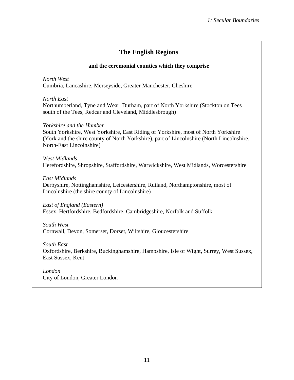### **The English Regions**

### **and the ceremonial counties which they comprise**

*North West*  Cumbria, Lancashire, Merseyside, Greater Manchester, Cheshire

*North East*  Northumberland, Tyne and Wear, Durham, part of North Yorkshire (Stockton on Tees south of the Tees, Redcar and Cleveland, Middlesbrough)

*Yorkshire and the Humber*  South Yorkshire, West Yorkshire, East Riding of Yorkshire, most of North Yorkshire (York and the shire county of North Yorkshire), part of Lincolnshire (North Lincolnshire, North-East Lincolnshire)

*West Midlands*  Herefordshire, Shropshire, Staffordshire, Warwickshire, West Midlands, Worcestershire

*East Midlands* Derbyshire, Nottinghamshire, Leicestershire, Rutland, Northamptonshire, most of Lincolnshire (the shire county of Lincolnshire)

*East of England (Eastern)* Essex, Hertfordshire, Bedfordshire, Cambridgeshire, Norfolk and Suffolk

*South West*  Cornwall, Devon, Somerset, Dorset, Wiltshire, Gloucestershire

*South East*  Oxfordshire, Berkshire, Buckinghamshire, Hampshire, Isle of Wight, Surrey, West Sussex, East Sussex, Kent

*London*  City of London, Greater London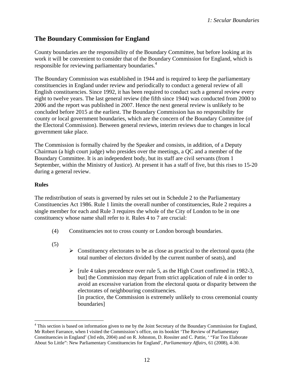### **The Boundary Commission for England**

County boundaries are the responsibility of the Boundary Committee, but before looking at its work it will be convenient to consider that of the Boundary Commission for England, which is responsible for reviewing parliamentary boundaries.<sup>4</sup>

The Boundary Commission was established in 1944 and is required to keep the parliamentary constituencies in England under review and periodically to conduct a general review of all English constituencies. Since 1992, it has been required to conduct such a general review every eight to twelve years. The last general review (the fifth since 1944) was conducted from 2000 to 2006 and the report was published in 2007. Hence the next general review is unlikely to be concluded before 2015 at the earliest. The Boundary Commission has no responsibility for county or local government boundaries, which are the concern of the Boundary Committee (of the Electoral Commission). Between general reviews, interim reviews due to changes in local government take place.

The Commission is formally chaired by the Speaker and consists, in addition, of a Deputy Chairman (a high court judge) who presides over the meetings, a QC and a member of the Boundary Committee. It is an independent body, but its staff are civil servants (from 1 September, within the Ministry of Justice). At present it has a staff of five, but this rises to 15-20 during a general review.

### **Rules**

 $\overline{a}$ 

The redistribution of seats is governed by rules set out in Schedule 2 to the Parliamentary Constituencies Act 1986. Rule 1 limits the overall number of constituencies, Rule 2 requires a single member for each and Rule 3 requires the whole of the City of London to be in one constituency whose name shall refer to it. Rules 4 to 7 are crucial:

- (4) Constituencies not to cross county or London borough boundaries.
- (5)
- $\triangleright$  Constituency electorates to be as close as practical to the electoral quota (the total number of electors divided by the current number of seats), and
- $\triangleright$  [rule 4 takes precedence over rule 5, as the High Court confirmed in 1982-3, but] the Commission may depart from strict application of rule 4 in order to avoid an excessive variation from the electoral quota or disparity between the electorates of neighbouring constituencies. [in practice, the Commission is extremely unlikely to cross ceremonial county boundaries]

<sup>&</sup>lt;sup>4</sup> This section is based on information given to me by the Joint Secretary of the Boundary Commission for England, Mr Robert Farrance, when I visited the Commission's office, on its booklet 'The Review of Parliamentary Constituencies in England' (3rd edn, 2004) and on R. Johnston, D. Rossiter and C. Pattie, ' "Far Too Elaborate About So Little": New Parliamentary Constituencies for England', *Parliamentary Affairs*, 61 (2008), 4-30.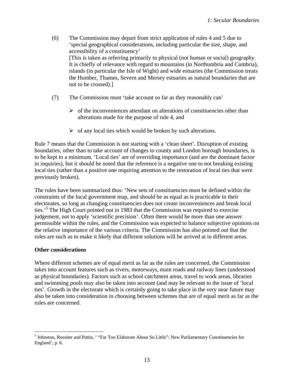- (6) The Commission may depart from strict application of rules 4 and 5 due to 'special geographical considerations, including particular the size, shape, and accessibility of a constituency' [This is taken as referring primarily to physical (not human or social) geography. It is chiefly of relevance with regard to mountains (in Northumbria and Cumbria), islands (in particular the Isle of Wight) and wide estuaries (the Commission treats the Humber, Thames, Severn and Mersey estuaries as natural boundaries that are not to be crossed).]
- (7) The Commission must 'take account so far as they reasonably can'
	- $\triangleright$  of the inconveniences attendant on alterations of constituencies other than alterations made for the purpose of rule 4, and
	- $\triangleright$  of any local ties which would be broken by such alterations.

Rule 7 means that the Commission is not starting with a 'clean sheet'. Disruption of existing boundaries, other than to take account of changes to county and London borough boundaries, is to be kept to a minimum. 'Local ties' are of overriding importance (and are the dominant factor in inquiries), but it should be noted that the reference is a negative one to not breaking existing local ties (rather than a positive one requiring attention to the restoration of local ties that were previously broken).

The rules have been summarized thus: 'New sets of constituencies must be defined within the constraints of the local government map, and should be as equal as is practicable in their electorates, so long as changing constituencies does not create inconveniences and break local ties.<sup>5</sup> The High Court pointed out in 1983 that the Commission was required to exercise judgement, not to apply 'scientific precision'. Often there would be more than one answer permissible within the rules, and the Commission was expected to balance subjective opinions on the relative importance of the various criteria. The Commission has also pointed out that the rules are such as to make it likely that different solutions will be arrived at in different areas.

#### **Other considerations**

1

Where different schemes are of equal merit as far as the rules are concerned, the Commission takes into account features such as rivers, motorways, main roads and railway lines (understood as physical boundaries). Factors such as school catchment areas, travel to work areas, libraries and swimming pools may also be taken into account (and may be relevant to the issue of 'local ties'. Growth in the electorate which is certainly going to take place in the very near future may also be taken into consideration in choosing between schemes that are of equal merit as far as the rules are concerned.

<sup>&</sup>lt;sup>5</sup> Johnston, Rossiter and Pattie, ' "Far Too Elaborate About So Little": New Parliamentary Constituencies for England', p. 6.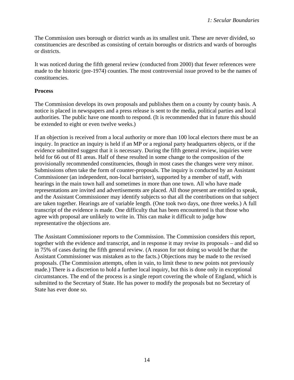The Commission uses borough or district wards as its smallest unit. These are never divided, so constituencies are described as consisting of certain boroughs or districts and wards of boroughs or districts.

It was noticed during the fifth general review (conducted from 2000) that fewer references were made to the historic (pre-1974) counties. The most controversial issue proved to be the names of constituencies.

#### **Process**

The Commission develops its own proposals and publishes them on a county by county basis. A notice is placed in newspapers and a press release is sent to the media, political parties and local authorities. The public have one month to respond. (It is recommended that in future this should be extended to eight or even twelve weeks.)

If an objection is received from a local authority or more than 100 local electors there must be an inquiry. In practice an inquiry is held if an MP or a regional party headquarters objects, or if the evidence submitted suggest that it is necessary. During the fifth general review, inquiries were held for 66 out of 81 areas. Half of these resulted in some change to the composition of the provisionally recommended constituencies, though in most cases the changes were very minor. Submissions often take the form of counter-proposals. The inquiry is conducted by an Assistant Commissioner (an independent, non-local barrister), supported by a member of staff, with hearings in the main town hall and sometimes in more than one town. All who have made representations are invited and advertisements are placed. All those present are entitled to speak, and the Assistant Commissioner may identify subjects so that all the contributions on that subject are taken together. Hearings are of variable length. (One took two days, one three weeks.) A full transcript of the evidence is made. One difficulty that has been encountered is that those who agree with proposal are unlikely to write in. This can make it difficult to judge how representative the objections are.

The Assistant Commissioner reports to the Commission. The Commission considers this report, together with the evidence and transcript, and in response it may revise its proposals – and did so in 75% of cases during the fifth general review. (A reason for not doing so would be that the Assistant Commissioner was mistaken as to the facts.) Objections may be made to the revised proposals. (The Commission attempts, often in vain, to limit these to new points not previously made.) There is a discretion to hold a further local inquiry, but this is done only in exceptional circumstances. The end of the process is a single report covering the whole of England, which is submitted to the Secretary of State. He has power to modify the proposals but no Secretary of State has ever done so.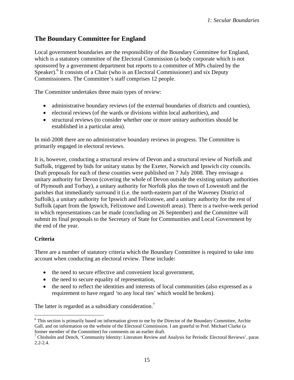### **The Boundary Committee for England**

Local government boundaries are the responsibility of the Boundary Committee for England, which is a statutory committee of the Electoral Commission (a body corporate which is not sponsored by a government department but reports to a committee of MPs chaired by the Speaker).<sup>6</sup> It consists of a Chair (who is an Electoral Commissioner) and six Deputy Commissioners. The Committee's staff comprises 12 people.

The Committee undertakes three main types of review:

- administrative boundary reviews (of the external boundaries of districts and counties),
- electoral reviews (of the wards or divisions within local authorities), and
- structural reviews (to consider whether one or more unitary authorities should be established in a particular area).

In mid-2008 there are no administrative boundary reviews in progress. The Committee is primarily engaged in electoral reviews.

It is, however, conducting a structural review of Devon and a structural review of Norfolk and Suffolk, triggered by bids for unitary status by the Exeter, Norwich and Ipswich city councils. Draft proposals for each of these counties were published on 7 July 2008. They envisage a unitary authority for Devon (covering the whole of Devon outside the existing unitary authorities of Plymouth and Torbay), a unitary authority for Norfolk plus the town of Lowestoft and the parishes that immediately surround it (i.e. the north-eastern part of the Waveney District of Suffolk), a unitary authority for Ipswich and Felixstowe, and a unitary authority for the rest of Suffolk (apart from the Ipswich, Felixstowe and Lowestoft areas). There is a twelve-week period in which representations can be made (concluding on 26 September) and the Committee will submit its final proposals to the Secretary of State for Communities and Local Government by the end of the year.

#### **Criteria**

There are a number of statutory criteria which the Boundary Committee is required to take into account when conducting an electoral review. These include:

- the need to secure effective and convenient local government,
- the need to secure equality of representation,
- the need to reflect the identities and interests of local communities (also expressed as a requirement to have regard 'to any local ties' which would be broken).

The latter is regarded as a subsidiary consideration.<sup>7</sup>

 $\overline{a}$ <sup>6</sup> This section is primarily based on information given to me by the Director of the Boundary Committee, Archie Gall, and on information on the website of the Electoral Commission. I am grateful to Prof. Michael Clarke (a former member of the Committee) for comments on an earlier draft.

 $^7$  Chisholm and Dench, 'Community Identity: Literature Review and Analysis for Periodic Electoral Reviews', paras 2.2-2.4.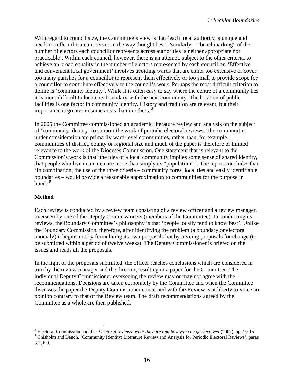With regard to council size, the Committee's view is that 'each local authority is unique and needs to reflect the area it serves in the way thought best'. Similarly, ' "benchmarking" of the number of electors each councillor represents across authorities is neither appropriate nor practicable'. Within each council, however, there is an attempt, subject to the other criteria, to achieve an broad equality in the number of electors represented by each councillor. 'Effective and convenient local government' involves avoiding wards that are either too extensive or cover too many parishes for a councillor to represent them effectively or too small to provide scope for a councillor to contribute effectively to the council's work. Perhaps the most difficult criterion to define is 'community identity'. While it is often easy to say where the centre of a community lies it is more difficult to locate its boundary with the next community. The location of public facilities is one factor in community identity. History and tradition are relevant, but their importance is greater in some areas than in others. 8

In 2005 the Committee commissioned an academic literature review and analysis on the subject of 'community identity' to support the work of periodic electoral reviews. The communities under consideration are primarily ward-level communities, rather than, for example, communities of district, county or regional size and much of the paper is therefore of limited relevance to the work of the Dioceses Commission. One statement that is relevant to the Commission's work is that 'the idea of a local community implies some sense of shared identity, that people who live in an area are more than simply its "population" '. The report concludes that 'In combination, the use of the three criteria – community cores, local ties and easily identifiable boundaries – would provide a reasonable approximation to communities for the purpose in hand.'9

#### **Method**

1

Each review is conducted by a review team consisting of a review officer and a review manager, overseen by one of the Deputy Commissioners (members of the Committee). In conducting its reviews, the Boundary Committee's philosophy is that 'people locally tend to know best'. Unlike the Boundary Commission, therefore, after identifying the problem (a boundary or electoral anomaly) it begins not by formulating its own proposals but by inviting proposals for change (to be submitted within a period of twelve weeks). The Deputy Commissioner is briefed on the issues and reads all the proposals.

In the light of the proposals submitted, the officer reaches conclusions which are considered in turn by the review manager and the director, resulting in a paper for the Committee. The individual Deputy Commissioner overseeing the review may or may not agree with the recommendations. Decisions are taken corporately by the Committee and when the Committee discusses the paper the Deputy Commissioner concerned with the Review is at liberty to voice an opinion contrary to that of the Review team. The draft recommendations agreed by the Committee as a whole are then published.

<sup>&</sup>lt;sup>8</sup> Electoral Commission booklet: *Electoral reviews: what they are and how you can get involved* (2007), pp. 10-15.<br><sup>9</sup> Chichalm and Danah, 'Community Identity: Literature Peyiew and Anglycis for Periodic Electoral Peyiew

Chisholm and Dench, 'Community Identity: Literature Review and Analysis for Periodic Electoral Reviews', paras 3.2, 6.9.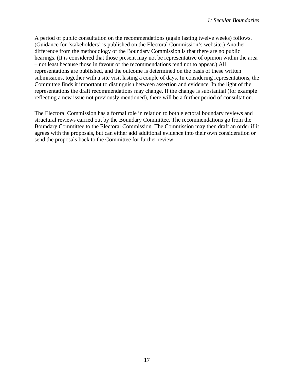A period of public consultation on the recommendations (again lasting twelve weeks) follows. (Guidance for 'stakeholders' is published on the Electoral Commission's website.) Another difference from the methodology of the Boundary Commission is that there are no public hearings. (It is considered that those present may not be representative of opinion within the area – not least because those in favour of the recommendations tend not to appear.) All representations are published, and the outcome is determined on the basis of these written submissions, together with a site visit lasting a couple of days. In considering representations, the Committee finds it important to distinguish between assertion and evidence. In the light of the representations the draft recommendations may change. If the change is substantial (for example reflecting a new issue not previously mentioned), there will be a further period of consultation.

The Electoral Commission has a formal role in relation to both electoral boundary reviews and structural reviews carried out by the Boundary Committee. The recommendations go from the Boundary Committee to the Electoral Commission. The Commission may then draft an order if it agrees with the proposals, but can either add additional evidence into their own consideration or send the proposals back to the Committee for further review.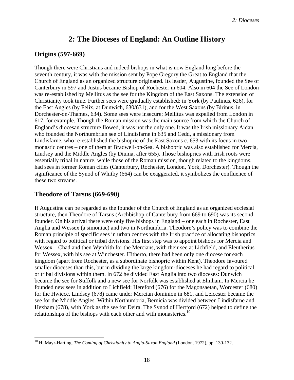### **2: The Dioceses of England: An Outline History**

### **Origins (597-669)**

Though there were Christians and indeed bishops in what is now England long before the seventh century, it was with the mission sent by Pope Gregory the Great to England that the Church of England as an organized structure originated. Its leader, Augustine, founded the See of Canterbury in 597 and Justus became Bishop of Rochester in 604. Also in 604 the See of London was re-established by Mellitus as the see for the Kingdom of the East Saxons. The extension of Christianity took time. Further sees were gradually established: in York (by Paulinus, 626), for the East Angles (by Felix, at Dunwich, 630/631), and for the West Saxons (by Birinus, in Dorchester-on-Thames, 634). Some sees were insecure; Mellitus was expelled from London in 617, for example. Though the Roman mission was the main source from which the Church of England's diocesan structure flowed, it was not the only one. It was the Irish missionary Aidan who founded the Northumbrian see of Lindisfarne in 635 and Cedd, a missionary from Lindisfarne, who re-established the bishopric of the East Saxons c. 653 with its focus in two monastic centres – one of them at Bradwell-on-Sea. A bishopric was also established for Mercia, Lindsey and the Middle Angles (by Diuma, after 655). Those bishoprics with Irish roots were essentially tribal in nature, while those of the Roman mission, though related to the kingdoms, had sees in former Roman cities (Canterbury, Rochester, London, York, Dorchester). Though the significance of the Synod of Whitby (664) can be exaggerated, it symbolizes the confluence of these two streams.

### **Theodore of Tarsus (669-690)**

<u>.</u>

If Augustine can be regarded as the founder of the Church of England as an organized ecclesial structure, then Theodore of Tarsus (Archbishop of Canterbury from 669 to 690) was its second founder. On his arrival there were only five bishops in England – one each in Rochester, East Anglia and Wessex (a simoniac) and two in Northumbria. Theodore's policy was to combine the Roman principle of specific sees in urban centres with the Irish practice of allocating bishoprics with regard to political or tribal divisions. His first step was to appoint bishops for Mercia and Wessex – Chad and then Wynfrith for the Mercians, with their see at Lichfield, and Eleutherius for Wessex, with his see at Winchester. Hitherto, there had been only one diocese for each kingdom (apart from Rochester, as a subordinate bishopric within Kent). Theodore favoured smaller dioceses than this, but in dividing the large kingdom-dioceses he had regard to political or tribal divisions within them. In 672 he divided East Anglia into two dioceses: Dunwich became the see for Suffolk and a new see for Norfolk was established at Elmham. In Mercia he founded new sees in addition to Lichfield: Hereford (676) for the Magonsaetan, Worcester (680) for the Hwicce. Lindsey (678) came under Mercian dominion in 681, and Leicester became the see for the Middle Angles. Within Northumbria, Bernicia was divided between Lindisfarne and Hexham (678), with York as the see for Deira. The Synod of Hertford (672) helped to define the relationships of the bishops with each other and with monasteries.<sup>10</sup>

<sup>10</sup> H. Mayr-Harting, *The Coming of Christianity to Anglo-Saxon England* (London, 1972), pp. 130-132.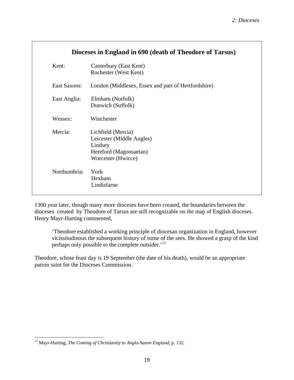| Dioceses in England in 690 (death of Theodore of Tarsus) |                                                                                                            |  |  |  |
|----------------------------------------------------------|------------------------------------------------------------------------------------------------------------|--|--|--|
| Kent:                                                    | Canterbury (East Kent)<br>Rochester (West Kent)                                                            |  |  |  |
| East Saxons:                                             | London (Middlesex, Essex and part of Hertfordshire)                                                        |  |  |  |
| East Anglia:                                             | Elmham (Norfolk)<br>Dunwich (Suffolk)                                                                      |  |  |  |
| Wessex:                                                  | Winchester                                                                                                 |  |  |  |
| Mercia:                                                  | Lichfield (Mercia)<br>Leicester (Middle Angles)<br>Lindsey<br>Hereford (Magonsaetan)<br>Worcester (Hwicce) |  |  |  |
| Northumbria:                                             | York<br>Hexham<br>Lindisfarne                                                                              |  |  |  |

1300 year later, though many more dioceses have been created, the boundaries between the dioceses created by Theodore of Tarsus are still recognizable on the map of English dioceses. Henry Mayr-Harting commented,

'Theodore established a working principle of diocesan organization in England, however vicissitudinous the subsequent history of some of the sees. He showed a grasp of the kind perhaps only possible to the complete outsider.'11

Theodore, whose feast day is 19 September (the date of his death), would be an appropriate patron saint for the Dioceses Commission.

 $\overline{a}$ 

<sup>11</sup> Mayr-Harting, *The Coming of Christianity to Anglo-Saxon England*, p. 132.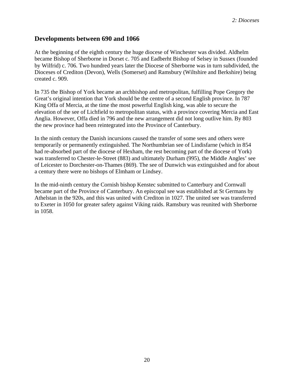### **Developments between 690 and 1066**

At the beginning of the eighth century the huge diocese of Winchester was divided. Aldhelm became Bishop of Sherborne in Dorset c. 705 and Eadberht Bishop of Selsey in Sussex (founded by Wilfrid) c. 706. Two hundred years later the Diocese of Sherborne was in turn subdivided, the Dioceses of Crediton (Devon), Wells (Somerset) and Ramsbury (Wiltshire and Berkshire) being created c. 909.

In 735 the Bishop of York became an archbishop and metropolitan, fulfilling Pope Gregory the Great's original intention that York should be the centre of a second English province. In 787 King Offa of Mercia, at the time the most powerful English king, was able to secure the elevation of the see of Lichfield to metropolitan status, with a province covering Mercia and East Anglia. However, Offa died in 796 and the new arrangement did not long outlive him. By 803 the new province had been reintegrated into the Province of Canterbury.

In the ninth century the Danish incursions caused the transfer of some sees and others were temporarily or permanently extinguished. The Northumbrian see of Lindisfarne (which in 854 had re-absorbed part of the diocese of Hexham, the rest becoming part of the diocese of York) was transferred to Chester-le-Street (883) and ultimately Durham (995), the Middle Angles' see of Leicester to Dorchester-on-Thames (869). The see of Dunwich was extinguished and for about a century there were no bishops of Elmham or Lindsey.

In the mid-ninth century the Cornish bishop Kenstec submitted to Canterbury and Cornwall became part of the Province of Canterbury. An episcopal see was established at St Germans by Athelstan in the 920s, and this was united with Crediton in 1027. The united see was transferred to Exeter in 1050 for greater safety against Viking raids. Ramsbury was reunited with Sherborne in 1058.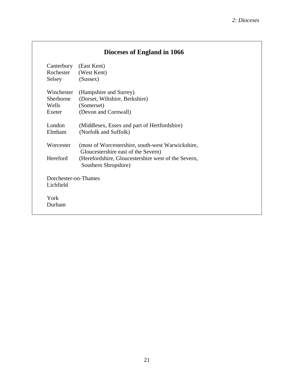| Dioceses of England in 1066 |  |  |  |  |
|-----------------------------|--|--|--|--|
|-----------------------------|--|--|--|--|

| Canterbury<br>Rochester<br>Selsey          | (East Kent)<br>(West Kent)<br>(Sussex)                                                         |  |  |
|--------------------------------------------|------------------------------------------------------------------------------------------------|--|--|
| Winchester<br>Sherborne<br>Wells<br>Exeter | (Hampshire and Surrey)<br>(Dorset, Wiltshire, Berkshire)<br>(Somerset)<br>(Devon and Cornwall) |  |  |
| London<br>Elmham                           | (Middlesex, Essex and part of Hertfordshire)<br>(Norfolk and Suffolk)                          |  |  |
| Worcester                                  | (most of Worcestershire, south-west Warwickshire,<br>Gloucestershire east of the Severn)       |  |  |
| Hereford                                   | (Herefordshire, Gloucestershire west of the Severn,<br>Southern Shropshire)                    |  |  |
| Dorchester-on-Thames<br>Lichfield          |                                                                                                |  |  |
| York<br>Durham                             |                                                                                                |  |  |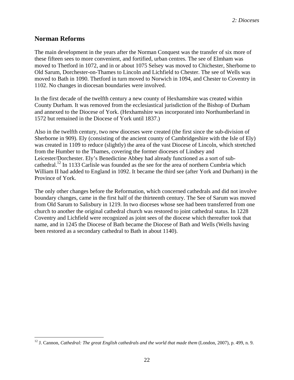### **Norman Reforms**

<u>.</u>

The main development in the years after the Norman Conquest was the transfer of six more of these fifteen sees to more convenient, and fortified, urban centres. The see of Elmham was moved to Thetford in 1072, and in or about 1075 Selsey was moved to Chichester, Sherborne to Old Sarum, Dorchester-on-Thames to Lincoln and Lichfield to Chester. The see of Wells was moved to Bath in 1090. Thetford in turn moved to Norwich in 1094, and Chester to Coventry in 1102. No changes in diocesan boundaries were involved.

In the first decade of the twelfth century a new county of Hexhamshire was created within County Durham. It was removed from the ecclesiastical jurisdiction of the Bishop of Durham and annexed to the Diocese of York. (Hexhamshire was incorporated into Northumberland in 1572 but remained in the Diocese of York until 1837.)

Also in the twelfth century, two new dioceses were created (the first since the sub-division of Sherborne in 909). Ely (consisting of the ancient county of Cambridgeshire with the Isle of Ely) was created in 1109 to reduce (slightly) the area of the vast Diocese of Lincoln, which stretched from the Humber to the Thames, covering the former dioceses of Lindsey and Leicester/Dorchester. Ely's Benedictine Abbey had already functioned as a sort of subcathedral.<sup>12</sup> In 1133 Carlisle was founded as the see for the area of northern Cumbria which William II had added to England in 1092. It became the third see (after York and Durham) in the Province of York.

The only other changes before the Reformation, which concerned cathedrals and did not involve boundary changes, came in the first half of the thirteenth century. The See of Sarum was moved from Old Sarum to Salisbury in 1219. In two dioceses whose see had been transferred from one church to another the original cathedral church was restored to joint cathedral status. In 1228 Coventry and Lichfield were recognized as joint sees of the diocese which thereafter took that name, and in 1245 the Diocese of Bath became the Diocese of Bath and Wells (Wells having been restored as a secondary cathedral to Bath in about 1140).

<sup>&</sup>lt;sup>12</sup> J. Cannon, *Cathedral: The great English cathedrals and the world that made them* (London, 2007), p. 499, n. 9.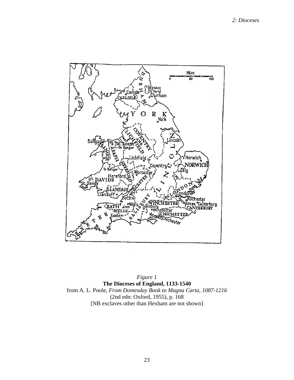

*Figure 1*  **The Dioceses of England, 1133-1540**  from A. L. Poole, *From Domesday Book to Magna Carta, 1087-1216* (2nd edn: Oxford, 1955), p. 168 [NB exclaves other than Hexham are not shown]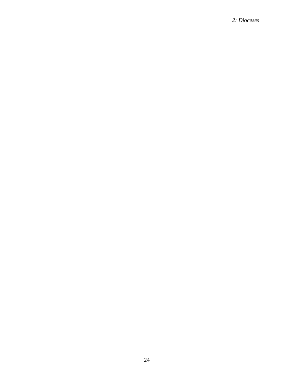*2: Dioceses*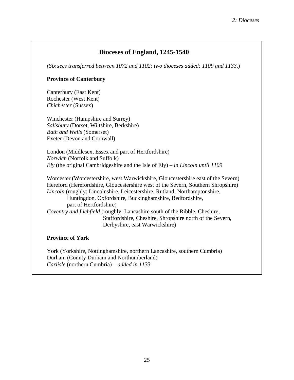### **Dioceses of England, 1245-1540**

*(Six sees transferred between 1072 and 1102; two dioceses added: 1109 and 1133*.)

### **Province of Canterbury**

Canterbury (East Kent) Rochester (West Kent) *Chichester* (Sussex)

Winchester (Hampshire and Surrey) *Salisbury* (Dorset, Wiltshire, Berkshire) *Bath and Wells* (Somerset) Exeter (Devon and Cornwall)

London (Middlesex, Essex and part of Hertfordshire) *Norwich* (Norfolk and Suffolk) *Ely* (the original Cambridgeshire and the Isle of Ely) – *in Lincoln until 1109* 

Worcester (Worcestershire, west Warwickshire, Gloucestershire east of the Severn) Hereford (Herefordshire, Gloucestershire west of the Severn, Southern Shropshire) *Lincoln* (roughly: Lincolnshire, Leicestershire, Rutland, Northamptonshire, Huntingdon, Oxfordshire, Buckinghamshire, Bedfordshire, part of Hertfordshire) *Coventry and Lichfield* (roughly: Lancashire south of the Ribble, Cheshire,

 Staffordshire, Cheshire, Shropshire north of the Severn, Derbyshire, east Warwickshire)

#### **Province of York**

York (Yorkshire, Nottinghamshire, northern Lancashire, southern Cumbria) Durham (County Durham and Northumberland) *Carlisle* (northern Cumbria) – *added in 1133*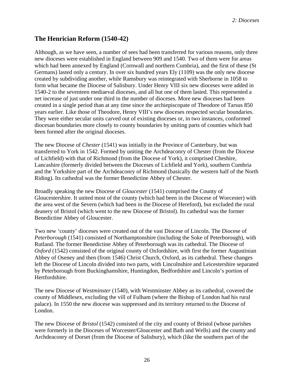### **The Henrician Reform (1540-42)**

Although, as we have seen, a number of sees had been transferred for various reasons, only three new dioceses were established in England between 909 and 1540. Two of them were for areas which had been annexed by England (Cornwall and northern Cumbria), and the first of these (St Germans) lasted only a century. In over six hundred years Ely (1109) was the only new diocese created by subdividing another, while Ramsbury was reintegrated with Sherborne in 1058 to form what became the Diocese of Salisbury. Under Henry VIII six new dioceses were added in 1540-2 to the seventeen mediaeval dioceses, and all but one of them lasted. This represented a net increase of just under one third in the number of dioceses. More new dioceses had been created in a single period than at any time since the archiepiscopate of Theodore of Tarsus 850 years earlier. Like those of Theodore, Henry VIII's new dioceses respected secular boundaries. They were either secular units carved out of existing dioceses or, in two instances, conformed diocesan boundaries more closely to county boundaries by uniting parts of counties which had been formed after the original dioceses.

The new Diocese of *Chester* (1541) was initially in the Province of Canterbury, but was transferred to York in 1542. Formed by uniting the Archdeaconry of Chester (from the Diocese of Lichfield) with that of Richmond (from the Diocese of York), it comprised Cheshire, Lancashire (formerly divided between the Dioceses of Lichfield and York), southern Cumbria and the Yorkshire part of the Archdeaconry of Richmond (basically the western half of the North Riding). Its cathedral was the former Benedictine Abbey of Chester.

Broadly speaking the new Diocese of *Gloucester* (1541) comprised the County of Gloucestershire. It united most of the county (which had been in the Diocese of Worcester) with the area west of the Severn (which had been in the Diocese of Hereford), but excluded the rural deanery of Bristol (which went to the new Diocese of Bristol). Its cathedral was the former Benedictine Abbey of Gloucester.

Two new 'county' dioceses were created out of the vast Diocese of Lincoln. The Diocese of *Peterborough* (1541) consisted of Northamptonshire (including the Soke of Peterborough), with Rutland. The former Benedictine Abbey of Peterborough was its cathedral. The Diocese of *Oxford* (1542) consisted of the original county of Oxfordshire, with first the former Augustinian Abbey of Oseney and then (from 1546) Christ Church, Oxford, as its cathedral. These changes left the Diocese of Lincoln divided into two parts, with Lincolnshire and Leicestershire separated by Peterborough from Buckinghamshire, Huntingdon, Bedfordshire and Lincoln's portion of Hertfordshire.

The new Diocese of *Westminster* (1540), with Westminster Abbey as its cathedral, covered the county of Middlesex, excluding the vill of Fulham (where the Bishop of London had his rural palace). In 1550 the new diocese was suppressed and its territory returned to the Diocese of London.

The new Diocese of *Bristol* (1542) consisted of the city and county of Bristol (whose parishes were formerly in the Dioceses of Worcester/Gloucester and Bath and Wells) and the county and Archdeaconry of Dorset (from the Diocese of Salisbury), which (like the southern part of the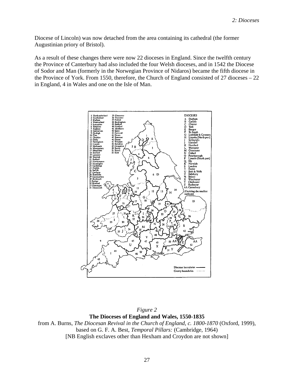Diocese of Lincoln) was now detached from the area containing its cathedral (the former Augustinian priory of Bristol).

As a result of these changes there were now 22 dioceses in England. Since the twelfth century the Province of Canterbury had also included the four Welsh dioceses, and in 1542 the Diocese of Sodor and Man (formerly in the Norwegian Province of Nidaros) became the fifth diocese in the Province of York. From 1550, therefore, the Church of England consisted of 27 dioceses – 22 in England, 4 in Wales and one on the Isle of Man.



*Figure 2*  **The Dioceses of England and Wales, 1550-1835**  from A. Burns, *The Diocesan Revival in the Church of England, c. 1800-1870* (Oxford, 1999), based on G. F. A. Best, *Temporal Pillars:* (Cambridge, 1964) [NB English exclaves other than Hexham and Croydon are not shown]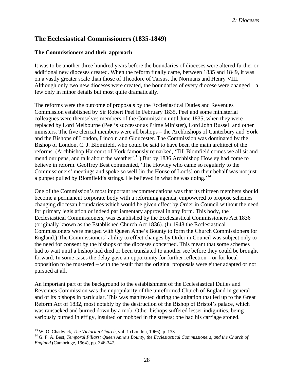### **The Ecclesiastical Commissioners (1835-1849)**

#### **The Commissioners and their approach**

It was to be another three hundred years before the boundaries of dioceses were altered further or additional new dioceses created. When the reform finally came, between 1835 and 1849, it was on a vastly greater scale than those of Theodore of Tarsus, the Normans and Henry VIII. Although only two new dioceses were created, the boundaries of every diocese were changed – a few only in minor details but most quite dramatically.

The reforms were the outcome of proposals by the Ecclesiastical Duties and Revenues Commission established by Sir Robert Peel in February 1835. Peel and some ministerial colleagues were themselves members of the Commission until June 1835, when they were replaced by Lord Melbourne (Peel's successor as Prime Minister), Lord John Russell and other ministers. The five clerical members were all bishops – the Archbishops of Canterbury and York and the Bishops of London, Lincoln and Gloucester. The Commission was dominated by the Bishop of London, C. J. Blomfield, who could be said to have been the main architect of the reforms. (Archbishop Harcourt of York famously remarked, 'Till Blomfield comes we all sit and mend our pens, and talk about the weather'.<sup>13</sup>) But by 1836 Archbishop Howley had come to believe in reform. Geoffrey Best commented, 'The Howley who came so regularly to the Commissioners' meetings and spoke so well [in the House of Lords] on their behalf was not just a puppet pulled by Blomfield's strings. He believed in what he was doing.'14

One of the Commission's most important recommendations was that its thirteen members should become a permanent corporate body with a reforming agenda, empowered to propose schemes changing diocesan boundaries which would be given effect by Order in Council without the need for primary legislation or indeed parliamentary approval in any form. This body, the Ecclesiastical Commissioners, was established by the Ecclesiastical Commissioners Act 1836 (originally known as the Established Church Act 1836). (In 1948 the Ecclesiastical Commissioners were merged with Queen Anne's Bounty to form the Church Commissioners for England.) The Commissioners' ability to effect changes by Order in Council was subject only to the need for consent by the bishops of the dioceses concerned. This meant that some schemes had to wait until a bishop had died or been translated to another see before they could be brought forward. In some cases the delay gave an opportunity for further reflection – or for local opposition to be mustered – with the result that the original proposals were either adapted or not pursued at all.

An important part of the background to the establishment of the Ecclesiastical Duties and Revenues Commission was the unpopularity of the unreformed Church of England in general and of its bishops in particular. This was manifested during the agitation that led up to the Great Reform Act of 1832, most notably by the destruction of the Bishop of Bristol's palace, which was ransacked and burned down by a mob. Other bishops suffered lesser indignities, being variously burned in effigy, insulted or mobbed in the streets; one had his carriage stoned.

1

<sup>&</sup>lt;sup>13</sup> W. O. Chadwick, *The Victorian Church*, vol. 1 (London, 1966), p. 133.<br><sup>14</sup> G. F. A. Best, *Temporal Pillars: Queen Anne's Bounty, the Ecclesiastical Commissioners, and the Church of England* (Cambridge, 1964), pp. 346-347.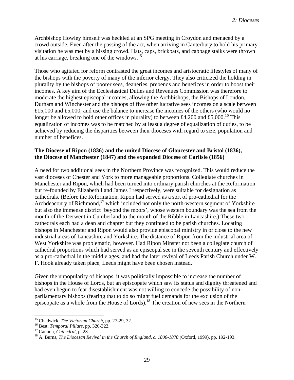Archbishop Howley himself was heckled at an SPG meeting in Croydon and menaced by a crowd outside. Even after the passing of the act, when arriving in Canterbury to hold his primary visitation he was met by a hissing crowd. Hats, caps, brickbats, and cabbage stalks were thrown at his carriage, breaking one of the windows.<sup>15</sup>

Those who agitated for reform contrasted the great incomes and aristocratic lifestyles of many of the bishops with the poverty of many of the inferior clergy. They also criticized the holding in plurality by the bishops of poorer sees, deaneries, prebends and benefices in order to boost their incomes. A key aim of the Ecclesiastical Duties and Revenues Commission was therefore to moderate the highest episcopal incomes, allowing the Archbishops, the Bishops of London, Durham and Winchester and the bishops of five other lucrative sees incomes on a scale between £15,000 and £5,000, and use the balance to increase the incomes of the others (who would no longer be allowed to hold other offices in plurality) to between £4,200 and £5,000.<sup>16</sup> This equalization of incomes was to be matched by at least a degree of equalization of duties, to be achieved by reducing the disparities between their dioceses with regard to size, population and number of benefices.

#### **The Diocese of Ripon (1836) and the united Diocese of Gloucester and Bristol (1836), the Diocese of Manchester (1847) and the expanded Diocese of Carlisle (1856)**

A need for two additional sees in the Northern Province was recognized. This would reduce the vast dioceses of Chester and York to more manageable proportions. Collegiate churches in Manchester and Ripon, which had been turned into ordinary parish churches at the Reformation but re-founded by Elizabeth I and James I respectively, were suitable for designation as cathedrals. (Before the Reformation, Ripon had served as a sort of pro-cathedral for the Archdeaconry of Richmond,<sup>17</sup> which included not only the north-western segment of Yorkshire but also the immense district 'beyond the moors', whose western boundary was the sea from the mouth of the Derwent in Cumberland to the mouth of the Ribble in Lancashire.) These two cathedrals each had a dean and chapter but they continued to be parish churches. Locating bishops in Manchester and Ripon would also provide episcopal ministry in or close to the new industrial areas of Lancashire and Yorkshire. The distance of Ripon from the industrial area of West Yorkshire was problematic, however. Had Ripon Minster not been a collegiate church of cathedral proportions which had served as an episcopal see in the seventh century and effectively as a pro-cathedral in the middle ages, and had the later revival of Leeds Parish Church under W. F. Hook already taken place, Leeds might have been chosen instead.

Given the unpopularity of bishops, it was politically impossible to increase the number of bishops in the House of Lords, but an episcopate which saw its status and dignity threatened and had even begun to fear disestablishment was not willing to concede the possibility of nonparliamentary bishops (fearing that to do so might fuel demands for the exclusion of the episcopate as a whole from the House of Lords).<sup>18</sup> The creation of new sees in the Northern

<sup>&</sup>lt;sup>15</sup> Chadwick, *The Victorian Church*, pp. 27-29, 32.

<sup>&</sup>lt;sup>16</sup> Best, *Temporal Pillars*, pp. 320-322.<br><sup>17</sup> Cannon, *Cathedral*, p. 23.<br><sup>18</sup> A. Burns, *The Diocesan Revival in the Church of England, c. 1800-1870* (Oxford, 1999), pp. 192-193.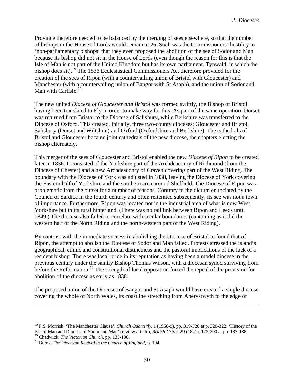Province therefore needed to be balanced by the merging of sees elsewhere, so that the number of bishops in the House of Lords would remain at 26. Such was the Commissioners' hostility to 'non-parliamentary bishops' that they even proposed the abolition of the see of Sodor and Man because its bishop did not sit in the House of Lords (even though the reason for this is that the Isle of Man is not part of the United Kingdom but has its own parliament, Tynwald, in which the bishop does sit).<sup>19</sup> The 1836 Ecclesiastical Commissioners Act therefore provided for the creation of the sees of Ripon (with a countervailing union of Bristol with Gloucester) and Manchester (with a countervailing union of Bangor with St Asaph), and the union of Sodor and Man with Carlisle. $^{20}$ 

The new united *Diocese of Gloucester and Bristol* was formed swiftly, the Bishop of Bristol having been translated to Ely in order to make way for this. As part of the same operation, Dorset was returned from Bristol to the Diocese of Salisbury, while Berkshire was transferred to the Diocese of Oxford. This created, initially, three two-county dioceses: Gloucester and Bristol, Salisbury (Dorset and Wiltshire) and Oxford (Oxfordshire and Berkshire). The cathedrals of Bristol and Gloucester became joint cathedrals of the new diocese, the chapters electing the bishop alternately.

This merger of the sees of Gloucester and Bristol enabled the new *Diocese of Ripon* to be created later in 1836. It consisted of the Yorkshire part of the Archdeaconry of Richmond (from the Diocese of Chester) and a new Archdeaconry of Craven covering part of the West Riding. The boundary with the Diocese of York was adjusted in 1838, leaving the Diocese of York covering the Eastern half of Yorkshire and the southern area around Sheffield. The Diocese of Ripon was problematic from the outset for a number of reasons. Contrary to the dictum enunciated by the Council of Sardica in the fourth century and often reiterated subsequently, its see was not a town of importance. Furthermore, Ripon was located not in the industrial area of what is now West Yorkshire but in its rural hinterland. (There was no rail link between Ripon and Leeds until 1849.) The diocese also failed to correlate with secular boundaries (containing as it did the western half of the North Riding and the north-western part of the West Riding).

By contrast with the immediate success in abolishing the Diocese of Bristol to found that of Ripon, the attempt to abolish the Diocese of Sodor and Man failed. Protests stressed the island's geographical, ethnic and constitutional distinctness and the pastoral implications of the lack of a resident bishop. There was local pride in its reputation as having been a model diocese in the previous century under the saintly Bishop Thomas Wilson, with a diocesan synod surviving from before the Reformation.<sup>21</sup> The strength of local opposition forced the repeal of the provision for abolition of the diocese as early as 1838.

The proposed union of the Dioceses of Bangor and St Asaph would have created a single diocese covering the whole of North Wales, its coastline stretching from Aberystwyth to the edge of

<u>.</u>

<sup>19</sup> P.S. Morrish, 'The Manchester Clause', *Church Quarterly*, 1 (1968-9), pp. 319-326 at p. 320-322; 'History of the Isle of Man and Diocese of Sodor and Man' (review article), *British Critic*, 29 (1841), 173-200 at pp. 187-188.<br><sup>20</sup> Chadwick, *The Victorian Church*, pp. 135-136.<br><sup>21</sup> Burns, *The Diocesan Revival in the Church of Engla*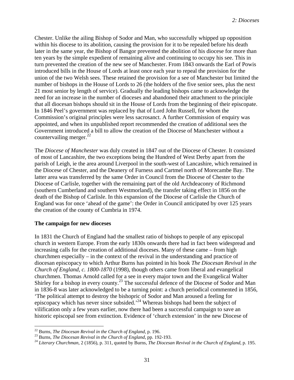Chester. Unlike the ailing Bishop of Sodor and Man, who successfully whipped up opposition within his diocese to its abolition, causing the provision for it to be repealed before his death later in the same year, the Bishop of Bangor prevented the abolition of his diocese for more than ten years by the simple expedient of remaining alive and continuing to occupy his see. This in turn prevented the creation of the new see of Manchester. From 1843 onwards the Earl of Powis introduced bills in the House of Lords at least once each year to repeal the provision for the union of the two Welsh sees. These retained the provision for a see of Manchester but limited the number of bishops in the House of Lords to 26 (the holders of the five senior sees, plus the next 21 most senior by length of service). Gradually the leading bishops came to acknowledge the need for an increase in the number of dioceses and abandoned their attachment to the principle that all diocesan bishops should sit in the House of Lords from the beginning of their episcopate. In 1846 Peel's government was replaced by that of Lord John Russell, for whom the Commission's original principles were less sacrosanct. A further Commission of enquiry was appointed, and when its unpublished report recommended the creation of additional sees the Government introduced a bill to allow the creation of the Diocese of Manchester without a countervailing merger. $^{22}$ 

The *Diocese of Manchester* was duly created in 1847 out of the Diocese of Chester. It consisted of most of Lancashire, the two exceptions being the Hundred of West Derby apart from the parish of Leigh, ie the area around Liverpool in the south-west of Lancashire, which remained in the Diocese of Chester, and the Deanery of Furness and Cartmel north of Morecambe Bay. The latter area was transferred by the same Order in Council from the Diocese of Chester to the Diocese of Carlisle, together with the remaining part of the old Archdeaconry of Richmond (southern Cumberland and southern Westmorland), the transfer taking effect in 1856 on the death of the Bishop of Carlisle. In this expansion of the Diocese of Carlisle the Church of England was for once 'ahead of the game': the Order in Council anticipated by over 125 years the creation of the county of Cumbria in 1974.

#### **The campaign for new dioceses**

 $\overline{a}$ 

In 1831 the Church of England had the smallest ratio of bishops to people of any episcopal church in western Europe. From the early 1830s onwards there had in fact been widespread and increasing calls for the creation of additional dioceses. Many of these came – from high churchmen especially – in the context of the revival in the understanding and practice of diocesan episcopacy to which Arthur Burns has pointed in his book *The Diocesan Revival in the Church of England, c. 1800-1870* (1998), though others came from liberal and evangelical churchmen. Thomas Arnold called for a see in every major town and the Evangelical Walter Shirley for a bishop in every county.<sup>23</sup> The successful defence of the Diocese of Sodor and Man in 1836-8 was later acknowledged to be a turning point: a church periodical commented in 1856, 'The political attempt to destroy the bishopric of Sodor and Man aroused a feeling for episcopacy which has never since subsided.'24 Whereas bishops had been the subject of vilification only a few years earlier, now there had been a successful campaign to save an historic episcopal see from extinction. Evidence of 'church extension' in the new Diocese of

<sup>&</sup>lt;sup>22</sup> Burns, *The Diocesan Revival in the Church of England*, p. 196.<br><sup>23</sup> Burns, *The Diocesan Revival in the Church of England*, pp. 192-193.<br><sup>24</sup> Literary Churchman, 2 (1856), p. 311, quoted by Burns, *The Diocesan Revi*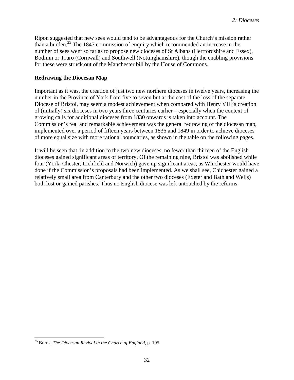Ripon suggested that new sees would tend to be advantageous for the Church's mission rather than a burden.25 The 1847 commission of enquiry which recommended an increase in the number of sees went so far as to propose new dioceses of St Albans (Hertfordshire and Essex), Bodmin or Truro (Cornwall) and Southwell (Nottinghamshire), though the enabling provisions for these were struck out of the Manchester bill by the House of Commons.

#### **Redrawing the Diocesan Map**

Important as it was, the creation of just two new northern dioceses in twelve years, increasing the number in the Province of York from five to seven but at the cost of the loss of the separate Diocese of Bristol, may seem a modest achievement when compared with Henry VIII's creation of (initially) six dioceses in two years three centuries earlier – especially when the context of growing calls for additional dioceses from 1830 onwards is taken into account. The Commission's real and remarkable achievement was the general redrawing of the diocesan map, implemented over a period of fifteen years between 1836 and 1849 in order to achieve dioceses of more equal size with more rational boundaries, as shown in the table on the following pages.

It will be seen that, in addition to the two new dioceses, no fewer than thirteen of the English dioceses gained significant areas of territory. Of the remaining nine, Bristol was abolished while four (York, Chester, Lichfield and Norwich) gave up significant areas, as Winchester would have done if the Commission's proposals had been implemented. As we shall see, Chichester gained a relatively small area from Canterbury and the other two dioceses (Exeter and Bath and Wells) both lost or gained parishes. Thus no English diocese was left untouched by the reforms.

<u>.</u>

<sup>25</sup> Burns, *The Diocesan Revival in the Church of England*, p. 195.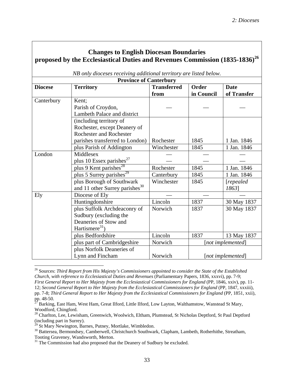| <b>Changes to English Diocesan Boundaries</b><br>proposed by the Ecclesiastical Duties and Revenues Commission (1835-1836) <sup>26</sup> |                                                                   |                            |                            |                            |
|------------------------------------------------------------------------------------------------------------------------------------------|-------------------------------------------------------------------|----------------------------|----------------------------|----------------------------|
|                                                                                                                                          | NB only dioceses receiving additional territory are listed below. |                            |                            |                            |
|                                                                                                                                          | <b>Province of Canterbury</b>                                     |                            |                            |                            |
| <b>Diocese</b>                                                                                                                           | <b>Territory</b>                                                  | <b>Transferred</b><br>from | <b>Order</b><br>in Council | <b>Date</b><br>of Transfer |
| Canterbury                                                                                                                               | Kent;                                                             |                            |                            |                            |
|                                                                                                                                          | Parish of Croydon,                                                |                            |                            |                            |
|                                                                                                                                          | Lambeth Palace and district                                       |                            |                            |                            |
|                                                                                                                                          | (including territory of                                           |                            |                            |                            |
|                                                                                                                                          | Rochester, except Deanery of                                      |                            |                            |                            |
|                                                                                                                                          | Rochester and Rochester                                           |                            |                            |                            |
|                                                                                                                                          | parishes transferred to London)                                   | Rochester                  | 1845                       | 1 Jan. 1846                |
|                                                                                                                                          | plus Parish of Addington                                          | Winchester                 | 1845                       | 1 Jan. 1846                |
| London                                                                                                                                   | Middlesex                                                         |                            |                            |                            |
|                                                                                                                                          | plus 10 Essex parishes <sup>27</sup>                              |                            |                            |                            |
|                                                                                                                                          | plus 9 Kent parishes <sup>28</sup>                                | Rochester                  | 1845                       | 1 Jan. 1846                |
|                                                                                                                                          | plus 5 Surrey parishes <sup>29</sup>                              | Canterbury                 | 1845                       | 1 Jan. 1846                |
|                                                                                                                                          | plus Borough of Southwark                                         | Winchester                 | 1845                       | [repealed                  |
|                                                                                                                                          | and 11 other Surrey parishes $^{30}$                              |                            |                            | 1863]                      |
| Ely                                                                                                                                      | Diocese of Ely                                                    |                            |                            |                            |
|                                                                                                                                          | Huntingdonshire                                                   | Lincoln                    | 1837                       | 30 May 1837                |
|                                                                                                                                          | plus Suffolk Archdeaconry of                                      | Norwich                    | 1837                       | 30 May 1837                |
|                                                                                                                                          | Sudbury (excluding the                                            |                            |                            |                            |
|                                                                                                                                          | Deaneries of Stow and                                             |                            |                            |                            |
|                                                                                                                                          | Hartismere $31$ )                                                 |                            |                            |                            |
|                                                                                                                                          | plus Bedfordshire                                                 | Lincoln                    | 1837                       | 13 May 1837                |
|                                                                                                                                          | plus part of Cambridgeshire                                       | Norwich                    |                            | [not implemented]          |
|                                                                                                                                          | plus Norfolk Deaneries of                                         |                            |                            |                            |
|                                                                                                                                          | Lynn and Fincham                                                  | Norwich                    |                            | [not implemented]          |

<sup>26</sup> Sources: *Third Report from His Majesty's Commissioners appointed to consider the State of the Established Church, with reference to Ecclesiastical Duties and Revenues* (Parliamentary Papers, 1836, xxxvi), pp. 7-9; *First General Report to Her Majesty from the Ecclesiastical Commissioners for England* (PP, 1846, xxiv), pp. 11-

 $\overline{a}$ 

<sup>12;</sup> *Second General Report to Her Majesty from the Ecclesiastical Commissioners for England* (PP, 1847, xxxiii), pp. 7-8; *Third General Report to Her Majesty from the Ecclesiastical Commissioners for England* (PP, 1851, xxii),

pp. 48-50. 27 Barking, East Ham, West Ham, Great Ilford, Little Ilford, Low Layton, Walthamstow, Wanstead St Mary, Woodford, Chingford.<br><sup>28</sup> Charlton, Lee, Lewisham, Greenwich, Woolwich, Eltham, Plumstead, St Nicholas Deptford, St Paul Deptford

<sup>(</sup>including part in Surrey). 29 St Mary Newington, Barnes, Putney, Mortlake, Wimbledon. 30 Battersea, Bermondsey, Camberwell, Christchurch Southwark, Clapham, Lambeth, Rotherhithe, Streatham,

Tooting Graveney, Wandsworth, Merton.<br><sup>31</sup> The Commission had also proposed that the Deanery of Sudbury be excluded.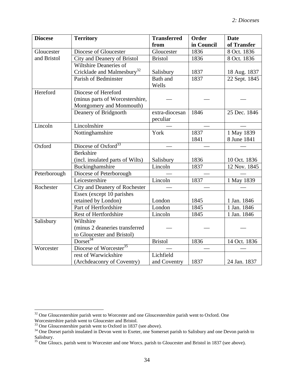| <b>Diocese</b> | <b>Territory</b>                       | <b>Transferred</b> | <b>Order</b> | <b>Date</b>   |
|----------------|----------------------------------------|--------------------|--------------|---------------|
|                |                                        | from               | in Council   | of Transfer   |
| Gloucester     | Diocese of Gloucester                  | Gloucester         | 1836         | 8 Oct. 1836   |
| and Bristol    | City and Deanery of Bristol            | <b>Bristol</b>     | 1836         | 8 Oct. 1836   |
|                | Wiltshire Deaneries of                 |                    |              |               |
|                | Cricklade and Malmesbury <sup>32</sup> | Salisbury          | 1837         | 18 Aug. 1837  |
|                | Parish of Bedminster                   | Bath and           | 1837         | 22 Sept. 1845 |
|                |                                        | Wells              |              |               |
| Hereford       | Diocese of Hereford                    |                    |              |               |
|                | (minus parts of Worcestershire,        |                    |              |               |
|                | Montgomery and Monmouth)               |                    |              |               |
|                | Deanery of Bridgnorth                  | extra-diocesan     | 1846         | 25 Dec. 1846  |
|                |                                        | peculiar           |              |               |
| Lincoln        | Lincolnshire                           |                    |              |               |
|                | Nottinghamshire                        | York               | 1837         | 1 May 1839    |
|                |                                        |                    | 1841         | 8 June 1841   |
| Oxford         | Diocese of Oxford <sup>33</sup>        |                    |              |               |
|                | <b>Berkshire</b>                       |                    |              |               |
|                | (incl. insulated parts of Wilts)       | Salisbury          | 1836         | 10 Oct. 1836  |
|                | Buckinghamshire                        | Lincoln            | 1837         | 12 Nov. 1845  |
| Peterborough   | Diocese of Peterborough                |                    |              |               |
|                | Leicestershire                         | Lincoln            | 1837         | 1 May 1839    |
| Rochester      | City and Deanery of Rochester          |                    |              |               |
|                | Essex (except 10 parishes              |                    |              |               |
|                | retained by London)                    | London             | 1845         | 1 Jan. 1846   |
|                | Part of Hertfordshire                  | London             | 1845         | 1 Jan. 1846   |
|                | Rest of Hertfordshire                  | Lincoln            | 1845         | 1 Jan. 1846   |
| Salisbury      | Wiltshire                              |                    |              |               |
|                | (minus 2 deaneries transferred         |                    |              |               |
|                | to Gloucester and Bristol)             |                    |              |               |
|                | Dorset <sup>34</sup>                   | <b>Bristol</b>     | 1836         | 14 Oct. 1836  |
| Worcester      | Diocese of Worcester <sup>35</sup>     |                    |              |               |
|                | rest of Warwickshire                   | Lichfield          |              |               |
|                | (Archdeaconry of Coventry)             | and Coventry       | 1837         | 24 Jan. 1837  |

 $\overline{a}$  $32$  One Gloucestershire parish went to Worcester and one Gloucestershire parish went to Oxford. One

Worcestershire parish went to Gloucester and Bristol.<br><sup>33</sup> One Gloucestershire parish went to Oxford in 1837 (see above).<br><sup>34</sup> One Dorset parish insulated in Devon went to Exeter, one Somerset parish to Salisbury and one D Salisbury.<br><sup>35</sup> One Gloucs. parish went to Worcester and one Worcs. parish to Gloucester and Bristol in 1837 (see above).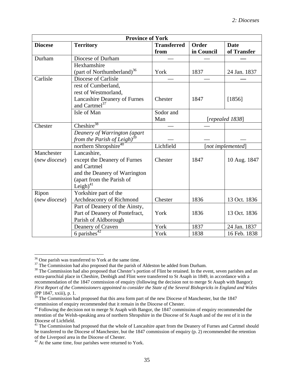| <b>Province of York</b>            |                                         |                    |                   |              |  |  |
|------------------------------------|-----------------------------------------|--------------------|-------------------|--------------|--|--|
| <b>Territory</b><br><b>Diocese</b> |                                         | <b>Transferred</b> | Order             | <b>Date</b>  |  |  |
|                                    |                                         | from               | in Council        | of Transfer  |  |  |
| Diocese of Durham<br>Durham        |                                         |                    |                   |              |  |  |
|                                    | Hexhamshire                             |                    |                   |              |  |  |
|                                    | (part of Northumberland) <sup>36</sup>  | York               | 1837              | 24 Jan. 1837 |  |  |
| Diocese of Carlisle<br>Carlisle    |                                         |                    |                   |              |  |  |
|                                    | rest of Cumberland,                     |                    |                   |              |  |  |
|                                    | rest of Westmorland,                    |                    |                   |              |  |  |
|                                    | Lancashire Deanery of Furnes            | Chester            | 1847              | [1856]       |  |  |
|                                    | and Cartmel <sup>37</sup>               |                    |                   |              |  |  |
|                                    | Isle of Man                             | Sodor and          |                   |              |  |  |
|                                    |                                         | Man                | [repealed 1838]   |              |  |  |
| Chester                            | Cheshire <sup>38</sup>                  |                    |                   |              |  |  |
|                                    | Deanery of Warrington (apart            |                    |                   |              |  |  |
|                                    | from the Parish of Leigh) <sup>39</sup> |                    |                   |              |  |  |
|                                    | northern Shropshire <sup>40</sup>       | Lichfield          | [not implemented] |              |  |  |
| Manchester                         | Lancashire,                             |                    |                   |              |  |  |
| (new diocese)                      | except the Deanery of Furnes            | Chester            | 1847              | 10 Aug. 1847 |  |  |
|                                    | and Cartmel                             |                    |                   |              |  |  |
|                                    | and the Deanery of Warrington           |                    |                   |              |  |  |
|                                    | (apart from the Parish of               |                    |                   |              |  |  |
|                                    | Leigh) $41$                             |                    |                   |              |  |  |
| Ripon                              | Yorkshire part of the                   |                    |                   |              |  |  |
| (new diocese)                      | Archdeaconry of Richmond                | Chester            | 1836              | 13 Oct. 1836 |  |  |
|                                    | Part of Deanery of the Ainsty,          |                    |                   |              |  |  |
|                                    | Part of Deanery of Pontefract,<br>York  |                    | 1836              | 13 Oct. 1836 |  |  |
|                                    | Parish of Aldborough                    |                    |                   |              |  |  |
|                                    | Deanery of Craven                       | York               | 1837              | 24 Jan. 1837 |  |  |
| 6 parishes $42$                    |                                         | York               | 1838              | 16 Feb. 1838 |  |  |

<sup>&</sup>lt;sup>36</sup> One parish was transferred to York at the same time.<br><sup>37</sup> The Commission had also proposed that the parish of Aldeston be added from Durham.<br><sup>38</sup> The Commission had also proposed that Chester's portion of Flint be ret extra-parochial place in Cheshire, Denbigh and Flint were transferred to St Asaph in 1849, in accordance with a recommendation of the 1847 commission of enquiry (following the decision not to merge St Asaph with Bangor): *First Report of the Commissioners appointed to consider the State of the Several Bishopricks in England and Wales* (PP 1847, xxiii), p. 1.

 $39$  The Commission had proposed that this area form part of the new Diocese of Manchester, but the 1847 commission of enquiry recommended that it remain in the Diocese of Chester.

 $40$  Following the decision not to merge St Asaph with Bangor, the 1847 commission of enquiry recommended the retention of the Welsh-speaking area of northern Shropshire in the Diocese of St Asaph and of the rest of it in the

Diocese of Lichfield.<br><sup>41</sup> The Commission had proposed that the whole of Lancashire apart from the Deanery of Furnes and Cartmel should be transferred to the Diocese of Manchester, but the 1847 commission of enquiry (p. 2) recommended the retention of the Liverpool area in the Diocese of Chester.

 $42$  At the same time, four parishes were returned to York.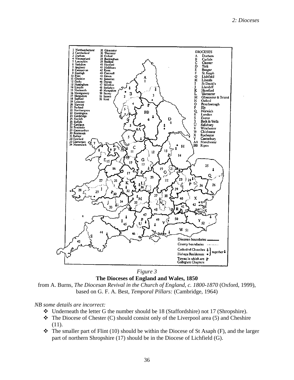

*Figure 3*  **The Dioceses of England and Wales, 1850** 



*NB some details are incorrect:* 

- Underneath the letter G the number should be 18 (Staffordshire) not 17 (Shropshire).
- $\triangleleft$  The Diocese of Chester (C) should consist only of the Liverpool area (5) and Cheshire (11).
- $\cdot \cdot$  The smaller part of Flint (10) should be within the Diocese of St Asaph (F), and the larger part of northern Shropshire (17) should be in the Diocese of Lichfield (G).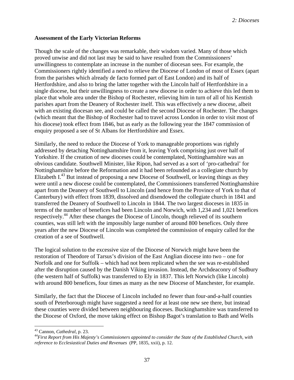### **Assessment of the Early Victorian Reforms**

Though the scale of the changes was remarkable, their wisdom varied. Many of those which proved unwise and did not last may be said to have resulted from the Commissioners' unwillingness to contemplate an increase in the number of diocesan sees. For example, the Commissioners rightly identified a need to relieve the Diocese of London of most of Essex (apart from the parishes which already de facto formed part of East London) and its half of Hertfordshire, and also to bring the latter together with the Lincoln half of Hertfordshire in a single diocese, but their unwillingness to create a new diocese in order to achieve this led them to place that whole area under the Bishop of Rochester, relieving him in turn of all of his Kentish parishes apart from the Deanery of Rochester itself. This was effectively a new diocese, albeit with an existing diocesan see, and could be called the second Diocese of Rochester. The changes (which meant that the Bishop of Rochester had to travel across London in order to visit most of his diocese) took effect from 1846, but as early as the following year the 1847 commission of enquiry proposed a see of St Albans for Hertfordshire and Essex.

Similarly, the need to reduce the Diocese of York to manageable proportions was rightly addressed by detaching Nottinghamshire from it, leaving York comprising just over half of Yorkshire. If the creation of new dioceses could be contemplated, Nottinghamshire was an obvious candidate. Southwell Minister, like Ripon, had served as a sort of 'pro-cathedral' for Nottinghamshire before the Reformation and it had been refounded as a collegiate church by Elizabeth  $I^{43}$  But instead of proposing a new Diocese of Southwell, or leaving things as they were until a new diocese could be contemplated, the Commissioners transferred Nottinghamshire apart from the Deanery of Southwell to Lincoln (and hence from the Province of York to that of Canterbury) with effect from 1839, dissolved and disendowed the collegiate church in 1841 and transferred the Deanery of Southwell to Lincoln in 1844. The two largest dioceses in 1835 in terms of the number of benefices had been Lincoln and Norwich, with 1,234 and 1,021 benefices respectively.<sup>44</sup> After these changes the Diocese of Lincoln, though relieved of its southern counties, was still left with the impossibly large number of around 800 benefices. Only three years after the new Diocese of Lincoln was completed the commission of enquiry called for the creation of a see of Southwell.

The logical solution to the excessive size of the Diocese of Norwich might have been the restoration of Theodore of Tarsus's division of the East Anglian diocese into two – one for Norfolk and one for Suffolk – which had not been replicated when the see was re-established after the disruption caused by the Danish Viking invasion. Instead, the Archdeaconry of Sudbury (the western half of Suffolk) was transferred to Ely in 1837. This left Norwich (like Lincoln) with around 800 benefices, four times as many as the new Diocese of Manchester, for example.

Similarly, the fact that the Diocese of Lincoln included no fewer than four-and-a-half counties south of Peterborough might have suggested a need for at least one new see there, but instead these counties were divided between neighbouring dioceses. Buckinghamshire was transferred to the Diocese of Oxford, the move taking effect on Bishop Bagot's translation to Bath and Wells

1

<sup>&</sup>lt;sup>43</sup> Cannon, *Cathedral*, p. 23.<br><sup>44</sup>*First Report from His Majesty's Commissioners appointed to consider the State of the Established Church, with reference to Ecclesiastical Duties and Revenues* (PP, 1835, xxii), p. 12.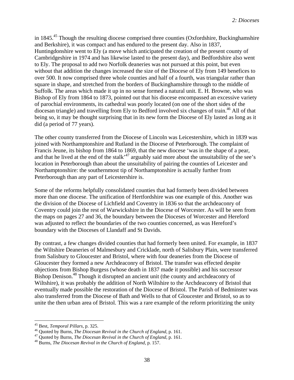in  $1845<sup>45</sup>$  Though the resulting diocese comprised three counties (Oxfordshire, Buckinghamshire and Berkshire), it was compact and has endured to the present day. Also in 1837, Huntingdonshire went to Ely (a move which anticipated the creation of the present county of Cambridgeshire in 1974 and has likewise lasted to the present day), and Bedfordshire also went to Ely. The proposal to add two Norfolk deaneries was not pursued at this point, but even without that addition the changes increased the size of the Diocese of Ely from 149 benefices to over 500. It now comprised three whole counties and half of a fourth, was triangular rather than square in shape, and stretched from the borders of Buckinghamshire through to the middle of Suffolk. The areas which made it up in no sense formed a natural unit. E. H. Browne, who was Bishop of Ely from 1864 to 1873, pointed out that his diocese encompassed an excessive variety of parochial environments, its cathedral was poorly located (on one of the short sides of the diocesan triangle) and travelling from Ely to Bedford involved six changes of train.<sup>46</sup> All of that being so, it may be thought surprising that in its new form the Diocese of Ely lasted as long as it did (a period of 77 years).

The other county transferred from the Diocese of Lincoln was Leicestershire, which in 1839 was joined with Northamptonshire and Rutland in the Diocese of Peterborough. The complaint of Francis Jeune, its bishop from 1864 to 1869, that the new diocese 'was in the shape of a pear, and that he lived at the end of the stalk<sup>47</sup> arguably said more about the unsuitability of the see's location in Peterborough than about the unsuitability of pairing the counties of Leicester and Northamptonshire: the southernmost tip of Northamptonshire is actually further from Peterborough than any part of Leicestershire is.

Some of the reforms helpfully consolidated counties that had formerly been divided between more than one diocese. The unification of Hertfordshire was one example of this. Another was the division of the Diocese of Lichfield and Coventry in 1836 so that the archdeaconry of Coventry could join the rest of Warwickshire in the Diocese of Worcester. As will be seen from the maps on pages 27 and 36, the boundary between the Dioceses of Worcester and Hereford was adjusted to reflect the boundaries of the two counties concerned, as was Hereford's boundary with the Dioceses of Llandaff and St Davids.

By contrast, a few changes divided counties that had formerly been united. For example, in 1837 the Wiltshire Deaneries of Malmesbury and Cricklade, north of Salisbury Plain, were transferred from Salisbury to Gloucester and Bristol, where with four deaneries from the Diocese of Gloucester they formed a new Archdeaconry of Bristol. The transfer was effected despite objections from Bishop Burgess (whose death in 1837 made it possible) and his successor Bishop Denison.<sup>48</sup> Though it disrupted an ancient unit (the county and archdeaconry of Wiltshire), it was probably the addition of North Wiltshire to the Archdeaconry of Bristol that eventually made possible the restoration of the Diocese of Bristol. The Parish of Bedminster was also transferred from the Diocese of Bath and Wells to that of Gloucester and Bristol, so as to unite the then urban area of Bristol. This was a rare example of the reform prioritizing the unity

<sup>&</sup>lt;sup>45</sup> Best, Temporal Pillars, p. 325.

<sup>&</sup>lt;sup>46</sup> Quoted by Burns, *The Diocesan Revival in the Church of England*, p. 161.<br><sup>47</sup> Quoted by Burns, *The Diocesan Revival in the Church of England*, p. 161.<br><sup>48</sup> Burns, *The Diocesan Revival in the Church of England*, p.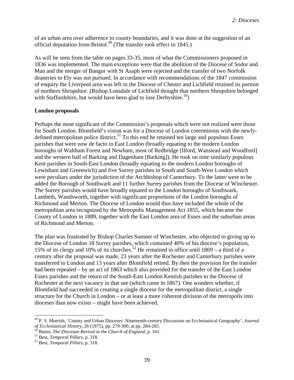of an urban area over adherence to county boundaries, and it was done at the suggestion of an official deputation from Bristol.49 (The transfer took effect in 1845.)

As will be seen from the table on pages 33-35, most of what the Commissioners proposed in 1836 was implemented. The main exceptions were that the abolition of the Diocese of Sodor and Man and the merger of Bangor with St Asaph were rejected and the transfer of two Norfolk deaneries to Ely was not pursued. In accordance with recommendations of the 1847 commission of enquiry the Liverpool area was left in the Diocese of Chester and Lichfield retained its portion of northern Shropshire. (Bishop Lonsdale of Lichfield thought that northern Shropshire belonged with Staffordshire, but would have been glad to lose Derbyshire.<sup>50</sup>)

### **London proposals**

Perhaps the most significant of the Commission's proposals which were not realized were those for South London. Blomfield's vision was for a Diocese of London coterminous with the newlydefined metropolitan police district.<sup>51</sup> To this end he retained ten large and populous Essex parishes that were now de facto in East London (broadly equating to the modern London boroughs of Waltham Forest and Newham, most of Redbridge [Ilford, Wanstead and Woodford] and the western half of Barking and Dagenham [Barking]). He took on nine similarly populous Kent parishes in South-East London (broadly equating to the modern London boroughs of Lewisham and Greenwich) and five Surrey parishes in South and South-West London which were peculiars under the jurisdiction of the Archbishop of Canterbury. To the latter were to be added the Borough of Southwark and 11 further Surrey parishes from the Diocese of Winchester. The Surrey parishes would have broadly equated to the London boroughs of Southwark, Lambeth, Wandsworth, together with significant proportions of the London boroughs of Richmond and Merton. The Diocese of London would thus have included the whole of the metropolitan area recognized by the Metropolis Management Act 1855, which became the County of London in 1889, together with the East London area of Essex and the suburban areas of Richmond and Merton.

The plan was frustrated by Bishop Charles Sumner of Winchester, who objected to giving up to the Diocese of London 18 Surrey parishes, which contained 40% of his diocese's population, 15% of its clergy and 10% of its churches.<sup>52</sup> He remained in office until 1869 – a third of a century after the proposal was made, 23 years after the Rochester and Canterbury parishes were transferred to London and 13 years after Blomfield retired. By then the provision for the transfer had been repealed – by an act of 1863 which also provided for the transfer of the East London Essex parishes and the return of the South-East London Kentish parishes to the Diocese of Rochester at the next vacancy in that see (which came in 1867). One wonders whether, if Blomfield had succeeded in creating a single diocese for the metropolitan district, a single structure for the Church in London – or at least a more coherent division of the metropolis into dioceses than now exists – might have been achieved.

<sup>49</sup> P. S. Morrish, 'County and Urban Dioceses: Nineteenth-century Discussion on Ecclesiastical Geography', *Journal* of Ecclesiastical History, 26 (1975), pp. 279-300, at pp. 284-285.<br><sup>50</sup> Burns, *The Diocesan Revival in the Church of England*, p. 161.<br><sup>51</sup> Best, *Temporal Pillars*, p. 318.<br><sup>52</sup> Best, *Temporal Pillars*, p. 318.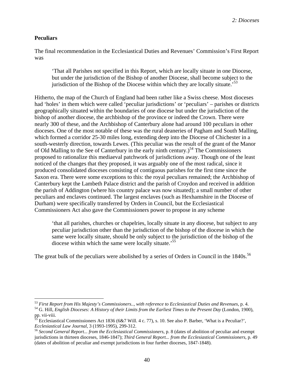### **Peculiars**

The final recommendation in the Ecclesiastical Duties and Revenues' Commission's First Report was

'That all Parishes not specified in this Report, which are locally situate in one Diocese, but under the jurisdiction of the Bishop of another Diocese, shall become subject to the jurisdiction of the Bishop of the Diocese within which they are locally situate.<sup>53</sup>

Hitherto, the map of the Church of England had been rather like a Swiss cheese. Most dioceses had 'holes' in them which were called 'peculiar jurisdictions' or 'peculiars' – parishes or districts geographically situated within the boundaries of one diocese but under the jurisdiction of the bishop of another diocese, the archbishop of the province or indeed the Crown. There were nearly 300 of these, and the Archbishop of Canterbury alone had around 100 peculiars in other dioceses. One of the most notable of these was the rural deaneries of Pagham and South Malling, which formed a corridor 25-30 miles long, extending deep into the Diocese of Chichester in a south-westerly direction, towards Lewes. (This peculiar was the result of the grant of the Manor of Old Malling to the See of Canterbury in the early ninth century.)<sup>54</sup> The Commissioners proposed to rationalize this mediaeval patchwork of jurisdictions away. Though one of the least noticed of the changes that they proposed, it was arguably one of the most radical, since it produced consolidated dioceses consisting of contiguous parishes for the first time since the Saxon era. There were some exceptions to this: the royal peculiars remained; the Archbishop of Canterbury kept the Lambeth Palace district and the parish of Croydon and received in addition the parish of Addington (where his country palace was now situated); a small number of other peculiars and enclaves continued. The largest enclaves (such as Hexhamshire in the Diocese of Durham) were specifically transferred by Orders in Council, but the Ecclesiastical Commissioners Act also gave the Commissioners power to propose in any scheme

'that all parishes, churches or chapelries, locally situate in any diocese, but subject to any peculiar jurisdiction other than the jurisdiction of the bishop of the diocese in which the same were locally situate, should be only subject to the jurisdiction of the bishop of the diocese within which the same were locally situate.<sup>55</sup>

The great bulk of the peculiars were abolished by a series of Orders in Council in the 1840s.<sup>56</sup>

<sup>&</sup>lt;sup>53</sup> First Report from His Majesty's Commissioners.., with reference to Ecclesiastical Duties and Revenues, p. 4.

<sup>&</sup>lt;sup>54</sup> G. Hill, *English Dioceses: A History of their Limits from the Earliest Times to the Present Day* (London, 1900), pp. vii-viii.<br><sup>55</sup> Ecclesiastical Commissioners Act 1836 (6&7 Will. 4 c. 77), s. 10. See also P. Barber, 'What is a Peculiar?',

*Ecclesiastical Law Journal*, 3 (1993-1995), 299-312. 56 *Second General Report... from the Ecclesiastical Commissioners*, p. 8 (dates of abolition of peculiar and exempt

jurisdictions in thirteen dioceses, 1846-1847); *Third General Report... from the Ecclesiastical Commissioners*, p. 49 (dates of abolition of peculiar and exempt jurisdictions in four further dioceses, 1847-1848).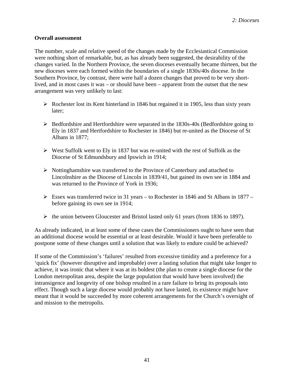### **Overall assessment**

The number, scale and relative speed of the changes made by the Ecclesiastical Commission were nothing short of remarkable, but, as has already been suggested, the desirability of the changes varied. In the Northern Province, the seven dioceses eventually became thirteen, but the new dioceses were each formed within the boundaries of a single 1830s/40s diocese. In the Southern Province, by contrast, there were half a dozen changes that proved to be very shortlived, and in most cases it was – or should have been – apparent from the outset that the new arrangement was very unlikely to last:

- $\triangleright$  Rochester lost its Kent hinterland in 1846 but regained it in 1905, less than sixty years later;
- ¾ Bedfordshire and Hertfordshire were separated in the 1830s-40s (Bedfordshire going to Ely in 1837 and Hertfordshire to Rochester in 1846) but re-united as the Diocese of St Albans in 1877;
- $\triangleright$  West Suffolk went to Ely in 1837 but was re-united with the rest of Suffolk as the Diocese of St Edmundsbury and Ipswich in 1914;
- $\triangleright$  Nottinghamshire was transferred to the Province of Canterbury and attached to Lincolnshire as the Diocese of Lincoln in 1839/41, but gained its own see in 1884 and was returned to the Province of York in 1936;
- $\triangleright$  Essex was transferred twice in 31 years to Rochester in 1846 and St Albans in 1877 before gaining its own see in 1914;
- $\triangleright$  the union between Gloucester and Bristol lasted only 61 years (from 1836 to 1897).

As already indicated, in at least some of these cases the Commissioners ought to have seen that an additional diocese would be essential or at least desirable. Would it have been preferable to postpone some of these changes until a solution that was likely to endure could be achieved?

If some of the Commission's 'failures' resulted from excessive timidity and a preference for a 'quick fix' (however disruptive and improbable) over a lasting solution that might take longer to achieve, it was ironic that where it was at its boldest (the plan to create a single diocese for the London metropolitan area, despite the large population that would have been involved) the intransigence and longevity of one bishop resulted in a rare failure to bring its proposals into effect. Though such a large diocese would probably not have lasted, its existence might have meant that it would be succeeded by more coherent arrangements for the Church's oversight of and mission to the metropolis.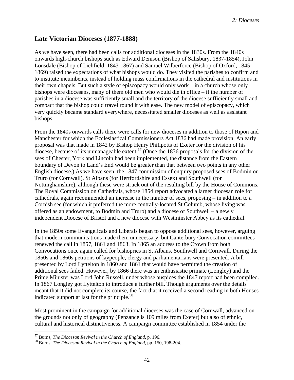# **Late Victorian Dioceses (1877-1888)**

As we have seen, there had been calls for additional dioceses in the 1830s. From the 1840s onwards high-church bishops such as Edward Denison (Bishop of Salisbury, 1837-1854), John Lonsdale (Bishop of Lichfield, 1843-1867) and Samuel Wilberforce (Bishop of Oxford, 1845- 1869) raised the expectations of what bishops would do. They visited the parishes to confirm and to institute incumbents, instead of holding mass confirmations in the cathedral and institutions in their own chapels. But such a style of episcopacy would only work – in a church whose only bishops were diocesans, many of them old men who would die in office – if the number of parishes in a diocese was sufficiently small and the territory of the diocese sufficiently small and compact that the bishop could travel round it with ease. The new model of episcopacy, which very quickly became standard everywhere, necessitated smaller dioceses as well as assistant bishops.

From the 1840s onwards calls there were calls for new dioceses in addition to those of Ripon and Manchester for which the Ecclesiastical Commissioners Act 1836 had made provision. An early proposal was that made in 1842 by Bishop Henry Phillpotts of Exeter for the division of his diocese, because of its unmanageable extent.<sup>57</sup> (Once the 1836 proposals for the division of the sees of Chester, York and Lincoln had been implemented, the distance from the Eastern boundary of Devon to Land's End would be greater than that between two points in any other English diocese.) As we have seen, the 1847 commission of enquiry proposed sees of Bodmin or Truro (for Cornwall), St Albans (for Hertfordshire and Essex) and Southwell (for Nottinghamshire), although these were struck out of the resulting bill by the House of Commons. The Royal Commission on Cathedrals, whose 1854 report advocated a larger diocesan role for cathedrals, again recommended an increase in the number of sees, proposing – in addition to a Cornish see (for which it preferred the more centrally-located St Columb, whose living was offered as an endowment, to Bodmin and Truro) and a diocese of Southwell – a newly independent Diocese of Bristol and a new diocese with Westminster Abbey as its cathedral.

In the 1850s some Evangelicals and Liberals began to oppose additional sees, however, arguing that modern communications made them unnecessary, but Canterbury Convocation committees renewed the call in 1857, 1861 and 1863. In 1865 an address to the Crown from both Convocations once again called for bishoprics in St Albans, Southwell and Cornwall. During the 1850s and 1860s petitions of laypeople, clergy and parliamentarians were presented. A bill presented by Lord Lyttelton in 1860 and 1861 that would have permitted the creation of additional sees failed. However, by 1866 there was an enthusiastic primate (Longley) and the Prime Minister was Lord John Russell, under whose auspices the 1847 report had been compiled. In 1867 Longley got Lyttelton to introduce a further bill. Though arguments over the details meant that it did not complete its course, the fact that it received a second reading in both Houses indicated support at last for the principle.<sup>58</sup>

Most prominent in the campaign for additional dioceses was the case of Cornwall, advanced on the grounds not only of geography (Penzance is 109 miles from Exeter) but also of ethnic, cultural and historical distinctiveness. A campaign committee established in 1854 under the

<sup>57</sup> Burns, *The Diocesan Revival in the Church of England*, p. 196. 58 Burns, *The Diocesan Revival in the Church of England*, pp. 150, 198-204.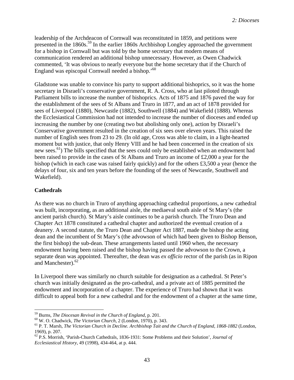leadership of the Archdeacon of Cornwall was reconstituted in 1859, and petitions were presented in the 1860s.<sup>59</sup> In the earlier 1860s Archbishop Longley approached the government for a bishop in Cornwall but was told by the home secretary that modern means of communication rendered an additional bishop unnecessary. However, as Owen Chadwick commented, 'It was obvious to nearly everyone but the home secretary that if the Church of England was episcopal Cornwall needed a bishop.'60

Gladstone was unable to convince his party to support additional bishoprics, so it was the home secretary in Disraeli's conservative government, R. A. Cross, who at last piloted through Parliament bills to increase the number of bishoprics. Acts of 1875 and 1876 paved the way for the establishment of the sees of St Albans and Truro in 1877, and an act of 1878 provided for sees of Liverpool (1880), Newcastle (1882), Southwell (1884) and Wakefield (1888). Whereas the Ecclesiastical Commission had not intended to increase the number of dioceses and ended up increasing the number by one (creating two but abolishing only one), action by Disraeli's Conservative government resulted in the creation of six sees over eleven years. This raised the number of English sees from 23 to 29. (In old age, Cross was able to claim, in a light-hearted moment but with justice, that only Henry VIII and he had been concerned in the creation of six new sees.<sup> $61$ </sup>) The bills specified that the sees could only be established when an endowment had been raised to provide in the cases of St Albans and Truro an income of £2,000 a year for the bishop (which in each case was raised fairly quickly) and for the others £3,500 a year (hence the delays of four, six and ten years before the founding of the sees of Newcastle, Southwell and Wakefield).

#### **Cathedrals**

 $\overline{a}$ 

As there was no church in Truro of anything approaching cathedral proportions, a new cathedral was built, incorporating, as an additional aisle, the mediaeval south aisle of St Mary's (the ancient parish church). St Mary's aisle continues to be a parish church. The Truro Dean and Chapter Act 1878 constituted a cathedral chapter and authorized the eventual creation of a deanery. A second statute, the Truro Dean and Chapter Act 1887, made the bishop the acting dean and the incumbent of St Mary's (the advowson of which had been given to Bishop Benson, the first bishop) the sub-dean. These arrangements lasted until 1960 when, the necessary endowment having been raised and the bishop having passed the advowson to the Crown, a separate dean was appointed. Thereafter, the dean was *ex officio* rector of the parish (as in Ripon and Manchester).<sup>62</sup>

In Liverpool there was similarly no church suitable for designation as a cathedral. St Peter's church was initially designated as the pro-cathedral, and a private act of 1885 permitted the endowment and incorporation of a chapter. The experience of Truro had shown that it was difficult to appeal both for a new cathedral and for the endowment of a chapter at the same time,

<sup>&</sup>lt;sup>59</sup> Burns, *The Diocesan Revival in the Church of England*, p. 201.<br><sup>60</sup> W. O. Chadwick, *The Victorian Church*, 2 (London, 1970), p. 343.<br><sup>61</sup> P. T. Marsh, *The Victorian Church in Decline. Archbishop Tait and the Churc* 1969), p. 207. 62 P.S. Morrish, 'Parish-Church Cathedrals, 1836-1931: Some Problems and their Solution', *Journal of*

*Ecclesiastical History*, 49 (1998), 434-464, at p. 444.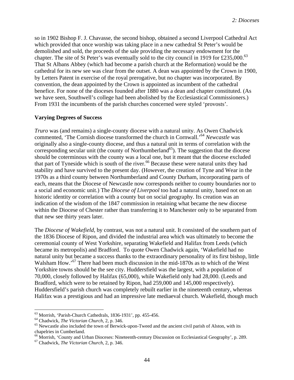so in 1902 Bishop F. J. Chavasse, the second bishop, obtained a second Liverpool Cathedral Act which provided that once worship was taking place in a new cathedral St Peter's would be demolished and sold, the proceeds of the sale providing the necessary endowment for the chapter. The site of St Peter's was eventually sold to the city council in 1919 for £235,000.<sup>63</sup> That St Albans Abbey (which had become a parish church at the Reformation) would be the cathedral for its new see was clear from the outset. A dean was appointed by the Crown in 1900, by Letters Patent in exercise of the royal prerogative, but no chapter was incorporated. By convention, the dean appointed by the Crown is appointed as incumbent of the cathedral benefice. For none of the dioceses founded after 1880 was a dean and chapter constituted. (As we have seen, Southwell's college had been abolished by the Ecclesiastical Commissioners.) From 1931 the incumbents of the parish churches concerned were styled 'provosts'.

#### **Varying Degrees of Success**

*Truro* was (and remains) a single-county diocese with a natural unity. As Owen Chadwick commented, 'The Cornish diocese transformed the church in Cornwall.'<sup>64</sup> *Newcastle* was originally also a single-county diocese, and thus a natural unit in terms of correlation with the corresponding secular unit (the county of Northumberland<sup>65</sup>). The suggestion that the diocese should be coterminous with the county was a local one, but it meant that the diocese excluded that part of Tyneside which is south of the river.<sup>66</sup> Because these were natural units they had stability and have survived to the present day. (However, the creation of Tyne and Wear in the 1970s as a third county between Northumberland and County Durham, incorporating parts of each, means that the Diocese of Newcastle now corresponds neither to county boundaries nor to a social and economic unit.) The *Diocese of Liverpool* too had a natural unity, based not on an historic identity or correlation with a county but on social geography. Its creation was an indication of the wisdom of the 1847 commission in retaining what became the new diocese within the Diocese of Chester rather than transferring it to Manchester only to be separated from that new see thirty years later.

The *Diocese of Wakefield*, by contrast, was not a natural unit. It consisted of the southern part of the 1836 Diocese of Ripon, and divided the industrial area which was ultimately to become the ceremonial county of West Yorkshire, separating Wakefield and Halifax from Leeds (which became its metropolis) and Bradford. To quote Owen Chadwick again, 'Wakefield had no natural unity but became a success thanks to the extraordinary personality of its first bishop, little Walsham How.<sup>'67</sup> There had been much discussion in the mid-1870s as to which of the West Yorkshire towns should be the see city. Huddersfield was the largest, with a population of 70,000, closely followed by Halifax (65,000), while Wakefield only had 28,000. (Leeds and Bradford, which were to be retained by Ripon, had 259,000 and 145,000 respectively). Huddersfield's parish church was completely rebuilt earlier in the nineteenth century, whereas Halifax was a prestigious and had an impressive late mediaeval church. Wakefield, though much

<sup>&</sup>lt;sup>63</sup> Morrish, 'Parish-Church Cathedrals, 1836-1931', pp. 455-456.

<sup>&</sup>lt;sup>64</sup> Chadwick, *The Victorian Church*, 2, p. 346.<br><sup>65</sup> Newcastle also included the town of Berwick-upon-Tweed and the ancient civil parish of Alston, with its chapelries in Cumberland.<br><sup>66</sup> Morrish, 'County and Urban Dioceses: Nineteenth-century Discussion on Ecclesiastical Geography', p. 289.<br><sup>67</sup> Chadwick, *The Victorian Church*, 2, p. 346.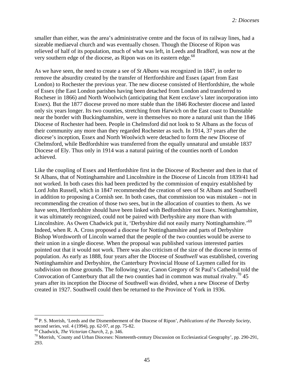smaller than either, was the area's administrative centre and the focus of its railway lines, had a sizeable mediaeval church and was eventually chosen. Though the Diocese of Ripon was relieved of half of its population, much of what was left, in Leeds and Bradford, was now at the very southern edge of the diocese, as Ripon was on its eastern edge.<sup>68</sup>

As we have seen, the need to create a see of *St Albans* was recognized in 1847, in order to remove the absurdity created by the transfer of Hertfordshire and Essex (apart from East London) to Rochester the previous year. The new diocese consisted of Hertfordshire, the whole of Essex (the East London parishes having been detached from London and transferred to Rocheser in 1866) and North Woolwich (anticipating that Kent exclave's later incorporation into Essex). But the 1877 diocese proved no more stable than the 1846 Rochester diocese and lasted only six years longer. Its two counties, stretching from Harwich on the East coast to Dunstable near the border with Buckinghamshire, were in themselves no more a natural unit than the 1846 Diocese of Rochester had been. People in Chelmsford did not look to St Albans as the focus of their community any more than they regarded Rochester as such. In 1914, 37 years after the diocese's inception, Essex and North Woolwich were detached to form the new Diocese of Chelmsford, while Bedfordshire was transferred from the equally unnatural and unstable 1837 Diocese of Ely. Thus only in 1914 was a natural pairing of the counties north of London achieved.

Like the coupling of Essex and Hertfordshire first in the Diocese of Rochester and then in that of St Albans, that of Nottinghamshire and Lincolnshire in the Diocese of Lincoln from 1839/41 had not worked. In both cases this had been predicted by the commission of enquiry established by Lord John Russell, which in 1847 recommended the creation of sees of St Albans and Southwell in addition to proposing a Cornish see. In both cases, that commission too was mistaken – not in recommending the creation of those two sees, but in the allocation of counties to them. As we have seen, Hertfordshire should have been linked with Bedfordshire not Essex. Nottinghamshire, it was ultimately recognized, could not be paired with Derbyshire any more than with Lincolnshire. As Owen Chadwick put it, 'Derbyshire did not easily marry Nottinghamshire.'<sup>69</sup> Indeed, when R. A. Cross proposed a diocese for Nottinghamshire and parts of Derbyshire Bishop Wordsworth of Lincoln warned that the people of the two counties would be averse to their union in a single diocese. When the proposal was published various interested parties pointed out that it would not work. There was also criticism of the size of the diocese in terms of population. As early as 1888, four years after the Diocese of *Southwell* was established, covering Nottinghamshire and Derbyshire, the Canterbury Provincial House of Laymen called for its subdivision on those grounds. The following year, Canon Gregory of St Paul's Cathedral told the Convocation of Canterbury that all the two counties had in common was mutual rivalry.<sup>70</sup> 45 years after its inception the Diocese of Southwell was divided, when a new Diocese of Derby created in 1927. Southwell could then be returned to the Province of York in 1936.

1

<sup>&</sup>lt;sup>68</sup> P. S. Morrish, 'Leeds and the Dismemberment of the Diocese of Ripon', *Publications of the Thoresby Society*, second series, vol. 4 (1994), pp. 62-97, at pp. 75-82.<br><sup>69</sup> Chadwick, *The Victorian Church*, 2, p. 346.

<sup>&</sup>lt;sup>70</sup> Morrish, 'County and Urban Dioceses: Nineteenth-century Discussion on Ecclesiastical Geography', pp. 290-291, 293.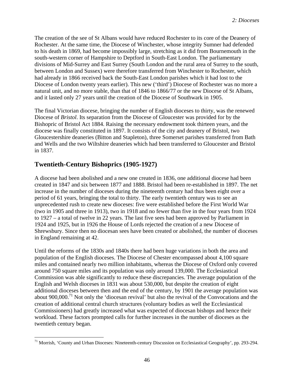The creation of the see of St Albans would have reduced Rochester to its core of the Deanery of Rochester. At the same time, the Diocese of Winchester, whose integrity Sumner had defended to his death in 1869, had become impossibly large, stretching as it did from Bournemouth in the south-western corner of Hampshire to Deptford in South-East London. The parliamentary divisions of Mid-Surrey and East Surrey (South London and the rural area of Surrey to the south, between London and Sussex) were therefore transferred from Winchester to Rochester, which had already in 1866 received back the South-East London parishes which it had lost to the Diocese of London twenty years earlier). This new ('third') Diocese of Rochester was no more a natural unit, and no more stable, than that of 1846 to 1866/77 or the new Diocese of St Albans, and it lasted only 27 years until the creation of the Diocese of Southwark in 1905.

The final Victorian diocese, bringing the number of English dioceses to thirty, was the renewed Diocese of *Bristol*. Its separation from the Diocese of Gloucester was provided for by the Bishopric of Bristol Act 1884. Raising the necessary endowment took thirteen years, and the diocese was finally constituted in 1897. It consists of the city and deanery of Bristol, two Gloucestershire deaneries (Bitton and Stapleton), three Somerset parishes transferred from Bath and Wells and the two Wiltshire deaneries which had been transferred to Gloucester and Bristol in 1837.

# **Twentieth-Century Bishoprics (1905-1927)**

 $\overline{a}$ 

A diocese had been abolished and a new one created in 1836, one additional diocese had been created in 1847 and six between 1877 and 1888. Bristol had been re-established in 1897. The net increase in the number of dioceses during the nineteenth century had thus been eight over a period of 61 years, bringing the total to thirty. The early twentieth century was to see an unprecedented rush to create new dioceses: five were established before the First World War (two in 1905 and three in 1913), two in 1918 and no fewer than five in the four years from 1924 to 1927 – a total of twelve in 22 years. The last five sees had been approved by Parliament in 1924 and 1925, but in 1926 the House of Lords rejected the creation of a new Diocese of Shrewsbury. Since then no diocesan sees have been created or abolished, the number of dioceses in England remaining at 42.

Until the reforms of the 1830s and 1840s there had been huge variations in both the area and population of the English dioceses. The Diocese of Chester encompassed about 4,100 square miles and contained nearly two million inhabitants, whereas the Diocese of Oxford only covered around 750 square miles and its population was only around 139,000. The Ecclesiastical Commission was able significantly to reduce these discrepancies. The average population of the English and Welsh dioceses in 1831 was about 530,000, but despite the creation of eight additional dioceses between then and the end of the century, by 1901 the average population was about 900,000.<sup>71</sup> Not only the 'diocesan revival' but also the revival of the Convocations and the creation of additional central church structures (voluntary bodies as well the Ecclesiastical Commissioners) had greatly increased what was expected of diocesan bishops and hence their workload. These factors prompted calls for further increases in the number of dioceses as the twentieth century began.

<sup>&</sup>lt;sup>71</sup> Morrish, 'County and Urban Dioceses: Nineteenth-century Discussion on Ecclesiastical Geography', pp. 293-294.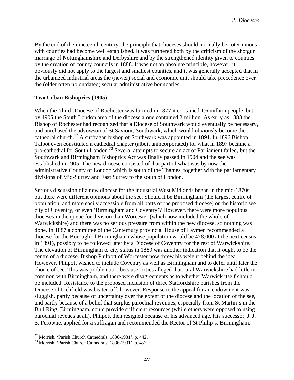By the end of the nineteenth century, the principle that dioceses should normally be coterminous with counties had become well established. It was furthered both by the criticism of the shotgun marriage of Nottinghamshire and Derbyshire and by the strengthened identity given to counties by the creation of county councils in 1888. It was not an absolute principle, however; it obviously did not apply to the largest and smallest counties, and it was generally accepted that in the urbanized industrial areas the (newer) social and economic unit should take precedence over the (older often no outdated) secular administrative boundaries.

### **Two Urban Bishoprics (1905)**

When the 'third' Diocese of Rochester was formed in 1877 it contained 1.6 million people, but by 1905 the South London area of the diocese alone contained 2 million. As early as 1883 the Bishop of Rochester had recognized that a Diocese of Southwark would eventually be necessary, and purchased the advowson of St Saviour, Southwark, which would obviously become the cathedral church.72 A suffragan bishop of Southwark was appointed in 1891. In 1896 Bishop Talbot even constituted a cathedral chapter (albeit unincorporated) for what in 1897 became a pro-cathedral for South London.<sup>73</sup> Several attempts to secure an act of Parliament failed, but the Southwark and Birmingham Bishoprics Act was finally passed in 1904 and the see was established in 1905. The new diocese consisted of that part of what was by now the administrative County of London which is south of the Thames, together with the parliamentary divisions of Mid-Surrey and East Surrey to the south of London.

Serious discussion of a new diocese for the industrial West Midlands began in the mid-1870s, but there were different opinions about the see. Should it be Birmingham (the largest centre of population, and more easily accessible from all parts of the proposed diocese) or the historic see city of Coventry, or even 'Birmingham and Coventry'? However, there were more populous dioceses in the queue for division than Worcester (which now included the whole of Warwickshire) and there was no serious pressure from within the new diocese, so nothing was done. In 1887 a committee of the Canterbury provincial House of Laymen recommended a diocese for the Borough of Birmingham (whose population would be 478,000 at the next census in 1891), possibly to be followed later by a Diocese of Coventry for the rest of Warwickshire. The elevation of Birmingham to city status in 1889 was another indication that it ought to be the centre of a diocese. Bishop Philpott of Worcester now threw his weight behind the idea. However, Philpott wished to include Coventry as well as Birmingham and to defer until later the choice of see. This was problematic, because critics alleged that rural Warwickshire had little in common with Birmingham, and there were disagreements as to whether Warwick itself should be included. Resistance to the proposed inclusion of three Staffordshire parishes from the Diocese of Lichfield was beaten off, however. Response to the appeal for an endowment was sluggish, partly because of uncertainty over the extent of the diocese and the location of the see, and partly because of a belief that surplus parochial revenues, especially from St Martin's in the Bull Ring, Birmingham, could provide sufficient resources (while others were opposed to using parochial reveues at all). Philpott then resigned because of his advanced age. His successor, J. J. S. Perowne, applied for a suffragan and recommended the Rector of St Philip's, Birmingham.

<sup>&</sup>lt;sup>72</sup> Morrish, 'Parish Church Cathedrals, 1836-1931', p. 442.

<sup>&</sup>lt;sup>73</sup> Morrish, 'Parish Church Cathedrals, 1836-1931', p. 453.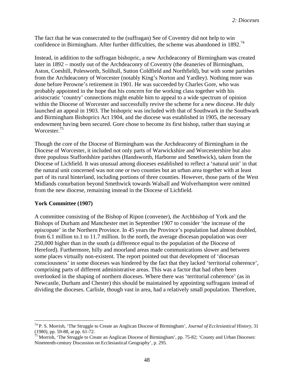The fact that he was consecrated to the (suffragan) See of Coventry did not help to win confidence in Birmingham. After further difficulties, the scheme was abandoned in 1892.<sup>74</sup>

Instead, in addition to the suffragan bishopric, a new Archdeaconry of Birmingham was created later in 1892 – mostly out of the Archdeaconry of Coventry (the deaneries of Birmingham, Aston, Coeshill, Polesworth, Solihull, Sutton Coldfield and Northfield), but with some parishes from the Archdeaconry of Worcester (notably King's Norton and Yardley). Nothing more was done before Perowne's retirement in 1901. He was succeeded by Charles Gore, who was probably appointed in the hope that his concern for the working class together with his aristocratic 'country' connections might enable him to appeal to a wide spectrum of opinion within the Diocese of Worcester and successfully revive the scheme for a new diocese. He duly launched an appeal in 1903. The bishopric was included with that of Southwark in the Southwark and Birmingham Bishoprics Act 1904, and the diocese was established in 1905, the necessary endowment having been secured. Gore chose to become its first bishop, rather than staying at Worcester<sup>75</sup>

Though the core of the Diocese of Birmingham was the Archdeaconry of Birmingham in the Diocese of Worcester, it included not only parts of Warwickshire and Worcestershire but also three populous Staffordshire parishes (Handsworth, Harborne and Smethwick), taken from the Diocese of Lichfield. It was unusual among dioceses established to reflect a 'natural unit' in that the natural unit concerned was not one or two counties but an urban area together with at least part of its rural hinterland, including portions of three counties. However, those parts of the West Midlands conurbation beyond Smethwick towards Walsall and Wolverhampton were omitted from the new diocese, remaining instead in the Diocese of Lichfield.

#### **York Committee (1907)**

 $\overline{a}$ 

A committee consisting of the Bishop of Ripon (convener), the Archbishop of York and the Bishops of Durham and Manchester met in September 1907 to consider 'the increase of the episcopate' in the Northern Province. In 45 years the Province's population had almost doubled, from 6.1 million to.1 to 11.7 million. In the north, the average diocesan population was over 250,000 higher than in the south (a difference equal to the population of the Diocese of Hereford). Furthermore, hilly and moorland areas made communications slower and between some places virtually non-existent. The report pointed out that development of 'diocesan consciousness' in some dioceses was hindered by the fact that they lacked 'territorial coherence', comprising parts of different administrative areas. This was a factor that had often been overlooked in the shaping of northern dioceses. Where there was 'territorial coherence' (as in Newcastle, Durham and Chester) this should be maintained by appointing suffragans instead of dividing the dioceses. Carlisle, though vast in area, had a relatively small population. Therefore,

<sup>74</sup> P. S. Morrish, 'The Struggle to Create an Anglican Diocese of Birmingham', *Journal of Ecclesiastical History*, 31 (1980), pp. 59-88, at pp. 61-72.<br><sup>75</sup> Morrish, 'The Struggle to Create an Anglican Diocese of Birmingham', pp. 75-82; 'County and Urban Dioceses:

Nineteenth-century Discussion on Ecclesiastical Geography', p. 295.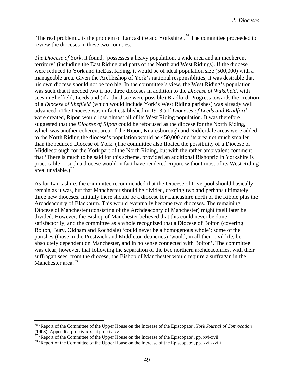'The real problem... is the problem of Lancashire and Yorkshire'.76 The committee proceeded to review the dioceses in these two counties.

*The Diocese of York*, it found, 'possesses a heavy population, a wide area and an incoherent territory' (including the East Riding and parts of the North and West Ridings). If the diocese were reduced to York and theEast Riding, it would be of ideal population size (500,000) with a manageable area. Given the Archbishop of York's national responsiblities, it was desirable that his own diocese should not be too big. In the committee's view, the West Riding's population was such that it needed two if not three dioceses in addition to the *Diocese of Wakefield*, with sees in Sheffield, Leeds and (if a third see were possible) Bradford. Progress towards the creation of a *Diocese of Sheffield* (which would include York's West Riding parishes) was already well advanced. (The Diocese was in fact established in 1913.) If *Dioceses of Leeds and Bradford* were created, Ripon would lose almost all of its West Riding population. It was therefore suggested that the *Diocese of Ripon* could be refocused as the diocese for the North Riding, which was another coherent area. If the Ripon, Knaresborough and Nidderdale areas were added to the North Riding the diocese's population would be 450,000 and its area not much smaller than the reduced Diocese of York. (The committee also floated the possibility of a Diocese of Middlesbrough for the York part of the North Riding, but with the rather ambivalent comment that 'There is much to be said for this scheme, provided an additional Bishopric in Yorkshire is practicable' – such a diocese would in fact have rendered Ripon, without most of its West Riding area, unviable.) $^{77}$ 

As for Lancashire, the committee recommended that the Diocese of Liverpool should basically remain as it was, but that Manchester should be divided, creating two and perhaps ultimately three new dioceses. Initially there should be a diocese for Lancashire north of the Ribble plus the Archdeaconry of Blackburn. This would eventually become two dioceses. The remaining Diocese of Manchester (consisting of the Archdeaconry of Manchester) might itself later be divided. However, the Bishop of Manchester believed that this could never be done satisfactorily, and the committee as a whole recognized that a Diocese of Bolton (covering Bolton, Bury, Oldham and Rochdale) 'could never be a homogenous whole'; some of the parishes (those in the Prestwich and Middleton deaneries) 'would, in all their civil life, be absolutely dependent on Manchester, and in no sense connected with Bolton'. The committee was clear, however, that following the separation of the two northern archdeaconries, with their suffragan sees, from the diocese, the Bishop of Manchester would require a suffragan in the Manchester area.<sup>78</sup>

<sup>76 &#</sup>x27;Report of the Committee of the Upper House on the Increase of the Episcopate', *York Journal of Convocation* (1908), Appendix, pp. xiv-xix, at pp. xiv-xv.<br>
<sup>77</sup> 'Report of the Committee of the Upper House on the Increase of the Episcopate', pp. xvi-xvii.<br>
<sup>78</sup> 'Report of the Committee of the Upper House on the Increase of the Ep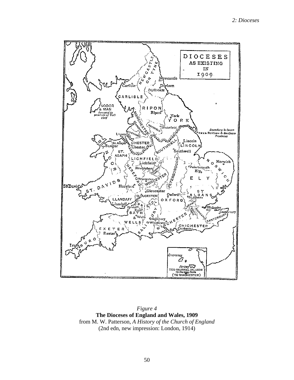

*Figure 4*  **The Dioceses of England and Wales, 1909**  from M. W. Patterson, *A History of the Church of England* (2nd edn, new impression: London, 1914)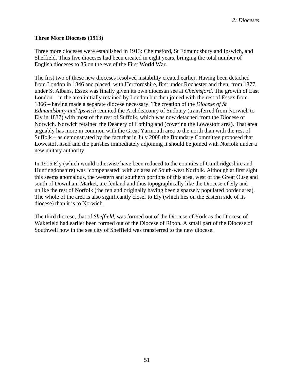### **Three More Dioceses (1913)**

Three more dioceses were established in 1913: Chelmsford, St Edmundsbury and Ipswich, and Sheffield. Thus five dioceses had been created in eight years, bringing the total number of English dioceses to 35 on the eve of the First World War.

The first two of these new dioceses resolved instability created earlier. Having been detached from London in 1846 and placed, with Hertfordshire, first under Rochester and then, from 1877, under St Albans, Essex was finally given its own diocesan see at *Chelmsford*. The growth of East London – in the area initially retained by London but then joined with the rest of Essex from 1866 – having made a separate diocese necessary. The creation of the *Diocese of St Edmundsbury and Ipswich* reunited the Archdeaconry of Sudbury (transferred from Norwich to Ely in 1837) with most of the rest of Suffolk, which was now detached from the Diocese of Norwich. Norwich retained the Deanery of Lothingland (covering the Lowestoft area). That area arguably has more in common with the Great Yarmouth area to the north than with the rest of Suffolk – as demonstrated by the fact that in July 2008 the Boundary Committee proposed that Lowestoft itself and the parishes immediately adjoining it should be joined with Norfolk under a new unitary authority.

In 1915 Ely (which would otherwise have been reduced to the counties of Cambridgeshire and Huntingdonshire) was 'compensated' with an area of South-west Norfolk. Although at first sight this seems anomalous, the western and southern portions of this area, west of the Great Ouse and south of Downham Market, are fenland and thus topographically like the Diocese of Ely and unlike the rest of Norfolk (the fenland originally having been a sparsely populated border area). The whole of the area is also significantly closer to Ely (which lies on the eastern side of its diocese) than it is to Norwich.

The third diocese, that of *Sheffield*, was formed out of the Diocese of York as the Diocese of Wakefield had earlier been formed out of the Diocese of Ripon. A small part of the Diocese of Southwell now in the see city of Sheffield was transferred to the new diocese.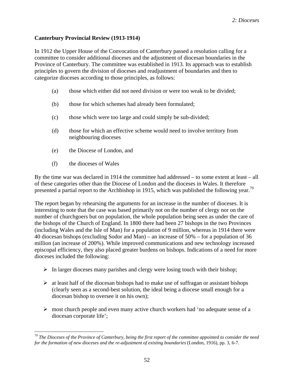### **Canterbury Provincial Review (1913-1914)**

In 1912 the Upper House of the Convocation of Canterbury passed a resolution calling for a committee to consider additional dioceses and the adjustment of diocesan boundaries in the Province of Canterbury. The committee was established in 1913. Its approach was to establish principles to govern the division of dioceses and readjustment of boundaries and then to categorize dioceses according to those principles, as follows:

- (a) those which either did not need division or were too weak to be divided;
- (b) those for which schemes had already been formulated;
- (c) those which were too large and could simply be sub-divided;
- (d) those for which an effective scheme would need to involve territory from neighbouring dioceses
- (e) the Diocese of London, and
- (f) the dioceses of Wales

 $\overline{a}$ 

By the time war was declared in 1914 the committee had addressed – to some extent at least – all of these categories other than the Diocese of London and the dioceses in Wales. It therefore presented a partial report to the Archbishop in 1915, which was published the following year.<sup>79</sup>

The report began by rehearsing the arguments for an increase in the number of dioceses. It is interesting to note that the case was based primarily not on the number of clergy nor on the number of churchgoers but on population, the whole population being seen as under the care of the bishops of the Church of England. In 1800 there had been 27 bishops in the two Provinces (including Wales and the Isle of Man) for a population of 9 million, whereas in 1914 there were 40 diocesan bishops (excluding Sodor and Man) – an increase of 50% – for a population of 36 million (an increase of 200%). While improved communications and new technology increased episcopal efficiency, they also placed greater burdens on bishops. Indications of a need for more dioceses included the following:

- $\triangleright$  In larger dioceses many parishes and clergy were losing touch with their bishop;
- $\triangleright$  at least half of the diocesan bishops had to make use of suffragan or assistant bishops (clearly seen as a second-best solution, the ideal being a diocese small enough for a diocesan bishop to oversee it on his own);
- $\triangleright$  most church people and even many active church workers had 'no adequate sense of a diocesan corporate life';

<sup>79</sup> *The Dioceses of the Province of Canterbury, being the first report of the committee appointed to consider the need for the formation of new dioceses and the re-adjustment of existing boundaries* (London, 1916), pp. 3, 6-7.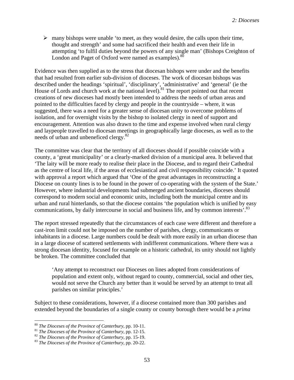$\triangleright$  many bishops were unable 'to meet, as they would desire, the calls upon their time, thought and strength' and some had sacrificed their health and even their life in attempting 'to fulfil duties beyond the powers of any single man' (Bishops Creighton of London and Paget of Oxford were named as examples).<sup>80</sup>

Evidence was then supplied as to the stress that diocesan bishops were under and the benefits that had resulted from earlier sub-division of dioceses. The work of diocesan bishops was described under the headings 'spiritual', 'disciplinary', 'administrative' and 'general' (ie the House of Lords and church work at the national level).<sup>81</sup> The report pointed out that recent creations of new dioceses had mostly been intended to address the needs of urban areas and pointed to the difficulties faced by clergy and people in the countryside – where, it was suggested, there was a need for a greater sense of diocesan unity to overcome problems of isolation, and for overnight visits by the bishop to isolated clergy in need of support and encouragement. Attention was also drawn to the time and expense involved when rural clergy and laypeople travelled to diocesan meetings in geographically large dioceses, as well as to the needs of urban and unbeneficed clergy.82

The committee was clear that the territory of all dioceses should if possible coincide with a county, a 'great municipality' or a clearly-marked division of a municipal area. It believed that 'The laity will be more ready to realise their place in the Diocese, and to regard their Cathedral as the centre of local life, if the areas of ecclesiastical and civil responsibility coincide.' It quoted with approval a report which argued that 'One of the great advantages in reconstructing a Diocese on county lines is to be found in the power of co-operating with the system of the State.' However, where industrial developments had submerged ancient boundaries, dioceses should correspond to modern social and economic units, including both the municipal centre and its urban and rural hinterlands, so that the diocese contains 'the population which is unified by easy communications, by daily intercourse in social and business life, and by common interests'.<sup>83</sup>

The report stressed repeatedly that the circumstances of each case were different and therefore a cast-iron limit could not be imposed on the number of parishes, clergy, communicants or inhabitants in a diocese. Large numbers could be dealt with more easily in an urban diocese than in a large diocese of scattered settlements with indifferent communications. Where there was a strong diocesan identity, focused for example on a historic cathedral, its unity should not lightly be broken. The committee concluded that

'Any attempt to reconstruct our Dioceses on lines adopted from considerations of population and extent only, without regard to county, commercial, social and other ties, would not serve the Church any better than it would be served by an attempt to treat all parishes on similar principles.'

Subject to these considerations, however, if a diocese contained more than 300 parishes and extended beyond the boundaries of a single county or county borough there would be a *prima* 

<sup>&</sup>lt;sup>80</sup> The Dioceses of the Province of Canterbury, pp. 10-11.

<sup>&</sup>lt;sup>81</sup> The Dioceses of the Province of Canterbury, pp. 12-15.<br><sup>82</sup> The Dioceses of the Province of Canterbury, pp. 15-19.<br><sup>83</sup> The Dioceses of the Province of Canterbury, pp. 20-22.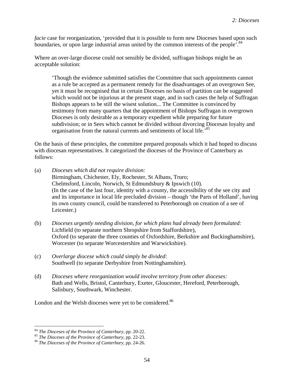*facie* case for reorganization, 'provided that it is possible to form new Dioceses based upon such boundaries, or upon large industrial areas united by the common interests of the people'.<sup>84</sup>

Where an over-large diocese could not sensibly be divided, suffragan bishops might be an acceptable solution:

'Though the evidence submitted satisfies the Committee that such appointments cannot as a rule be accepted as a permanent remedy for the disadvantages of an overgrown See, yet it must be recognised that in certain Dioceses no basis of partition can be suggested which would not be injurious at the present stage, and in such cases the help of Suffragan Bishops appears to be still the wisest solution... The Committee is convinced by testimony from many quarters that the appointment of Bishops Suffragan in overgrown Dioceses is only desirable as a temporary expedient while preparing for future subdivision; or in Sees which cannot be divided without divorcing Diocesan loyalty and organisation from the natural currents and sentiments of local life.<sup>85</sup>

On the basis of these principles, the committee prepared proposals which it had hoped to discuss with diocesan representatives. It categorized the dioceses of the Province of Canterbury as follows:

- (a) *Dioceses which did not require division:* Birmingham, Chichester, Ely, Rochester, St Albans, Truro; Chelmsford, Lincoln, Norwich, St Edmundsbury & Ipswich (10). (In the case of the last four, identity with a county, the accessibility of the see city and and its importance in local life precluded division – though 'the Parts of Holland', having its own county council, could be transferred to Peterborough on creation of a see of Leicester.)
- (b) *Dioceses urgently needing division, for which plans had already been formulated:* Lichfield (to separate northern Shropshire from Staffordshire), Oxford (to separate the three counties of Oxfordshire, Berkshire and Buckinghamshire), Worcester (to separate Worcestershire and Warwickshire).
- (c) *Overlarge diocese which could simply be divided:* Southwell (to separate Derbyshire from Nottinghamshire).
- (d) *Dioceses where reorganization would involve territory from other dioceses:* Bath and Wells, Bristol, Canterbury, Exeter, Gloucester, Hereford, Peterborough, Salisbury, Southwark, Winchester.

London and the Welsh dioceses were yet to be considered.<sup>86</sup>

 $84$  The Dioceses of the Province of Canterbury, pp. 20-22.

<sup>84</sup> *The Dioceses of the Province of Canterbury*, pp. 20-22. <sup>85</sup> *The Dioceses of the Province of Canterbury*, pp. 22-23. <sup>86</sup> *The Dioceses of the Province of Canterbury*, pp. 24-26.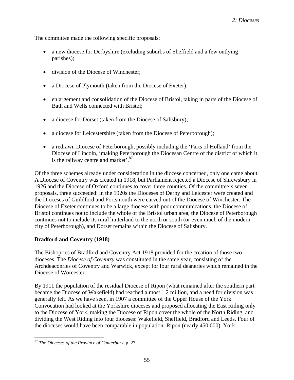The committee made the following specific proposals:

- a new diocese for Derbyshire (excluding suburbs of Sheffield and a few outlying parishes);
- division of the Diocese of Winchester:
- a Diocese of Plymouth (taken from the Diocese of Exeter);
- enlargement and consolidation of the Diocese of Bristol, taking in parts of the Diocese of Bath and Wells connected with Bristol;
- a diocese for Dorset (taken from the Diocese of Salisbury);
- a diocese for Leicestershire (taken from the Diocese of Peterborough);
- a redrawn Diocese of Peterborough, possibly including the 'Parts of Holland' from the Diocese of Lincoln, 'making Peterborough the Diocesan Centre of the district of which it is the railway centre and market'. $87$

Of the three schemes already under consideration in the diocese concerned, only one came about. A Diocese of Coventry was created in 1918, but Parliament rejected a Diocese of Shrewsbury in 1926 and the Diocese of Oxford continues to cover three counties. Of the committee's seven proposals, three succeeded: in the 1920s the Dioceses of Derby and Leicester were created and the Dioceses of Guildford and Portsmouth were carved out of the Diocese of Winchester. The Diocese of Exeter continues to be a large diocese with poor communications, the Diocese of Bristol continues not to include the whole of the Bristol urban area, the Diocese of Peterborough continues not to include its rural hinterland to the north or south (or even much of the modern city of Peterborough), and Dorset remains within the Diocese of Salisbury.

### **Bradford and Coventry (1918)**

The Bishoprics of Bradford and Coventry Act 1918 provided for the creation of those two dioceses. The *Diocese of Coventry* was constituted in the same year, consisting of the Archdeaconries of Coventry and Warwick, except for four rural deaneries which remained in the Diocese of Worcester.

By 1911 the population of the residual Diocese of Ripon (what remained after the southern part became the Diocese of Wakefield) had reached almost 1.2 million, and a need for division was generally felt. As we have seen, in 1907 a committee of the Upper House of the York Convocation had looked at the Yorkshire dioceses and proposed allocating the East Riding only to the Diocese of York, making the Diocese of Ripon cover the whole of the North Riding, and dividing the West Riding into four dioceses: Wakefield, Sheffield, Bradford and Leeds. Four of the dioceses would have been comparable in population: Ripon (nearly 450,000), York

<sup>&</sup>lt;u>.</u> <sup>87</sup> *The Dioceses of the Province of Canterbury*, p. 27.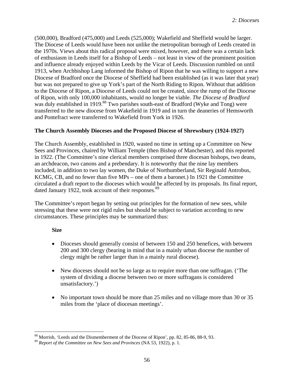(500,000), Bradford (475,000) and Leeds (525,000); Wakefield and Sheffield would be larger. The Diocese of Leeds would have been not unlike the metropolitan borough of Leeds created in the 1970s. Views about this radical proposal were mixed, however, and there was a certain lack of enthusiasm in Leeds itself for a Bishop of Leeds – not least in view of the prominent position and influence already enjoyed within Leeds by the Vicar of Leeds. Discussion rumbled on until 1913, when Archbishop Lang informed the Bishop of Ripon that he was willing to support a new Diocese of Bradford once the Diocese of Sheffield had been established (as it was later that year) but was not prepared to give up York's part of the North Riding to Ripon. Without that addition to the Diocese of Ripon, a Diocese of Leeds could not be created, since the rump of the Diocese of Ripon, with only 100,000 inhabitants, would no longer be viable. *The Diocese of Bradford* was duly established in 1919.<sup>88</sup> Two parishes south-east of Bradford (Wyke and Tong) were transferred to the new diocese from Wakefield in 1919 and in turn the deaneries of Hemsworth and Pontefract were transferred to Wakefield from York in 1926.

#### **The Church Assembly Dioceses and the Proposed Diocese of Shrewsbury (1924-1927)**

The Church Assembly, established in 1920, wasted no time in setting up a Committee on New Sees and Provinces, chaired by William Temple (then Bishop of Manchester), and this reported in 1922. (The Committee's nine clerical members comprised three diocesan bishops, two deans, an archdeacon, two canons and a prebendary. It is noteworthy that the nine lay members included, in addition to two lay women, the Duke of Northumberland, Sir Reginald Antrobus, KCMG, CB, and no fewer than five MPs – one of them a baronet.) In 1921 the Committee circulated a draft report to the dioceses which would be affected by its proposals. Its final report, dated January 1922, took account of their responses.<sup>89</sup>

The Committee's report began by setting out principles for the formation of new sees, while stressing that these were not rigid rules but should be subject to variation according to new circumstances. These principles may be summarized thus:

#### **Size**

1

- Dioceses should generally consist of between 150 and 250 benefices, with between 200 and 300 clergy (bearing in mind that in a mainly urban diocese the number of clergy might be rather larger than in a mainly rural diocese).
- New dioceses should not be so large as to require more than one suffragan. ('The system of dividing a diocese between two or more suffragans is considered unsatisfactory.')
- No important town should be more than 25 miles and no village more than 30 or 35 miles from the 'place of diocesan meetings'.

<sup>&</sup>lt;sup>88</sup> Morrish, 'Leeds and the Dismemberment of the Diocese of Ripon', pp. 82, 85-86, 88-9, 93.<br><sup>89</sup> *Report of the Committee on New Sees and Provinces* (NA 53, 1922), p. 1.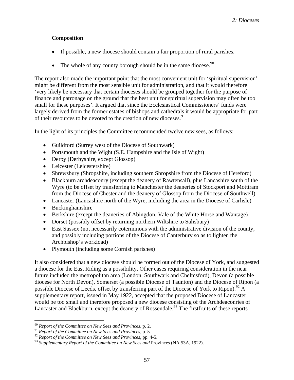# **Composition**

- If possible, a new diocese should contain a fair proportion of rural parishes.
- The whole of any county borough should be in the same diocese.<sup>90</sup>

The report also made the important point that the most convenient unit for 'spiritual supervision' might be different from the most sensible unit for administration, and that it would therefore 'very likely be necessary that certain dioceses should be grouped together for the purpose of finance and patronage on the ground that the best unit for spiritual supervision may often be too small for these purposes'. It argued that since the Ecclesiastical Commissioners' funds were largely derived from the former estates of bishops and cathedrals it would be appropriate for part of their resources to be devoted to the creation of new dioceses.<sup>91</sup>

In the light of its principles the Committee recommended twelve new sees, as follows:

- Guildford (Surrey west of the Diocese of Southwark)
- Portsmouth and the Wight (S.E. Hampshire and the Isle of Wight)
- Derby (Derbyshire, except Glossop)
- Leicester (Leicestershire)
- Shrewsbury (Shropshire, including southern Shropshire from the Diocese of Hereford)
- Blackburn archdeaconry (except the deanery of Rawtensall), plus Lancashire south of the Wyre (to be offset by transferring to Manchester the deaneries of Stockport and Motttram from the Diocese of Chester and the deanery of Glossop from the Diocese of Southwell)
- Lancaster (Lancashire north of the Wyre, including the area in the Diocese of Carlisle)
- Buckinghamshire

 $\overline{a}$ 

- Berkshire (except the deaneries of Abingdon, Vale of the White Horse and Wantage)
- Dorset (possibly offset by returning northern Wiltshire to Salisbury)
- East Sussex (not necessarily coterminous with the administrative division of the county, and possibly including portions of the Diocese of Canterbury so as to lighten the Archbishop's workload)
- Plymouth (including some Cornish parishes)

It also considered that a new diocese should be formed out of the Diocese of York, and suggested a diocese for the East Riding as a possibility. Other cases requiring consideration in the near future included the metropolitan area (London, Southwark and Chelmsford), Devon (a possible diocese for North Devon), Somerset (a possible Diocese of Taunton) and the Diocese of Ripon (a possible Diocese of Leeds, offset by transferring part of the Diocese of York to Ripon).<sup>92</sup> A supplementary report, issued in May 1922, accepted that the proposed Diocese of Lancaster would be too small and therefore proposed a new diocese consisting of the Archdeaconries of Lancaster and Blackburn, except the deanery of Rossendale.<sup>93</sup> The firstfruits of these reports

<sup>90</sup> *Report of the Committee on New Sees and Provinces*, p. 2.

<sup>91</sup> *Report of the Committee on New Sees and Provinces*, p. 5.

<sup>92</sup> *Report of the Committee on New Sees and Provinces*, pp. 4-5.

<sup>93</sup> *Supplementary Report of the Committee on New Sees and* Provinces (NA 53A, 1922).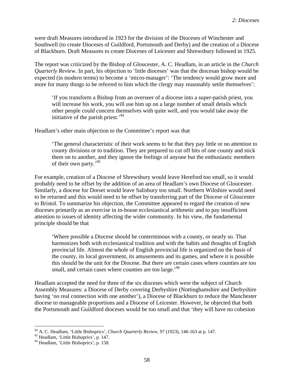were draft Measures introduced in 1923 for the division of the Dioceses of Winchester and Southwell (to create Dioceses of Guildford, Portsmouth and Derby) and the creation of a Diocese of Blackburn. Draft Measures to create Dioceses of Leicester and Shrewsbury followed in 1925.

The report was criticized by the Bishop of Gloucester, A. C. Headlam, in an article in the *Church Quarterly Review*. In part, his objection to 'little dioceses' was that the diocesan bishop would be expected (in modern terms) to become a 'micro-manager': 'The tendency would grow more and more for many things to be referred to him which the clergy may reasonably settle themselves':

'If you transform a Bishop from an overseer of a diocese into a super-parish priest, you will increase his work, you will use him up on a large number of small details which other people could concern themselves with quite well, and you would take away the initiative of the parish priest.<sup>94</sup>

Headlam's other main objection to the Committee's report was that

'The general characteristic of their work seems to be that they pay little or no attention to county divisions or to tradition. They are prepared to cut off bits of one county and stick them on to another, and they ignore the feelings of anyone but the enthusiastic members of their own party.'<sup>95</sup>

For example, creation of a Diocese of Shrewsbury would leave Hereford too small, so it would probably need to be offset by the addition of an area of Headlam's own Diocese of Gloucester. Similarly, a diocese for Dorset would leave Salisbury too small. Northern Wiltshire would need to be returned and this would need to be offset by transferring part of the Diocese of Gloucester to Bristol. To summarize his objection, the Committee appeared to regard the creation of new dioceses primarily as an exercise in in-house ecclesiastical arithmetic and to pay insufficient attention to issues of identity affecting the wider community. In his view, the fundamental principle should be that

'Where possible a Diocese should be conterminous with a county, or nearly so. That harmonizes both with ecclesiastical tradition and with the habits and thoughts of English provincial life. Almost the whole of English provincial life is organized on the basis of the county, its local government, its amusements and its games, and where it is possible this should be the unit for the Diocese. But there are certain cases where counties are too small, and certain cases where counties are too large.<sup>'96</sup>

Headlam accepted the need for three of the six dioceses which were the subject of Church Assembly Measures: a Diocese of Derby covering Derbyshire (Nottinghamshire and Derbyshire having 'no real connection with one another'), a Diocese of Blackburn to reduce the Manchester diocese to manageable proportions and a Diocese of Leicester. However, he objected that both the Portsmouth and Guildford dioceses would be too small and that 'they will have no cohesion

 $\overline{a}$ 94 A. C. Headlam, 'Little Bishoprics', *Church Quarterly Review*, 97 (1923), 146-163 at p. 147.

<sup>&</sup>lt;sup>96</sup> Headlam, 'Little Bishoprics', p. 158.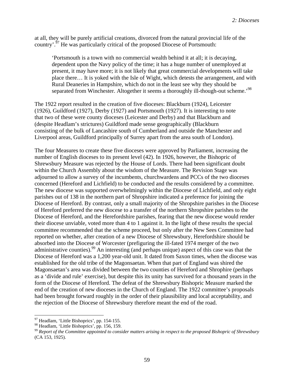at all, they will be purely artificial creations, divorced from the natural provincial life of the country'.97 He was particularly critical of the proposed Diocese of Portsmouth:

'Portsmouth is a town with no commercial wealth behind it at all; it is decaying, dependent upon the Navy policy of the time; it has a huge number of unemployed at present, it may have more; it is not likely that great commercial developments will take place there… It is yoked with the Isle of Wight, which detests the arrangement, and with Rural Deaneries in Hampshire, which do not in the least see why they should be separated from Winchester. Altogether it seems a thoroughly ill-though-out scheme.'<sup>98</sup>

The 1922 report resulted in the creation of five dioceses: Blackburn (1924), Leicester (1926), Guildford (1927), Derby (1927) and Portsmouth (1927). It is interesting to note that two of these were county dioceses (Leicester and Derby) and that Blackburn and (despite Headlam's strictures) Guildford made sense geographically (Blackburn consisting of the bulk of Lancashire south of Cumberland and outside the Manchester and Liverpool areas, Guildford principally of Surrey apart from the area south of London).

The four Measures to create these five dioceses were approved by Parliament, increasing the number of English dioceses to its present level (42). In 1926, however, the Bishopric of Shrewsbury Measure was rejected by the House of Lords. There had been significant doubt within the Church Assembly about the wisdom of the Measure. The Revision Stage was adjourned to allow a survey of the incumbents, churchwardens and PCCs of the two dioceses concerned (Hereford and Lichfield) to be conducted and the results considered by a committee. The new diocese was supported overwhelmingly within the Diocese of Lichfield, and only eight parishes out of 138 in the northern part of Shropshire indicated a preference for joining the Diocese of Hereford. By contrast, only a small majority of the Shropshire parishes in the Diocese of Hereford preferred the new diocese to a transfer of the northern Shropshire parishes to the Diocese of Hereford, and the Herefordshire parishes, fearing that the new diocese would render their diocese unviable, voted more than 4 to 1 against it. In the light of these results the special committee recommended that the scheme proceed, but only after the New Sees Committee had reported on whether, after creation of a new Diocese of Shrewsbury, Herefordshire should be absorbed into the Diocese of Worcester (prefiguring the ill-fated 1974 merger of the two administrative counties).<sup>99</sup> An interesting (and perhaps unique) aspect of this case was that the Diocese of Hereford was a 1,200 year-old unit. It dated from Saxon times, when the diocese was established for the old tribe of the Magonsaetan. When that part of England was shired the Magonsaetan's area was divided between the two counties of Hereford and Shrophire (perhaps as a 'divide and rule' exercise), but despite this its unity has survived for a thousand years in the form of the Diocese of Hereford. The defeat of the Shrewsbury Bishopric Measure marked the end of the creation of new dioceses in the Church of England. The 1922 committee's proposals had been brought forward roughly in the order of their plausibility and local acceptability, and the rejection of the Diocese of Shrewsbury therefore meant the end of the road.

<sup>97</sup> Headlam, 'Little Bishoprics', pp. 154-155.

<sup>&</sup>lt;sup>98</sup> Headlam, 'Little Bishoprics', pp. 156, 159.<br><sup>99</sup> *Report of the Committee appointed to consider matters arising in respect to the proposed Bishopric of Shrewsbury* (CA 153, 1925).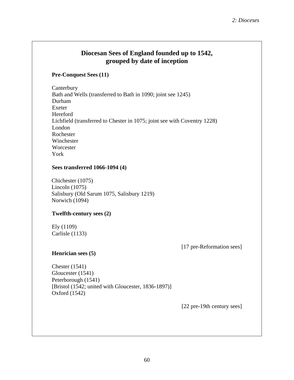# **Diocesan Sees of England founded up to 1542, grouped by date of inception**

### **Pre-Conquest Sees (11)**

**Canterbury** Bath and Wells (transferred to Bath in 1090; joint see 1245) Durham Exeter Hereford Lichfield (transferred to Chester in 1075; joint see with Coventry 1228) London Rochester Winchester **Worcester** York

### **Sees transferred 1066-1094 (4)**

Chichester (1075) Lincoln (1075) Salisbury (Old Sarum 1075, Salisbury 1219) Norwich (1094)

# **Twelfth-century sees (2)**

Ely (1109) Carlisle (1133)

### **Henrician sees (5)**

[17 pre-Reformation sees]

Chester (1541) Gloucester (1541) Peterborough (1541) [Bristol (1542; united with Gloucester, 1836-1897)] Oxford (1542)

[22 pre-19th century sees]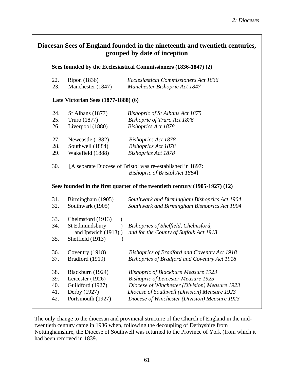# **Diocesan Sees of England founded in the nineteenth and twentieth centuries, grouped by date of inception**

#### **Sees founded by the Ecclesiastical Commissioners (1836-1847) (2)**

| 22. | Ripon (1836)      | Ecclesiastical Commissioners Act 1836 |
|-----|-------------------|---------------------------------------|
| 23. | Manchester (1847) | <b>Manchester Bishopric Act 1847</b>  |

#### **Late Victorian Sees (1877-1888) (6)**

| 24. | St Albans (1877) | <b>Bishopric of St Albans Act 1875</b> |
|-----|------------------|----------------------------------------|
| 25. | Truro (1877)     | <b>Bishopric of Truro Act 1876</b>     |
| 26. | Liverpool (1880) | <b>Bishoprics Act 1878</b>             |
| 27. | Newcastle (1882) | <b>Bishoprics Act 1878</b>             |
| 28. | Southwell (1884) | <b>Bishoprics Act 1878</b>             |
| 29. | Wakefield (1888) | <b>Bishoprics Act 1878</b>             |
|     |                  |                                        |

30. [A separate Diocese of Bristol was re-established in 1897: *Bishopric of Bristol Act 1884*]

#### **Sees founded in the first quarter of the twentieth century (1905-1927) (12)**

| 31.<br>32. | Birmingham (1905)<br>Southwark (1905)    | Southwark and Birmingham Bishoprics Act 1904<br>Southwark and Birmingham Bishoprics Act 1904 |
|------------|------------------------------------------|----------------------------------------------------------------------------------------------|
| 33.        | Chelmsford (1913)                        |                                                                                              |
| 34.        | St Edmundsbury<br>and Ipswich $(1913)$ ) | Bishoprics of Sheffield, Chelmsford,<br>and for the County of Suffolk Act 1913               |
| 35.        | Sheffield (1913)                         |                                                                                              |
| 36.        | Coventry (1918)                          | <b>Bishoprics of Bradford and Coventry Act 1918</b>                                          |
| 37.        | Bradford (1919)                          | <b>Bishoprics of Bradford and Coventry Act 1918</b>                                          |
| 38.        | Blackburn (1924)                         | <b>Bishopric of Blackburn Measure 1923</b>                                                   |
| 39.        | Leicester (1926)                         | <b>Bishopric of Leicester Measure 1925</b>                                                   |
| 40.        | Guildford (1927)                         | Diocese of Winchester (Division) Measure 1923                                                |
| 41.        | Derby (1927)                             | Diocese of Southwell (Division) Measure 1923                                                 |
| 42.        | Portsmouth (1927)                        | Diocese of Winchester (Division) Measure 1923                                                |

The only change to the diocesan and provincial structure of the Church of England in the midtwentieth century came in 1936 when, following the decoupling of Derbyshire from Nottinghamshire, the Diocese of Southwell was returned to the Province of York (from which it had been removed in 1839.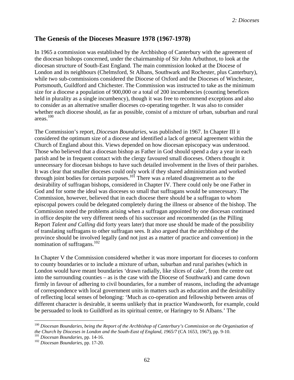# **The Genesis of the Dioceses Measure 1978 (1967-1978)**

In 1965 a commission was established by the Archbishop of Canterbury with the agreement of the diocesan bishops concerned, under the chairmanship of Sir John Arbuthnot, to look at the diocesan structure of South-East England. The main commission looked at the Diocese of London and its neighbours (Chelmsford, St Albans, Southwark and Rochester, plus Canterbury), while two sub-commissions considered the Diocese of Oxford and the Dioceses of Winchester, Portsmouth, Guildford and Chichester. The Commission was instructed to take as the minimum size for a diocese a population of 900,000 or a total of 200 incumbencies (counting benefices held in plurality as a single incumbency), though it was free to recommend exceptions and also to consider as an alternative smaller dioceses co-operating together. It was also to consider whether each diocese should, as far as possible, consist of a mixture of urban, suburban and rural areas.100

The Commission's report, *Diocesan Boundaries*, was published in 1967. In Chapter III it considered the optimum size of a diocese and identified a lack of general agreement within the Church of England about this. Views depended on how diocesan episcopacy was understood. Those who believed that a diocesan bishop as Father in God should spend a day a year in each parish and be in frequent contact with the clergy favoured small dioceses. Others thought it unnecessary for diocesan bishops to have such detailed involvement in the lives of their parishes. It was clear that smaller dioceses could only work if they shared administration and worked through joint bodies for certain purposes.<sup>101</sup> There was a related disagreement as to the desirability of suffragan bishops, considered in Chapter IV. There could only be one Father in God and for some the ideal was dioceses so small that suffragans would be unnecessary. The Commission, however, believed that in each diocese there should be a suffragan to whom episcopal powers could be delegated completely during the illness or absence of the bishop. The Commission noted the problems arising when a suffragan appointed by one diocesan continued in office despite the very different needs of his successor and recommended (as the Pilling Report *Talent and Calling* did forty years later) that more use should be made of the possibility of translating suffragans to other suffragan sees. It also argued that the archbishop of the province should be involved legally (and not just as a matter of practice and convention) in the nomination of suffragans.<sup>102</sup>

In Chapter V the Commission considered whether it was more important for dioceses to conform to county boundaries or to include a mixture of urban, suburban and rural parishes (which in London would have meant boundaries 'drawn radially, like slices of cake', from the centre out into the surrounding counties – as is the case with the Diocese of Southwark) and came down firmly in favour of adhering to civil boundaries, for a number of reasons, including the advantage of correspondence with local government units in matters such as education and the desirability of reflecting local senses of belonging: 'Much as co-operation and fellowship between areas of different character is desirable, it seems unlikely that in practice Wandsworth, for example, could be persuaded to look to Guildford as its spiritual centre, or Haringey to St Albans.' The

<sup>100</sup> *Diocesan Boundaries, being the Report of the Archbishop of Canterbury's Commission on the Organisation of the Church by Dioceses in London and the South-East of England, 1965/7* (CA 1653, 1967), pp. 9-10.<br><sup>101</sup> *Diocesan Boundaries*, pp. 14-16.<br><sup>102</sup> *Diocesan Boundaries*, pp. 17-20.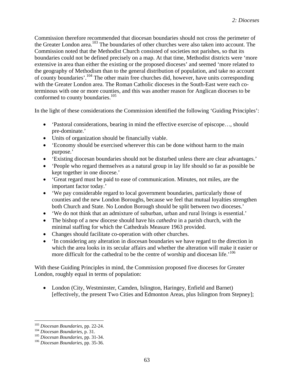Commission therefore recommended that diocesan boundaries should not cross the perimeter of the Greater London area.<sup>103</sup> The boundaries of other churches were also taken into account. The Commission noted that the Methodist Church consisted of societies not parishes, so that its boundaries could not be defined precisely on a map. At that time, Methodist districts were 'more extensive in area than either the existing or the proposed dioceses' and seemed 'more related to the geography of Methodism than to the general distribution of population, and take no account of county boundaries'.<sup>104</sup> The other main free churches did, however, have units corresponding with the Greater London area. The Roman Catholic dioceses in the South-East were each coterminous with one or more counties, and this was another reason for Anglican dioceses to be conformed to county boundaries.<sup>105</sup>

In the light of these considerations the Commission identified the following 'Guiding Principles':

- 'Pastoral considerations, bearing in mind the effective exercise of episcope..., should pre-dominate.'
- Units of organization should be financially viable.
- 'Economy should be exercised wherever this can be done without harm to the main purpose.'
- 'Existing diocesan boundaries should not be disturbed unless there are clear advantages.'
- 'People who regard themselves as a natural group in lay life should so far as possible be kept together in one diocese.'
- 'Great regard must be paid to ease of communication. Minutes, not miles, are the important factor today.'
- 'We pay considerable regard to local government boundaries, particularly those of counties and the new London Boroughs, because we feel that mutual loyalties strengthen both Church and State. No London Borough should be split between two dioceses.'
- 'We do not think that an admixture of suburban, urban and rural livings is essential.'
- The bishop of a new diocese should have his *cathedra* in a parish church, with the minimal staffing for which the Cathedrals Measure 1963 provided.
- Changes should facilitate co-operation with other churches.
- 'In considering any alteration in diocesan boundaries we have regard to the direction in which the area looks in its secular affairs and whether the alteration will make it easier or more difficult for the cathedral to be the centre of worship and diocesan life.<sup>'106</sup>

With these Guiding Principles in mind, the Commission proposed five dioceses for Greater London, roughly equal in terms of population:

• London (City, Westminster, Camden, Islington, Haringey, Enfield and Barnet) [effectively, the present Two Cities and Edmonton Areas, plus Islington from Stepney];

 $103$  Diocesan Boundaries, pp. 22-24.

<sup>&</sup>lt;sup>104</sup> *Diocesan Boundaries*, p. 31.<br><sup>105</sup> *Diocesan Boundaries*, pp. 31-34.<br><sup>106</sup> *Diocesan Boundaries*, pp. 35-36.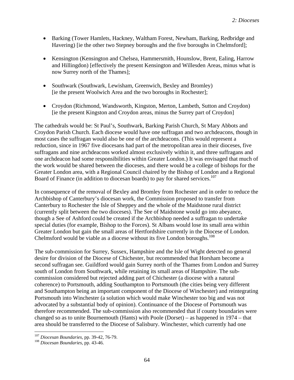- Barking (Tower Hamlets, Hackney, Waltham Forest, Newham, Barking, Redbridge and Havering) [ie the other two Stepney boroughs and the five boroughs in Chelmsford];
- Kensington (Kensington and Chelsea, Hammersmith, Hounslow, Brent, Ealing, Harrow and Hillingdon) [effectively the present Kensington and Willesden Areas, minus what is now Surrey north of the Thames];
- Southwark (Southwark, Lewisham, Greenwich, Bexley and Bromley) [ie the present Woolwich Area and the two boroughs in Rochester];
- Croydon (Richmond, Wandsworth, Kingston, Merton, Lambeth, Sutton and Croydon) [ie the present Kingston and Croydon areas, minus the Surrey part of Croydon]

The cathedrals would be: St Paul's, Southwark, Barking Parish Church, St Mary Abbots and Croydon Parish Church. Each diocese would have one suffragan and two archdeacons, though in most cases the suffragan would also be one of the archdeacons. (This would represent a reduction, since in 1967 five diocesans had part of the metropolitan area in their dioceses, five suffragans and nine archdeacons worked almost exclusively within it, and three suffragans and one archdeacon had some responsibilities within Greater London.) It was envisaged that much of the work would be shared between the dioceses, and there would be a college of bishops for the Greater London area, with a Regional Council chaired by the Bishop of London and a Regional Board of Finance (in addition to diocesan boards) to pay for shared services.<sup>107</sup>

In consequence of the removal of Bexley and Bromley from Rochester and in order to reduce the Archbishop of Canterbury's diocesan work, the Commission proposed to transfer from Canterbury to Rochester the Isle of Sheppey and the whole of the Maidstone rural district (currently split between the two dioceses). The See of Maidstone would go into abeyance, though a See of Ashford could be created if the Archbishop needed a suffragan to undertake special duties (for example, Bishop to the Forces). St Albans would lose its small area within Greater London but gain the small areas of Hertfordshire currently in the Diocese of London. Chelmsford would be viable as a diocese without its five London boroughs.<sup>108</sup>

The sub-commission for Surrey, Sussex, Hampshire and the Isle of Wight detected no general desire for division of the Diocese of Chichester, but recommended that Horsham become a second suffragan see. Guildford would gain Surrey north of the Thames from London and Surrey south of London from Southwark, while retaining its small areas of Hampshire. The subcommission considered but rejected adding part of Chichester (a diocese with a natural coherence) to Portsmouth, adding Southampton to Portsmouth (the cities being very different and Southampton being an important component of the Diocese of Winchester) and reintegrating Portsmouth into Winchester (a solution which would make Winchester too big and was not advocated by a substantial body of opinion). Continuance of the Diocese of Portsmouth was therefore recommended. The sub-commission also recommended that if county boundaries were changed so as to unite Bournemouth (Hants) with Poole (Dorset) – as happened in 1974 – that area should be transferred to the Diocese of Salisbury. Winchester, which currently had one

1

<sup>107</sup> *Diocesan Boundaries*, pp. 39-42, 76-79. <sup>108</sup> *Diocesan Boundaries*, pp. 43-46.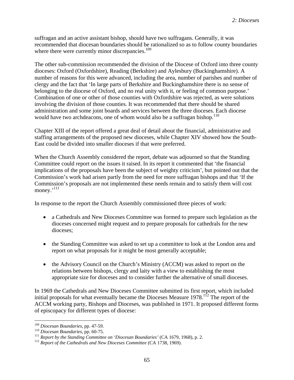suffragan and an active assistant bishop, should have two suffragans. Generally, it was recommended that diocesan boundaries should be rationalized so as to follow county boundaries where there were currently minor discrepancies.<sup>109</sup>

The other sub-commission recommended the division of the Diocese of Oxford into three county dioceses: Oxford (Oxfordshire), Reading (Berkshire) and Aylesbury (Buckinghamshire). A number of reasons for this were advanced, including the area, number of parishes and number of clergy and the fact that 'In large parts of Berkshire and Buckinghamshire there is no sense of belonging to the diocese of Oxford, and no real unity with it, or feeling of common purpose.' Combination of one or other of those counties with Oxfordshire was rejected, as were solutions involving the division of those counties. It was recommended that there should be shared administration and some joint boards and services between the three dioceses. Each diocese would have two archdeacons, one of whom would also be a suffragan bishop.<sup>110</sup>

Chapter XIII of the report offered a great deal of detail about the financial, administrative and staffing arrangements of the proposed new dioceses, while Chapter XIV showed how the South-East could be divided into smaller dioceses if that were preferred.

When the Church Assembly considered the report, debate was adjourned so that the Standing Committee could report on the issues it raised. In its report it commented that 'the financial implications of the proposals have been the subject of weighty criticism', but pointed out that the Commission's work had arisen partly from the need for more suffragan bishops and that 'If the Commission's proposals are not implemented these needs remain and to satisfy them will cost money.'<sup>111</sup>

In response to the report the Church Assembly commissioned three pieces of work:

- a Cathedrals and New Dioceses Committee was formed to prepare such legislation as the dioceses concerned might request and to prepare proposals for cathedrals for the new dioceses;
- the Standing Committee was asked to set up a committee to look at the London area and report on what proposals for it might be most generally acceptable;
- the Advisory Council on the Church's Ministry (ACCM) was asked to report on the relations between bishops, clergy and laity with a view to establishing the most appropriate size for dioceses and to consider further the alternative of small dioceses.

In 1969 the Cathedrals and New Dioceses Committee submitted its first report, which included initial proposals for what eventually became the Dioceses Measure 1978.<sup>112</sup> The report of the ACCM working party, Bishops and Dioceses, was published in 1971. It proposed different forms of episcopacy for different types of diocese:

<u>.</u>

<sup>&</sup>lt;sup>109</sup> Diocesan Boundaries, pp. 47-59.<br><sup>110</sup> Diocesan Boundaries, pp. 60-75.<br><sup>111</sup> Report by the Standing Committee on 'Diocesan Boundaries' (CA 1679, 1968), p. 2.<br><sup>112</sup> Report of the Cathedrals and New Dioceses Committee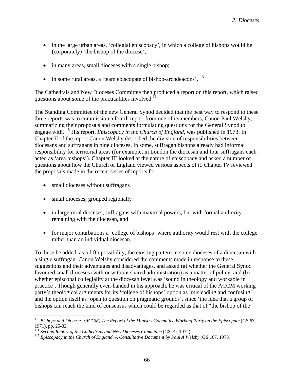- in the large urban areas, 'collegial episcopacy', in which a college of bishops would be (corporately) 'the bishop of the diocese';
- in many areas, small dioceses with a single bishop;
- in some rural areas, a 'team episcopate of bishop-archdeacons'.<sup>113</sup>

The Cathedrals and New Dioceses Committee then produced a report on this report, which raised questions about some of the practicalities involved.<sup>114</sup>

The Standing Committee of the new General Synod decided that the best way to respond to these three reports was to commission a fourth report from one of its members, Canon Paul Welsby, summarizing their proposals and comments formulating questions for the General Synod to engage with.115 His report, *Episcopacy in the Church of England*, was published in 1973. In Chapter II of the report Canon Welsby described the division of responsibilities between diocesans and suffragans in nine dioceses. In some, suffragan bishops already had informal responsibility for territorial areas (for example, in London the diocesan and four suffragans each acted as 'area bishops'). Chapter III looked at the nature of episcopacy and asked a number of questions about how the Church of England viewed various aspects of it. Chapter IV reviewed the proposals made in the recent series of reports for

- small dioceses without suffragans
- small dioceses, grouped regionally

1

- in large rural dioceses, suffragans with maximal powers, but with formal authority remaining with the diocesan, and
- for major conurbations a 'college of bishops' where authority would rest with the college rather than an individual diocesan.

To these he added, as a fifth possibility, the existing pattern in some dioceses of a diocesan with a single suffragan. Canon Welsby considered the comments made in response to these suggestions and their advantages and disadvantages, and asked (a) whether the General Synod favoured small dioceses (with or without shared administration) as a matter of policy, and (b) whether episcopal collegiality at the diocesan level was 'sound in theology and workable in practice'. Though generally even-handed in his approach, he was critical of the ACCM working party's theological arguments for its 'college of bishops' option as 'misleading and confusing' and the option itself as 'open to question on pragmatic grounds', since 'the idea that a group of bishops can reach the kind of consensus which could be regarded as that of "the bishop of the

<sup>&</sup>lt;sup>113</sup> Bishops and Dioceses (ACCM) The Report of the Ministry Committee Working Party on the Episcopate (GS 63, 1971), pp. 25-32.<br><sup>114</sup> Second Report of the Cathedrals and New Dioceses Committee (GS 79, 1972).<br><sup>115</sup> Episcopacy in the Church of England. A Consultative Document by Paul A Welsby (GS 167, 1973).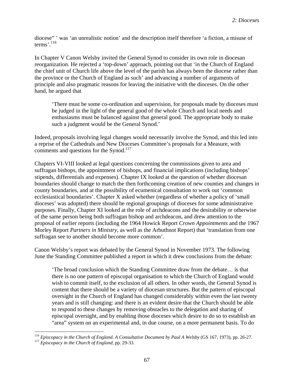diocese" ' was 'an unrealistic notion' and the description itself therefore 'a fiction, a misuse of terms'.116

In Chapter V Canon Welsby invited the General Synod to consider its own role in diocesan reorganization. He rejected a 'top-down' approach, pointing out that 'in the Church of England the chief unit of Church life above the level of the parish has always been the diocese rather than the province or the Church of England as such' and advancing a number of arguments of principle and also pragmatic reasons for leaving the initiative with the dioceses. On the other hand, he argued that

'There must be some co-ordination and supervision, for proposals made by dioceses must be judged in the light of the general good of the whole Church and local needs and enthusiasms must be balanced against that general good. The appropriate body to make such a judgment would be the General Synod.'

Indeed, proposals involving legal changes would necessarily involve the Synod, and this led into a reprise of the Cathedrals and New Dioceses Committee's proposals for a Measure, with comments and questions for the Synod.<sup>117</sup>

Chapters VI-VIII looked at legal questions concerning the commissions given to area and suffragan bishops, the appointment of bishops, and financial implications (including bishops' stipends, differentials and expenses). Chapter IX looked at the question of whether diocesan boundaries should change to match the then forthcoming creation of new counties and changes in county boundaries, and at the possibility of ecumenical consultation to work out 'common ecclesiastical boundaries'. Chapter X asked whether (regardless of whether a policy of 'small dioceses' was adopted) there should be regional groupings of dioceses for some administrative purposes. Finally, Chapter XI looked at the role of archdeacons and the desirability or otherwise of the same person being both suffragan bishop and archdeacon, and drew attention to the proposal of earlier reports (including the 1964 Howick Report *Crown Appointments* and the 1967 Morley Report *Partners in Ministry*, as well as the Arbuthnot Report) that 'translation from one suffragan see to another should become more common'.

Canon Welsby's report was debated by the General Synod in November 1973. The following June the Standing Committee published a report in which it drew conclusions from the debate:

'The broad conclusion which the Standing Committee draw from the debate… is that there is no one pattern of episcopal organisation to which the Church of England would wish to commit itself, to the exclusion of all others. In other words, the General Synod is content that there should be a variety of diocesan structures. But the pattern of episcopal oversight in the Church of England has changed considerably within even the last twenty years and is still changing: and there is an evident desire that the Church should be able to respond to these changes by removing obstacles to the delegation and sharing of episcopal oversight, and by enabling those dioceses which desire to do so to establish an "area" system on an experimental and, in due course, on a more permanent basis. To do

1

<sup>116</sup> *Episcopacy in the Church of England. A Consultative Document by Paul A Welsby* (GS 167, 1973), pp. 26-27. <sup>117</sup> *Episcopacy in the Church of England*, pp. 29-33.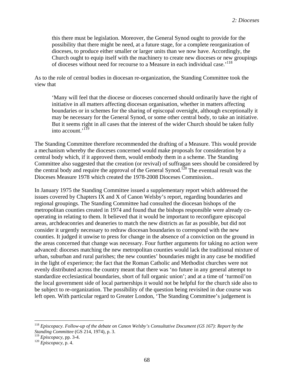this there must be legislation. Moreover, the General Synod ought to provide for the possibility that there might be need, at a future stage, for a complete reorganization of dioceses, to produce either smaller or larger units than we now have. Accordingly, the Church ought to equip itself with the machinery to create new dioceses or new groupings of dioceses without need for recourse to a Measure in each individual case.<sup>118</sup>

As to the role of central bodies in diocesan re-organization, the Standing Committee took the view that

'Many will feel that the diocese or dioceses concerned should ordinarily have the right of initiative in all matters affecting diocesan organisation, whether in matters affecting boundaries or in schemes for the sharing of episcopal oversight, although exceptionally it may be necessary for the General Synod, or some other central body, to take an initiative. But it seems right in all cases that the interest of the wider Church should be taken fully into account.<sup>119</sup>

The Standing Committee therefore recommended the drafting of a Measure. This would provide a mechanism whereby the dioceses concerned would make proposals for consideration by a central body which, if it approved them, would embody them in a scheme. The Standing Committee also suggested that the creation (or revival) of suffragan sees should be considered by the central body and require the approval of the General Synod.120 The eventual result was the Dioceses Measure 1978 which created the 1978-2008 Dioceses Commission..

In January 1975 the Standing Committee issued a supplementary report which addressed the issues covered by Chapters IX and X of Canon Welsby's report, regarding boundaries and regional groupings. The Standing Committee had consulted the diocesan bishops of the metropolitan counties created in 1974 and found that the bishops responsible were already cooperating in relating to them. It believed that it would be important to reconfigure episcopal areas, archdeaconries and deaneries to match the new districts as far as possible, but did not consider it urgently necessary to redraw diocesan boundaries to correspond with the new counties. It judged it unwise to press for change in the absence of a conviction on the ground in the areas concerned that change was necessary. Four further arguments for taking no action were advanced: dioceses matching the new metropolitan counties would lack the traditional mixture of urban, suburban and rural parishes; the new counties' boundaries might in any case be modified in the light of experience; the fact that the Roman Catholic and Methodist churches were not evenly distributed across the country meant that there was 'no future in any general attempt to standardize ecclesiastical boundaries, short of full organic union'; and at a time of 'turmoil'on the local government side of local partnerships it would not be helpful for the church side also to be subject to re-organization. The possibility of the question being revisited in due course was left open. With particular regard to Greater London, 'The Standing Committee's judgement is

<sup>118</sup> *Episcopacy. Follow-up of the debate on Canon Welsby's Consultative Document (GS 167): Report by the Standing Committee* (GS 214, 1974), p. 3. <sup>119</sup> *Episcopacy*, pp. 3-4. 120 *Episcopacy*, p. 4.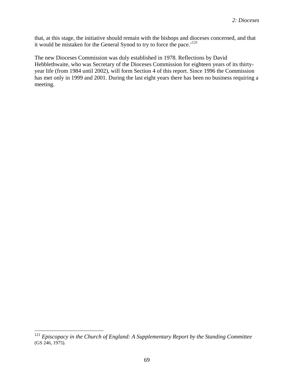that, at this stage, the initiative should remain with the bishops and dioceses concerned, and that it would be mistaken for the General Synod to try to force the pace.'121

The new Dioceses Commission was duly established in 1978. Reflections by David Hebblethwaite, who was Secretary of the Dioceses Commission for eighteen years of its thirtyyear life (from 1984 until 2002), will form Section 4 of this report. Since 1996 the Commission has met only in 1999 and 2001. During the last eight years there has been no business requiring a meeting.

<sup>121</sup> *Episcopacy in the Church of England: A Supplementary Report by the Standing Committee*  (GS 246, 1975).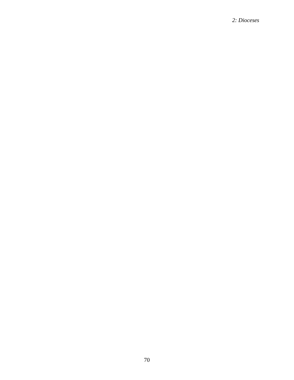*2: Dioceses*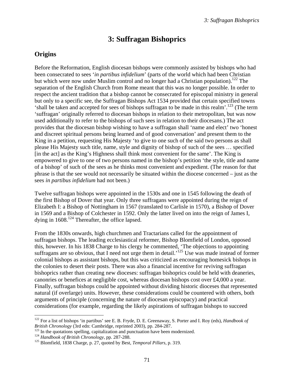## **3: Suffragan Bishoprics**

#### **Origins**

Before the Reformation, English diocesan bishops were commonly assisted by bishops who had been consecrated to sees '*in partibus infidelium*' (parts of the world which had been Christian but which were now under Muslim control and no longer had a Christian population).<sup>122</sup> The separation of the English Church from Rome meant that this was no longer possible. In order to respect the ancient tradition that a bishop cannot be consecrated for episcopal ministry in general but only to a specific see, the Suffragan Bishops Act 1534 provided that certain specified towns 'shall be taken and accepted for sees of bishops suffragan to be made in this realm'. 123 (The term 'suffragan' originally referred to diocesan bishops in relation to their metropolitan, but was now used additionally to refer to the bishops of such sees in relation to their diocesans.) The act provides that the diocesan bishop wishing to have a suffragan shall 'name and elect' two 'honest and discreet spiritual persons being learned and of good conversation' and present them to the King in a petition, requesting His Majesty 'to give to one such of the said two persons as shall please His Majesty such title, name, style and dignity of bishop of such of the sees … specified [in the act] as the King's Highness shall think most convenient for the same'. The King is empowered to give to one of two persons named in the bishop's petition 'the style, title and name of a bishop' of such of the sees as he thinks most convenient and expedient. (The reason for that phrase is that the see would not necessarily be situated within the diocese concerned – just as the sees *in partibus infidelium* had not been.)

Twelve suffragan bishops were appointed in the 1530s and one in 1545 following the death of the first Bishop of Dover that year. Only three suffragans were appointed during the reign of Elizabeth I: a Bishop of Nottingham in 1567 (translated to Carlisle in 1570), a Bishop of Dover in 1569 and a Bishop of Colchester in 1592. Only the latter lived on into the reign of James I, dying in 1608.<sup>124</sup> Thereafter, the office lapsed.

From the 1830s onwards, high churchmen and Tractarians called for the appointment of suffragan bishops. The leading ecclesiastical reformer, Bishop Blomfield of London, opposed this, however. In his 1838 Charge to his clergy he commented, 'The objections to appointing suffragans are so obvious, that I need not urge them in detail.<sup> $125$ </sup> Use was made instead of former colonial bishops as assistant bishops, but this was criticized as encouraging homesick bishops in the colonies to desert their posts. There was also a financial incentive for reviving suffragan bishoprics rather than creating new dioceses: suffragan bishoprics could be held with deaneries, canonries or benefices at negligible cost, whereas diocesan bishops cost over £4,000 a year. Finally, suffragan bishops could be appointed without dividing historic dioceses that represented natural (if overlarge) units. However, these considerations could be countered with others, both arguments of principle (concerning the nature of diocesan episcopacy) and practical considerations (for example, regarding the likely aspirations of suffragan bishops to succeed

1

<sup>122</sup> For a list of bishops 'in partibus' see E. B. Fryde, D. E. Greenaway, S. Porter and I. Roy (eds), *Handbook of British Chronology* (3rd edn: Cambridge, reprinted 2003), pp. 284-287.<br><sup>123</sup> In the quotations spelling, capitalization and punctuation have been modernized.<br><sup>124</sup> *Handbook of British Chronology*, pp. 287-288.<br><sup>125</sup> Blo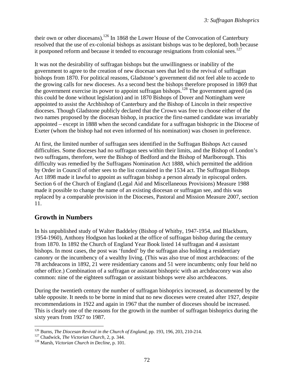their own or other diocesans).<sup>126</sup> In 1868 the Lower House of the Convocation of Canterbury resolved that the use of ex-colonial bishops as assistant bishops was to be deplored, both because it postponed reform and because it tended to encourage resignations from colonial sees.<sup>127</sup>

It was not the desirability of suffragan bishops but the unwillingness or inability of the government to agree to the creation of new diocesan sees that led to the revival of suffragan bishops from 1870. For political reasons, Gladstone's government did not feel able to accede to the growing calls for new dioceses. As a second best the bishops therefore proposed in 1869 that the government exercise its power to appoint suffragan bishops.<sup>128</sup> The government agreed (as this could be done without legislation) and in 1870 Bishops of Dover and Nottingham were appointed to assist the Archbishop of Canterbury and the Bishop of Lincoln in their respective dioceses. Though Gladstone publicly declared that the Crown was free to choose either of the two names proposed by the diocesan bishop, in practice the first-named candidate was invariably appointed – except in 1888 when the second candidate for a suffragan bishopric in the Diocese of Exeter (whom the bishop had not even informed of his nomination) was chosen in preference.

At first, the limited number of suffragan sees identified in the Suffragan Bishops Act caused difficulties. Some dioceses had no suffragan sees within their limits, and the Bishop of London's two suffragans, therefore, were the Bishop of Bedford and the Bishop of Marlborough. This difficulty was remedied by the Suffragans Nomination Act 1888, which permitted the addition by Order in Council of other sees to the list contained in the 1534 act. The Suffragan Bishops Act 1898 made it lawful to appoint as suffragan bishop a person already in episcopal orders. Section 6 of the Church of England (Legal Aid and Miscellaneous Provisions) Measure 1988 made it possible to change the name of an existing diocesan or suffragan see, and this was replaced by a comparable provision in the Dioceses, Pastoral and Mission Measure 2007, section 11.

#### **Growth in Numbers**

In his unpublished study of Walter Baddeley (Bishop of Whitby, 1947-1954, and Blackburn, 1954-1960), Anthony Hodgson has looked at the office of suffragan bishop during the century from 1870. In 1892 the Church of England Year Book listed 14 suffragan and 4 assistant bishops. In most cases, the post was 'funded' by the suffragan also holding a residentiary canonry or the incumbency of a wealthy living. (This was also true of most archdeacons: of the 78 archdeacons in 1892, 21 were residentiary canons and 51 were incumbents; only four held no other office.) Combination of a suffragan or assistant bishopric with an archdeaconry was also common: nine of the eighteen suffragan or assistant bishops were also archdeacons.

During the twentieth century the number of suffragan bishoprics increased, as documented by the table opposite. It needs to be borne in mind that no new dioceses were created after 1927, despite recommendations in 1922 and again in 1967 that the number of dioceses should be increased. This is clearly one of the reasons for the growth in the number of suffragan bishoprics during the sixty years from 1927 to 1987.

<sup>126</sup> Burns, *The Diocesan Revival in the Church of England*, pp. 193, 196, 203, 210-214. 127 Chadwick, *The Victorian Church*, 2, p. 344. 128 Marsh, *Victorian Church in Decline*, p. 101.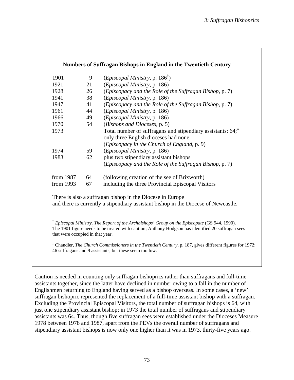| 1901      | 9  | ( <i>Episcopal Ministry</i> , p. $186^{\dagger}$ )                                                                                                                                                   |
|-----------|----|------------------------------------------------------------------------------------------------------------------------------------------------------------------------------------------------------|
| 1921      | 21 | (Episcopal Ministry, p. 186)                                                                                                                                                                         |
| 1928      | 26 | (Episcopacy and the Role of the Suffragan Bishop, p. 7)                                                                                                                                              |
| 1941      | 38 | (Episcopal Ministry, p. 186)                                                                                                                                                                         |
| 1947      | 41 | (Episcopacy and the Role of the Suffragan Bishop, p. 7)                                                                                                                                              |
| 1961      | 44 | (Episcopal Ministry, p. 186)                                                                                                                                                                         |
| 1966      | 49 | (Episcopal Ministry, p. 186)                                                                                                                                                                         |
| 1970      | 54 | (Bishops and Dioceses, p. 5)                                                                                                                                                                         |
| 1973      |    | Total number of suffragans and stipendiary assistants: $64$ <sup>7</sup><br>only three English dioceses had none.<br>( <i>Episcopacy in the Church of England</i> , p. 9)                            |
| 1974      | 59 | (Episcopal Ministry, p. 186)                                                                                                                                                                         |
| 1983      | 62 | plus two stipendiary assistant bishops                                                                                                                                                               |
|           |    | (Episcopacy and the Role of the Suffragan Bishop, p. 7)                                                                                                                                              |
| from 1987 | 64 | (following creation of the see of Brixworth)                                                                                                                                                         |
|           |    |                                                                                                                                                                                                      |
| from 1993 | 67 | including the three Provincial Episcopal Visitors<br>There is also a suffragan bishop in the Diocese in Europe<br>and there is currently a stipendiary assistant bishop in the Diocese of Newcastle. |

‡ Chandler, *The Church Commissioners in the Twentieth Century*, p. 187, gives different figures for 1972: 46 suffragans and 9 assistants, but these seem too low.

Caution is needed in counting only suffragan bishoprics rather than suffragans and full-time assistants together, since the latter have declined in number owing to a fall in the number of Englishmen returning to England having served as a bishop overseas. In some cases, a 'new' suffragan bishopric represented the replacement of a full-time assistant bishop with a suffragan. Excluding the Provincial Episcopal Visitors, the total number of suffragan bishops is 64, with just one stipendiary assistant bishop; in 1973 the total number of suffragans and stipendiary assistants was 64. Thus, though five suffragan sees were established under the Dioceses Measure 1978 between 1978 and 1987, apart from the PEVs the overall number of suffragans and stipendiary assistant bishops is now only one higher than it was in 1973, thirty-five years ago.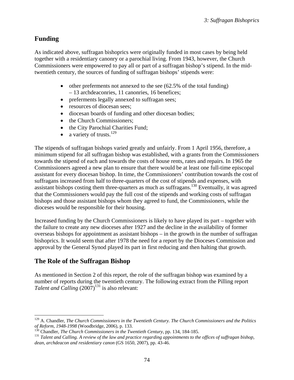## **Funding**

As indicated above, suffragan bishoprics were originally funded in most cases by being held together with a residentiary canonry or a parochial living. From 1943, however, the Church Commissioners were empowered to pay all or part of a suffragan bishop's stipend. In the midtwentieth century, the sources of funding of suffragan bishops' stipends were:

- other preferments not annexed to the see (62.5% of the total funding) – 13 archdeaconries, 11 canonries, 16 benefices;
- preferments legally annexed to suffragan sees;
- resources of diocesan sees;
- diocesan boards of funding and other diocesan bodies;
- the Church Commissioners;
- the City Parochial Charities Fund;
- a variety of trusts.<sup>129</sup>

The stipends of suffragan bishops varied greatly and unfairly. From 1 April 1956, therefore, a minimum stipend for all suffragan bishop was established, with a grants from the Commissioners towards the stipend of each and towards the costs of house rents, rates and repairs. In 1965 the Commissioners agreed a new plan to ensure that there would be at least one full-time episcopal assistant for every diocesan bishop. In time, the Commissioners' contribution towards the cost of suffragans increased from half to three-quarters of the cost of stipends and expenses, with assistant bishops costing them three-quarters as much as suffragans.130 Eventually, it was agreed that the Commissioners would pay the full cost of the stipends and working costs of suffragan bishops and those assistant bishops whom they agreed to fund, the Commissioners, while the dioceses would be responsible for their housing.

Increased funding by the Church Commissioners is likely to have played its part – together with the failure to create any new dioceses after 1927 and the decline in the availability of former overseas bishops for appointment as assistant bishops – in the growth in the number of suffragan bishoprics. It would seem that after 1978 the need for a report by the Dioceses Commission and approval by the General Synod played its part in first reducing and then halting that growth.

#### **The Role of the Suffragan Bishop**

As mentioned in Section 2 of this report, the role of the suffragan bishop was examined by a number of reports during the twentieth century. The following extract from the Pilling report *Talent and Calling*  $(2007)^{131}$  is also relevant:

 $\overline{a}$ 129 A. Chandler, *The Church Commissioners in the Twentieth Century. The Church Commissioners and the Politics*  of Reform, 1948-1998 (Woodbridge, 2006), p. 133.<br><sup>130</sup> Chandler, *The Church Commissioners in the Twentieth Century*, pp. 134, 184-185.<br><sup>131</sup> Talent and Calling. A review of the law and practice regarding appointments to t

*dean, archdeacon and residentiary canon* (GS 1650, 2007), pp. 43-46.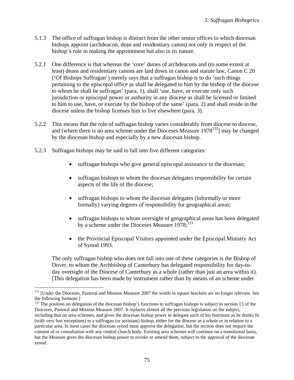- 5.1.3 The office of suffragan bishop is distinct from the other senior offices to which diocesan bishops appoint (archdeacon, dean and residentiary canon) not only in respect of the bishop's role in making the appointment but also in its nature.
- 5.2.1 One difference is that whereas the 'core' duties of archdeacons and (to some extent at least) deans and residentiary canons are laid down in canon and statute law, Canon C 20 ('Of Bishops Suffragan') merely says that a suffragan bishop is to do 'such things pertaining to the episcopal office as shall be delegated to him by the bishop of the diocese to whom he shall be suffragan' (para. 1), shall 'use, have, or execute only such jurisdiction or episcopal power or authority in any diocese as shall be licensed or limited to him to use, have, or execute by the bishop of the same' (para. 2) and shall reside in the diocese unless the bishop licenses him to live elsewhere (para. 3).
- 5.2.2 This means that the role of suffragan bishop varies considerably from diocese to diocese, and [where there is no area scheme under the Dioceses Measure  $1978^{132}$ ] may be changed by the diocesan bishop and especially by a new diocesan bishop.
- 5.2.3 Suffragan bishops may be said to fall into five different categories:

1

- suffragan bishops who give general episcopal assistance to the diocesan;
- suffragan bishops to whom the diocesan delegates responsibility for certain aspects of the life of the diocese;
- suffragan bishops to whom the diocesan delegates (informally or more formally) varying degrees of responsibility for geographical areas;
- suffragan bishops to whom oversight of geographical areas has been delegated by a scheme under the Dioceses Measure 1978;<sup>133</sup>
- the Provincial Episcopal Visitors appointed under the Episcopal Ministry Act of Synod 1993.

The only suffragan bishop who does not fall into one of these categories is the Bishop of Dover, to whom the Archbishop of Canterbury has delegated responsibility for day-today oversight of the Diocese of Canterbury as a whole (rather than just an area within it). [This delegation has been made by instrument rather than by means of an scheme under

<sup>&</sup>lt;sup>132</sup> [Under the Dioceses, Pastoral and Mission Measure 2007 the words in square brackets are no longer relevant. See the following footnote.]<br><sup>133</sup> The position on delegation of the diocesan bishop's functions to suffragan bishops is subject to section 13 of the

Dioceses, Pastoral and Mission Measure 2007. It replaces almost all the previous legislation on the subject, including that on area schemes, and gives the diocesan bishop power to delegate such of his functions as he thinks fit (with very few exceptions) to a suffragan (or assistant) bishop, either for the diocese as a whole or in relation to a particular area. In most cases the diocesan synod must approve the delegation, but the section does not require the consent of or consultation with any central church body. Existing area schemes will continue on a transitional basis, but the Measure gives the diocesan bishop power to revoke or amend them, subject to the approval of the diocesan synod.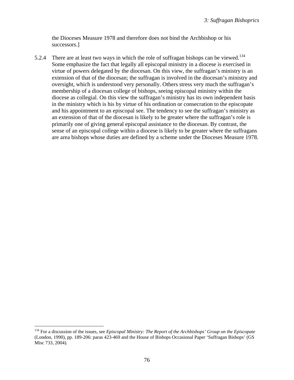the Dioceses Measure 1978 and therefore does not bind the Archbishop or his successors.]

5.2.4 There are at least two ways in which the role of suffragan bishops can be viewed.<sup>134</sup> Some emphasize the fact that legally all episcopal ministry in a diocese is exercised in virtue of powers delegated by the diocesan. On this view, the suffragan's ministry is an extension of that of the diocesan; the suffragan is involved in the diocesan's ministry and oversight, which is understood very personally. Others stress very much the suffragan's membership of a diocesan college of bishops, seeing episcopal ministry within the diocese as collegial. On this view the suffragan's ministry has its own independent basis in the ministry which is his by virtue of his ordination or consecration to the episcopate and his appointment to an episcopal see. The tendency to see the suffragan's ministry as an extension of that of the diocesan is likely to be greater where the suffragan's role is primarily one of giving general episcopal assistance to the diocesan. By contrast, the sense of an episcopal college within a diocese is likely to be greater where the suffragans are area bishops whose duties are defined by a scheme under the Dioceses Measure 1978.

1

<sup>134</sup> For a discussion of the issues, see *Episcopal Ministry: The Report of the Archbishops' Group on the Episcopate* (London, 1990), pp. 189-206: paras 423-469 and the House of Bishops Occasional Paper 'Suffragan Bishops' (GS Misc 733, 2004).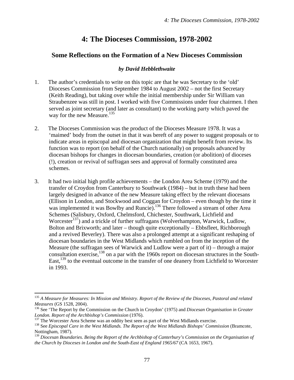## **4: The Dioceses Commission, 1978-2002**

#### **Some Reflections on the Formation of a New Dioceses Commission**

#### *by David Hebblethwaite*

- 1. The author's credentials to write on this topic are that he was Secretary to the 'old' Dioceses Commission from September 1984 to August 2002 – not the first Secretary (Keith Reading), but taking over while the initial membership under Sir William van Straubenzee was still in post. I worked with five Commissions under four chairmen. I then served as joint secretary (and later as consultant) to the working party which paved the way for the new Measure. $135$
- 2. The Dioceses Commission was the product of the Dioceses Measure 1978. It was a 'maimed' body from the outset in that it was bereft of any power to suggest proposals or to indicate areas in episcopal and diocesan organization that might benefit from review. Its function was to report (on behalf of the Church nationally) on proposals advanced by diocesan bishops for changes in diocesan boundaries, creation (or abolition) of dioceses (!), creation or revival of suffragan sees and approval of formally constituted area schemes.
- 3. It had two initial high profile achievements the London Area Scheme (1979) and the transfer of Croydon from Canterbury to Southwark (1984) – but in truth these had been largely designed in advance of the new Measure taking effect by the relevant diocesans (Ellison in London, and Stockwood and Coggan for Croydon – even though by the time it was implemented it was Bowlby and Runcie).<sup>136</sup> There followed a stream of other Area Schemes (Salisbury, Oxford, Chelmsford, Chichester, Southwark, Lichfield and Worcester<sup>137</sup>) and a trickle of further suffragans (Wolverhampton, Warwick, Ludlow, Bolton and Brixworth; and later – though quite exceptionally – Ebbsfleet, Richborough and a revived Beverley). There was also a prolonged attempt at a significant reshaping of diocesan boundaries in the West Midlands which rumbled on from the inception of the Measure (the suffragan sees of Warwick and Ludlow were a part of it) – through a major consultation exercise,<sup>138</sup> on a par with the 1960s report on diocesan structures in the South-East,<sup>139</sup> to the eventual outcome in the transfer of one deanery from Lichfield to Worcester in 1993.

<sup>1</sup> <sup>135</sup> *A Measure for Measures: In Mission and Ministry. Report of the Review of the Dioceses, Pastoral and related*

*Measures* (GS 1528, 2004).<br><sup>136</sup> See 'The Report by the Commission on the Church in Croydon' (1975) and *Diocesan Organisation in Greater*<br>*London. Report of the Archbishop's Commission* (1976).

 $^{137}$  The Worcester Area Scheme was an oddity best seen as part of the West Midlands exercise.<br> $^{138}$  See *Episcopal Care in the West Midlands. The Report of the West Midlands Bishops' Commission* (Bramcote,

Nottingham, 1987).

<sup>139</sup> *Diocesan Boundaries. Being the Report of the Archbishop of Canterbury's Commission on the Organisation of the Church by Dioceses in London and the South-East of England 1965/67* (CA 1653, 1967).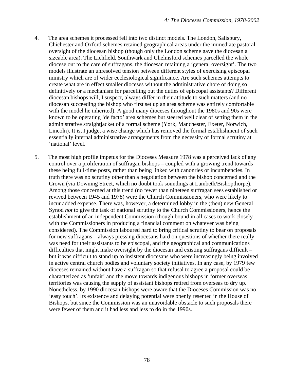- 4. The area schemes it processed fell into two distinct models. The London, Salisbury, Chichester and Oxford schemes retained geographical areas under the immediate pastoral oversight of the diocesan bishop (though only the London scheme gave the diocesan a sizeable area). The Lichfield, Southwark and Chelmsford schemes parcelled the whole diocese out to the care of suffragans, the diocesan retaining a 'general oversight'. The two models illustrate an unresolved tension between different styles of exercising episcopal ministry which are of wider ecclesiological significance. Are such schemes attempts to create what are in effect smaller dioceses without the administrative chore of doing so definitively or a mechanism for parcelling out the duties of episcopal assistants? Different diocesan bishops will, I suspect, always differ in their attitude to such matters (and no diocesan succeeding the bishop who first set up an area scheme was entirely comfortable with the model he inherited). A good many dioceses throughout the 1980s and 90s were known to be operating 'de facto' area schemes but steered well clear of setting them in the administrative straightjacket of a formal scheme (York, Manchester, Exeter, Norwich, Lincoln). It is, I judge, a wise change which has removed the formal establishment of such essentially internal administrative arrangements from the necessity of formal scrutiny at 'national' level.
- 5. The most high profile impetus for the Dioceses Measure 1978 was a perceived lack of any control over a proliferation of suffragan bishops – coupled with a growing trend towards these being full-time posts, rather than being linked with canonries or incumbencies. In truth there was no scrutiny other than a negotiation between the bishop concerned and the Crown (via Downing Street, which no doubt took soundings at Lambeth/Bishopthorpe). Among those concerned at this trend (no fewer than nineteen suffragan sees established or revived between 1945 and 1978) were the Church Commissioners, who were likely to incur added expense. There was, however, a determined lobby in the (then) new General Synod *not* to give the task of national scrutiny to the Church Commissioners, hence the establishment of an independent Commission (though bound in all cases to work closely with the Commissioners in producing a financial comment on whatever was being considered). The Commission laboured hard to bring critical scrutiny to bear on proposals for new suffragans – always pressing diocesans hard on questions of whether there really was need for their assistants to be episcopal, and the geographical and communications difficulties that might make oversight by the diocesan and existing suffragans difficult – but it was difficult to stand up to insistent diocesans who were increasingly being involved in active central church bodies and voluntary society initiatives. In any case, by 1979 few dioceses remained without have a suffragan so that refusal to agree a proposal could be characterized as 'unfair' and the move towards indigenous bishops in former overseas territories was causing the supply of assistant bishops retired from overseas to dry up. Nonetheless, by 1990 diocesan bishops were aware that the Dioceses Commission was no 'easy touch'. Its existence and delaying potential were openly resented in the House of Bishops, but since the Commission was an unavoidable obstacle to such proposals there were fewer of them and it had less and less to do in the 1990s.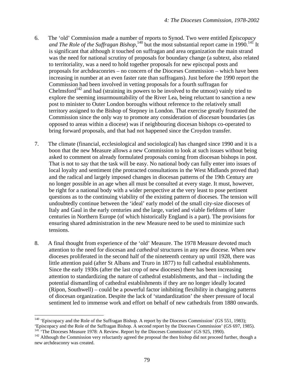- 6. The 'old' Commission made a number of reports to Synod. Two were entitled *Episcopacy*  and *The Role of the Suffragan Bishop*,<sup>140</sup> but the most substantial report came in 1990.<sup>141</sup> It is significant that although it touched on suffragan and area organization the main strand was the need for national scrutiny of proposals for boundary change (a subtext, also related to territoriality, was a need to hold together proposals for new episcopal posts and proposals for archdeaconries – no concern of the Dioceses Commission – which have been increasing in number at an even faster rate than suffragans). Just before the 1990 report the Commission had been involved in vetting proposals for a fourth suffragan for Chelmsford<sup>142</sup> and had (straining its powers to be involved to the utmost) vainly tried to explore the seeming insurmountability of the River Lea, being reluctant to sanction a new post to minister to Outer London boroughs without reference to the relatively small territory assigned to the Bishop of Stepney in London. That exercise greatly frustrated the Commission since the only way to promote any consideration of *diocesan* boundaries (as opposed to areas within a diocese) was if neighbouring diocesan bishops co-operated to bring forward proposals, and that had not happened since the Croydon transfer.
- 7. The climate (financial, ecclesiological and sociological) has changed since 1990 and it is a boon that the new Measure allows a new Commission to look at such issues without being asked to comment on already formulated proposals coming from diocesan bishops in post. That is not to say that the task will be easy. No national body can fully enter into issues of local loyalty and sentiment (the protracted consultations in the West Midlands proved that) and the radical and largely imposed changes in diocesan patterns of the 19th Century are no longer possible in an age when all must be consulted at every stage. It must, however, be right for a national body with a wider perspective at the very least to pose pertinent questions as to the continuing viability of the existing pattern of dioceses. The tension will undoubtedly continue between the 'ideal' early model of the small city-size dioceses of Italy and Gaul in the early centuries and the large, varied and viable fiefdoms of later centuries in Northern Europe (of which historically England is a part). The provisions for ensuring shared administration in the new Measure need to be used to minimize such tensions.
- 8. A final thought from experience of the 'old' Measure. The 1978 Measure devoted much attention to the need for diocesan and *cathedral* structures in any new diocese. When new dioceses proliferated in the second half of the nineteenth century up until 1928, there was little attention paid (after St Albans and Truro in 1877) to full cathedral establishments. Since the early 1930s (after the last crop of new dioceses) there has been increasing attention to standardizing the nature of cathedral establishments, and that – including the potential dismantling of cathedral establishments if they are no longer ideally located (Ripon, Southwell) – could be a powerful factor inhibiting flexibility in changing patterns of diocesan organization. Despite the lack of 'standardization' the sheer pressure of local sentiment led to immense work and effort on behalf of new cathedrals from 1880 onwards.

 $\overline{a}$  $140$  'Episcopacy and the Role of the Suffragan Bishop. A report by the Dioceses Commission' (GS 551, 1983); 'Episcopacy and the Role of the Suffragan Bishop. A second report by the Dioceses Commission' (GS 697, 1985).<br><sup>141</sup> 'The Dioceses Measure 1978: A Review. Report by the Dioceses Commission' (GS 925, 1990).<br><sup>142</sup> Although t

new archdeaconry was created.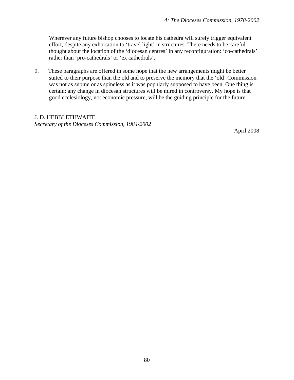Wherever any future bishop chooses to locate his cathedra will surely trigger equivalent effort, despite any exhortation to 'travel light' in structures. There needs to be careful thought about the location of the 'diocesan centres' in any reconfiguration: 'co-cathedrals' rather than 'pro-cathedrals' or 'ex cathedrals'.

9. These paragraphs are offered in some hope that the new arrangements might be better suited to their purpose than the old and to preserve the memory that the 'old' Commission was not as supine or as spineless as it was popularly supposed to have been. One thing is certain: any change in diocesan structures will be mired in controversy. My hope is that good ecclesiology, not economic pressure, will be the guiding principle for the future.

J. D. HEBBLETHWAITE *Secretary of the Dioceses Commission, 1984-2002* 

April 2008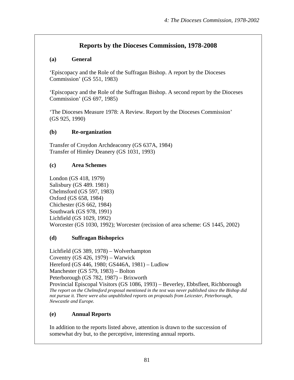## **Reports by the Dioceses Commission, 1978-2008**

#### **(a) General**

'Episcopacy and the Role of the Suffragan Bishop. A report by the Dioceses Commission' (GS 551, 1983)

'Episcopacy and the Role of the Suffragan Bishop. A second report by the Dioceses Commission' (GS 697, 1985)

'The Dioceses Measure 1978: A Review. Report by the Dioceses Commission' (GS 925, 1990)

#### **(b) Re-organization**

Transfer of Croydon Archdeaconry (GS 637A, 1984) Transfer of Himley Deanery (GS 1031, 1993)

#### **(c) Area Schemes**

London (GS 418, 1979) Salisbury (GS 489. 1981) Chelmsford (GS 597, 1983) Oxford (GS 658, 1984) Chichester (GS 662, 1984) Southwark (GS 978, 1991) Lichfield (GS 1029, 1992) Worcester (GS 1030, 1992); Worcester (recission of area scheme: GS 1445, 2002)

#### **(d) Suffragan Bishoprics**

Lichfield (GS 389, 1978) – Wolverhampton Coventry (GS 426, 1979) – Warwick Hereford (GS 446, 1980; GS446A, 1981) – Ludlow Manchester (GS 579, 1983) – Bolton Peterborough (GS 782, 1987) – Brixworth Provincial Episcopal Visitors (GS 1086, 1993) – Beverley, Ebbsfleet, Richborough *The report on the Chelmsford proposal mentioned in the text was never published since the Bishop did not pursue it. There were also unpublished reports on proposals from Leicester, Peterborough, Newcastle and Europe.* 

#### **(e) Annual Reports**

In addition to the reports listed above, attention is drawn to the succession of somewhat dry but, to the perceptive, interesting annual reports.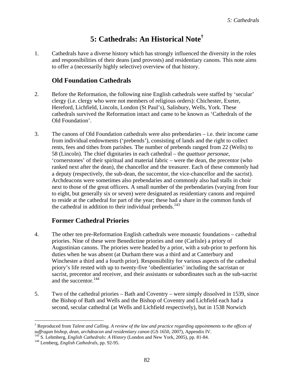# **5: Cathedrals: An Historical Note †**

1. Cathedrals have a diverse history which has strongly influenced the diversity in the roles and responsibilities of their deans (and provosts) and residentiary canons. This note aims to offer a (necessarily highly selective) overview of that history.

#### **Old Foundation Cathedrals**

- 2. Before the Reformation, the following nine English cathedrals were staffed by 'secular' clergy (i.e. clergy who were not members of religious orders): Chichester, Exeter, Hereford, Lichfield, Lincoln, London (St Paul's), Salisbury, Wells, York. These cathedrals survived the Reformation intact and came to be known as 'Cathedrals of the Old Foundation'.
- 3. The canons of Old Foundation cathedrals were also prebendaries i.e. their income came from individual endowments ('prebends'), consisting of lands and the right to collect rents, fees and tithes from parishes. The number of prebends ranged from 22 (Wells) to 58 (Lincoln). The chief dignitaries in each cathedral – the *quattuor personae*, 'cornerstones' of their spiritual and material fabric – were the dean, the precentor (who ranked next after the dean), the chancellor and the treasurer. Each of these commonly had a deputy (respectively, the sub-dean, the succentor, the vice-chancellor and the sacrist). Archdeacons were sometimes also prebendaries and commonly also had stalls in choir next to those of the great officers. A small number of the prebendaries (varying from four to eight, but generally six or seven) were designated as residentiary canons and required to reside at the cathedral for part of the year; these had a share in the common funds of the cathedral in addition to their individual prebends.<sup>143</sup>

## **Former Cathedral Priories**

- 4. The other ten pre-Reformation English cathedrals were monastic foundations cathedral priories. Nine of these were Benedictine priories and one (Carlisle) a priory of Augustinian canons. The priories were headed by a prior, with a sub-prior to perform his duties when he was absent (at Durham there was a third and at Canterbury and Winchester a third and a fourth prior). Responsibility for various aspects of the cathedral priory's life rested with up to twenty-five 'obedientiaries' including the sacristan or sacrist, precentor and receiver, and their assistants or subordinates such as the sub-sacrist and the succentor.<sup>144</sup>
- 5. Two of the cathedral priories Bath and Coventry were simply dissolved in 1539, since the Bishop of Bath and Wells and the Bishop of Coventry and Lichfield each had a second, secular cathedral (at Wells and Lichfield respectively), but in 1538 Norwich

<sup>†</sup> Reproduced from *Talent and Calling. A review of the law and practice regarding appointments to the offices of* suffragan bishop, dean, archdeacon and residentiary canon (GS 1650, 2007), Appendix IV.<br><sup>143</sup> S. Lehmberg, *English Cathedrals: A History* (London and New York, 2005), pp. 81-84.<br><sup>144</sup> Lemberg, *English Cathedrals*, pp. 92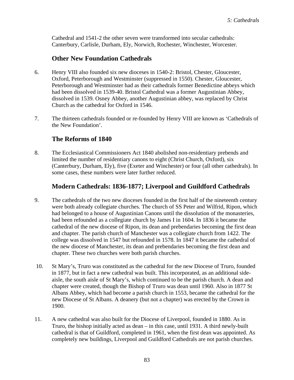Cathedral and 1541-2 the other seven were transformed into secular cathedrals: Canterbury, Carlisle, Durham, Ely, Norwich, Rochester, Winchester, Worcester.

#### **Other New Foundation Cathedrals**

- 6. Henry VIII also founded six new dioceses in 1540-2: Bristol, Chester, Gloucester, Oxford, Peterborough and Westminster (suppressed in 1550). Chester, Gloucester, Peterborough and Westminster had as their cathedrals former Benedictine abbeys which had been dissolved in 1539-40. Bristol Cathedral was a former Augustinian Abbey, dissolved in 1539. Osney Abbey, another Augustinian abbey, was replaced by Christ Church as the cathedral for Oxford in 1546.
- 7. The thirteen cathedrals founded or re-founded by Henry VIII are known as 'Cathedrals of the New Foundation'.

#### **The Reforms of 1840**

8. The Ecclesiastical Commissioners Act 1840 abolished non-residentiary prebends and limited the number of residentiary canons to eight (Christ Church, Oxford), six (Canterbury, Durham, Ely), five (Exeter and Winchester) or four (all other cathedrals). In some cases, these numbers were later further reduced.

#### **Modern Cathedrals: 1836-1877; Liverpool and Guildford Cathedrals**

- 9. The cathedrals of the two new dioceses founded in the first half of the nineteenth century were both already collegiate churches. The church of SS Peter and Wilfrid, Ripon, which had belonged to a house of Augustinian Canons until the dissolution of the monasteries, had been refounded as a collegiate church by James I in 1604. In 1836 it became the cathedral of the new diocese of Ripon, its dean and prebendaries becoming the first dean and chapter. The parish church of Manchester was a collegiate church from 1422. The college was dissolved in 1547 but refounded in 1578. In 1847 it became the cathedral of the new diocese of Manchester, its dean and prebendaries becoming the first dean and chapter. These two churches were both parish churches.
- 10. St Mary's, Truro was constituted as the cathedral for the new Diocese of Truro, founded in 1877, but in fact a new cathedral was built. This incorporated, as an additional sideaisle, the south aisle of St Mary's, which continued to be the parish church. A dean and chapter were created, though the Bishop of Truro was dean until 1960. Also in 1877 St Albans Abbey, which had become a parish church in 1553, became the cathedral for the new Diocese of St Albans. A deanery (but not a chapter) was erected by the Crown in 1900.
- 11. A new cathedral was also built for the Diocese of Liverpool, founded in 1880. As in Truro, the bishop initially acted as dean – in this case, until 1931. A third newly-built cathedral is that of Guildford, completed in 1961, when the first dean was appointed. As completely new buildings, Liverpool and Guildford Cathedrals are not parish churches.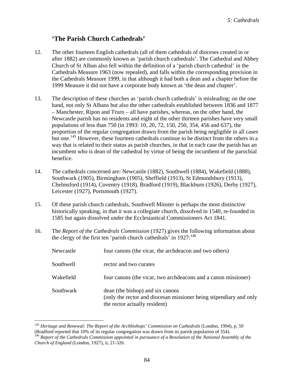#### **'The Parish Church Cathedrals'**

- 12. The other fourteen English cathedrals (all of them cathedrals of dioceses created in or after 1882) are commonly known as 'parish church cathedrals'. The Cathedral and Abbey Church of St Alban also fell within the definition of a 'parish church cathedral' in the Cathedrals Measure 1963 (now repealed), and falls within the corresponding provision in the Cathedrals Measure 1999, in that although it had both a dean and a chapter before the 1999 Measure it did not have a corporate body known as 'the dean and chapter'.
- 13. The description of these churches as 'parish church cathedrals' is misleading; on the one hand, not only St Albans but also the other cathedrals established between 1836 and 1877 – Manchester, Ripon and Truro – all have parishes, whereas, on the other hand, the Newcastle parish has no residents and eight of the other thirteen parishes have very small populations of less than 750 (in 1993: 10, 20, 72, 150, 250, 354, 456 and 637), the proportion of the regular congregation drawn from the parish being negligible in all cases but one.<sup>145</sup> However, these fourteen cathedrals continue to be distinct from the others in a way that is related to their status as parish churches, in that in each case the parish has an incumbent who is dean of the cathedral by virtue of being the incumbent of the parochial benefice.
- 14. The cathedrals concerned are: Newcastle (1882), Southwell (1884), Wakefield (1888), Southwark (1905), Birmingham (1905), Sheffield (1913), St Edmundsbury (1913), Chelmsford (1914), Coventry (1918), Bradford (1919), Blackburn (1926), Derby (1927), Leicester (1927), Portsmouth (1927).
- 15. Of these parish church cathedrals, Southwell Minster is perhaps the most distinctive historically speaking, in that it was a collegiate church, dissolved in 1540, re-founded in 1585 but again dissolved under the Ecclesiastical Commissioners Act 1841.
- 16. The *Report of the Cathedrals Commission* (1927) gives the following information about the clergy of the first ten 'parish church cathedrals' in  $1927$ :<sup>146</sup>

| Newcastle | four canons (the vicar, the archdeacon and two others)                                                                                  |
|-----------|-----------------------------------------------------------------------------------------------------------------------------------------|
| Southwell | rector and two curates                                                                                                                  |
| Wakefield | four canons (the vicar, two archdeacons and a canon missioner)                                                                          |
| Southwark | dean (the bishop) and six canons<br>(only the rector and diocesan missioner being stipendiary and only<br>the rector actually resident) |

<sup>145</sup> *Heritage and Renewal: The Report of the Archbishops' Commission on Cathedrals* (London, 1994), p. 59

<sup>(</sup>Bradford reported that 10% of its regular congregation was drawn from its parish population of 354).<br><sup>146</sup> Report of the Cathedrals Commission appointed in pursuance of a Resolution of the National Assembly of the *Church of England* (London, 1927), ii, 21-326.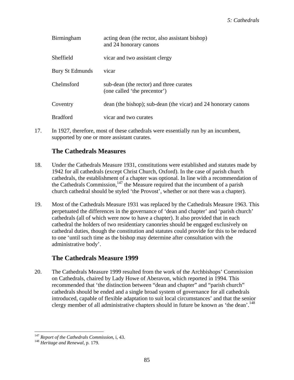| Birmingham       | acting dean (the rector, also assistant bishop)<br>and 24 honorary canons |
|------------------|---------------------------------------------------------------------------|
| <b>Sheffield</b> | vicar and two assistant clergy                                            |
| Bury St Edmunds  | vicar                                                                     |
| Chelmsford       | sub-dean (the rector) and three curates<br>(one called 'the precentor')   |
| Coventry         | dean (the bishop); sub-dean (the vicar) and 24 honorary canons            |
| <b>Bradford</b>  | vicar and two curates                                                     |

17. In 1927, therefore, most of these cathedrals were essentially run by an incumbent, supported by one or more assistant curates.

#### **The Cathedrals Measures**

- 18. Under the Cathedrals Measure 1931, constitutions were established and statutes made by 1942 for all cathedrals (except Christ Church, Oxford). In the case of parish church cathedrals, the establishment of a chapter was optional. In line with a recommendation of the Cathedrals Commission,<sup>147</sup> the Measure required that the incumbent of a parish church cathedral should be styled 'the Provost', whether or not there was a chapter).
- 19. Most of the Cathedrals Measure 1931 was replaced by the Cathedrals Measure 1963. This perpetuated the differences in the governance of 'dean and chapter' and 'parish church' cathedrals (all of which were now to have a chapter). It also provided that in each cathedral the holders of two residentiary canonries should be engaged exclusively on cathedral duties, though the constitution and statutes could provide for this to be reduced to one 'until such time as the bishop may determine after consultation with the administrative body'.

## **The Cathedrals Measure 1999**

20. The Cathedrals Measure 1999 resulted from the work of the Archbishops' Commission on Cathedrals, chaired by Lady Howe of Aberavon, which reported in 1994. This recommended that 'the distinction between "dean and chapter" and "parish church" cathedrals should be ended and a single broad system of governance for all cathedrals introduced, capable of flexible adaptation to suit local circumstances' and that the senior clergy member of all administrative chapters should in future be known as 'the dean'.<sup>148</sup>

<sup>147</sup> *Report of the Cathedrals Commission*, i, 43. 148 *Heritage and Renewal*, p. 179.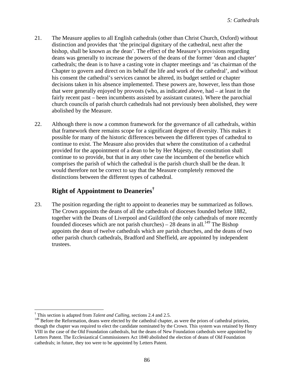- 21. The Measure applies to all English cathedrals (other than Christ Church, Oxford) without distinction and provides that 'the principal dignitary of the cathedral, next after the bishop, shall be known as the dean'. The effect of the Measure's provisions regarding deans was generally to increase the powers of the deans of the former 'dean and chapter' cathedrals; the dean is to have a casting vote in chapter meetings and 'as chairman of the Chapter to govern and direct on its behalf the life and work of the cathedral', and without his consent the cathedral's services cannot be altered, its budget settled or chapter decisions taken in his absence implemented. These powers are, however, less than those that were generally enjoyed by provosts (who, as indicated above, had – at least in the fairly recent past – been incumbents assisted by assistant curates). Where the parochial church councils of parish church cathedrals had not previously been abolished, they were abolished by the Measure.
- 22. Although there is now a common framework for the governance of all cathedrals, within that framework there remains scope for a significant degree of diversity. This makes it possible for many of the historic differences between the different types of cathedral to continue to exist. The Measure also provides that where the constitution of a cathedral provided for the appointment of a dean to be by Her Majesty, the constitution shall continue to so provide, but that in any other case the incumbent of the benefice which comprises the parish of which the cathedral is the parish church shall be the dean. It would therefore not be correct to say that the Measure completely removed the distinctions between the different types of cathedral.

## **Right of Appointment to Deaneries†**

23. The position regarding the right to appoint to deaneries may be summarized as follows. The Crown appoints the deans of all the cathedrals of dioceses founded before 1882, together with the Deans of Liverpool and Guildford (the only cathedrals of more recently founded dioceses which are not parish churches) – 28 deans in all.<sup>149</sup> The Bishop appoints the dean of twelve cathedrals which are parish churches, and the deans of two other parish church cathedrals, Bradford and Sheffield, are appointed by independent trustees.

 $\overline{a}$  $\dagger$  This section is adapted from *Talent and Calling*, sections 2.4 and 2.5.

<sup>&</sup>lt;sup>149</sup> Before the Reformation, deans were elected by the cathedral chapter, as were the priors of cathedral priories, though the chapter was required to elect the candidate nominated by the Crown. This system was retained by Henry VIII in the case of the Old Foundation cathedrals, but the deans of New Foundation cathedrals were appointed by Letters Patent. The Ecclesiastical Commissioners Act 1840 abolished the election of deans of Old Foundation cathedrals; in future, they too were to be appointed by Letters Patent.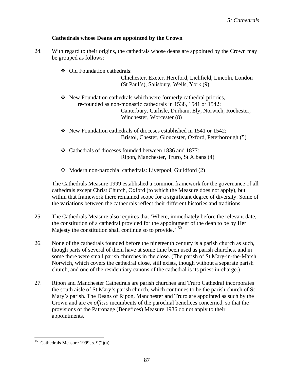#### **Cathedrals whose Deans are appointed by the Crown**

- 24. With regard to their origins, the cathedrals whose deans are appointed by the Crown may be grouped as follows:
	- Old Foundation cathedrals:

Chichester, Exeter, Hereford, Lichfield, Lincoln, London (St Paul's), Salisbury, Wells, York (9)

- New Foundation cathedrals which were formerly cathedral priories, re-founded as non-monastic cathedrals in 1538, 1541 or 1542: Canterbury, Carlisle, Durham, Ely, Norwich, Rochester, Winchester, Worcester (8)
- New Foundation cathedrals of dioceses established in 1541 or 1542: Bristol, Chester, Gloucester, Oxford, Peterborough (5)
- Cathedrals of dioceses founded between 1836 and 1877: Ripon, Manchester, Truro, St Albans (4)
- Modern non-parochial cathedrals: Liverpool, Guildford (2)

The Cathedrals Measure 1999 established a common framework for the governance of all cathedrals except Christ Church, Oxford (to which the Measure does not apply), but within that framework there remained scope for a significant degree of diversity. Some of the variations between the cathedrals reflect their different histories and traditions.

- 25. The Cathedrals Measure also requires that 'Where, immediately before the relevant date, the constitution of a cathedral provided for the appointment of the dean to be by Her Majesty the constitution shall continue so to provide.<sup>'150</sup>
- 26. None of the cathedrals founded before the nineteenth century is a parish church as such, though parts of several of them have at some time been used as parish churches, and in some there were small parish churches in the close. (The parish of St Mary-in-the-Marsh, Norwich, which covers the cathedral close, still exists, though without a separate parish church, and one of the residentiary canons of the cathedral is its priest-in-charge.)
- 27. Ripon and Manchester Cathedrals are parish churches and Truro Cathedral incorporates the south aisle of St Mary's parish church, which continues to be the parish church of St Mary's parish. The Deans of Ripon, Manchester and Truro are appointed as such by the Crown and are *ex officio* incumbents of the parochial benefices concerned, so that the provisions of the Patronage (Benefices) Measure 1986 do not apply to their appointments.

 $150$  Cathedrals Measure 1999, s. 9(2)(a).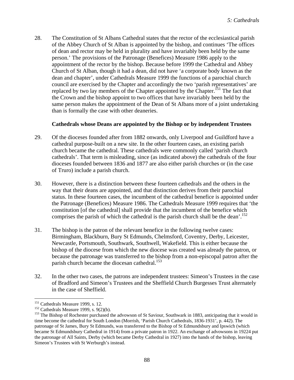28. The Constitution of St Albans Cathedral states that the rector of the ecclesiastical parish of the Abbey Church of St Alban is appointed by the bishop, and continues 'The offices of dean and rector may be held in plurality and have invariably been held by the same person.' The provisions of the Patronage (Benefices) Measure 1986 apply to the appointment of the rector by the bishop. Because before 1999 the Cathedral and Abbey Church of St Alban, though it had a dean, did not have 'a corporate body known as the dean and chapter', under Cathedrals Measure 1999 the functions of a parochial church council are exercised by the Chapter and accordingly the two 'parish representatives' are replaced by two lay members of the Chapter appointed by the Chapter.<sup>151</sup> The fact that the Crown and the bishop appoint to two offices that have invariably been held by the same person makes the appointment of the Dean of St Albans more of a joint undertaking than is formally the case with other deaneries.

#### **Cathedrals whose Deans are appointed by the Bishop or by independent Trustees**

- 29. Of the dioceses founded after from 1882 onwards, only Liverpool and Guildford have a cathedral purpose-built on a new site. In the other fourteen cases, an existing parish church became the cathedral. These cathedrals were commonly called 'parish church cathedrals'. That term is misleading, since (as indicated above) the cathedrals of the four dioceses founded between 1836 and 1877 are also either parish churches or (in the case of Truro) include a parish church.
- 30. However, there is a distinction between these fourteen cathedrals and the others in the way that their deans are appointed, and that distinction derives from their parochial status. In these fourteen cases, the incumbent of the cathedral benefice is appointed under the Patronage (Benefices) Measure 1986. The Cathedrals Measure 1999 requires that 'the constitution [of the cathedral] shall provide that the incumbent of the benefice which comprises the parish of which the cathedral is the parish church shall be the dean'.<sup>152</sup>
- 31. The bishop is the patron of the relevant benefice in the following twelve cases: Birmingham, Blackburn, Bury St Edmunds, Chelmsford, Coventry, Derby, Leicester, Newcastle, Portsmouth, Southwark, Southwell, Wakefield. This is either because the bishop of the diocese from which the new diocese was created was already the patron, or because the patronage was transferred to the bishop from a non-episcopal patron after the parish church became the diocesan cathedral.<sup>153</sup>
- 32. In the other two cases, the patrons are independent trustees: Simeon's Trustees in the case of Bradford and Simeon's Trustees and the Sheffield Church Burgesses Trust alternately in the case of Sheffield.

<sup>&</sup>lt;sup>151</sup> Cathedrals Measure 1999, s. 12.

<sup>&</sup>lt;sup>152</sup> Cathedrals Measure 1999, s. 9(2)(b).<br><sup>153</sup> The Bishop of Rochester purchased the advowson of St Saviour, Southwark in 1883, anticipating that it would in time become the cathedral for South London (Morrish, 'Parish Church Cathedrals, 1836-1931', p. 442). The patronage of St James, Bury St Edmunds, was transferred to the Bishop of St Edmundsbury and Ipswich (which became St Edmundsbury Cathedral in 1914) from a private patron in 1922. An exchange of advowsons in 19224 put the patronage of All Saints, Derby (which became Derby Cathedral in 1927) into the hands of the bishop, leaving Simeon's Trustees with St Werburgh's instead.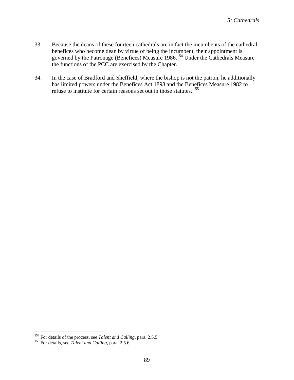- 33. Because the deans of these fourteen cathedrals are in fact the incumbents of the cathedral benefices who become dean by virtue of being the incumbent, their appointment is governed by the Patronage (Benefices) Measure 1986.<sup>154</sup> Under the Cathedrals Measure the functions of the PCC are exercised by the Chapter.
- 34. In the case of Bradford and Sheffield, where the bishop is not the patron, he additionally has limited powers under the Benefices Act 1898 and the Benefices Measure 1982 to refuse to institute for certain reasons set out in those statutes.<sup>155</sup>

<sup>&</sup>lt;sup>154</sup> For details of the process, see *Talent and Calling*, para. 2.5.5.<br><sup>155</sup> For details, see *Talent and Calling*, para. 2.5.6.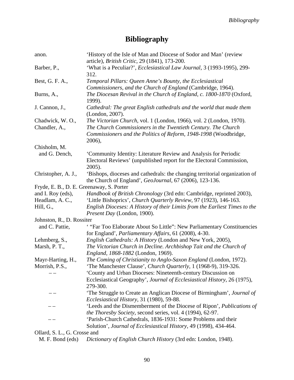# **Bibliography**

| anon.                                    | 'History of the Isle of Man and Diocese of Sodor and Man' (review<br>article), <i>British Critic</i> , 29 (1841), 173-200. |
|------------------------------------------|----------------------------------------------------------------------------------------------------------------------------|
| Barber, P.,                              | 'What is a Peculiar?', <i>Ecclesiastical Law Journal</i> , 3 (1993-1995), 299-<br>312.                                     |
| Best, G. F. A.,                          | Temporal Pillars: Queen Anne's Bounty, the Ecclesiastical                                                                  |
|                                          | Commissioners, and the Church of England (Cambridge, 1964).                                                                |
| Burns, A.,                               | The Diocesan Revival in the Church of England, c. 1800-1870 (Oxford,                                                       |
|                                          | 1999).                                                                                                                     |
| J. Cannon, J.,                           | Cathedral: The great English cathedrals and the world that made them                                                       |
|                                          | (London, 2007).                                                                                                            |
| Chadwick, W.O.,                          | The Victorian Church, vol. 1 (London, 1966), vol. 2 (London, 1970).                                                        |
| Chandler, A.,                            | The Church Commissioners in the Twentieth Century. The Church                                                              |
|                                          | Commissioners and the Politics of Reform, 1948-1998 (Woodbridge,<br>2006),                                                 |
| Chisholm, M.                             |                                                                                                                            |
| and G. Dench,                            | 'Community Identity: Literature Review and Analysis for Periodic                                                           |
|                                          | Electoral Reviews' (unpublished report for the Electoral Commission,                                                       |
|                                          | 2005).                                                                                                                     |
| Christopher, A. J.,                      | 'Bishops, dioceses and cathedrals: the changing territorial organization of                                                |
|                                          | the Church of England', GeoJournal, 67 (2006), 123-136.                                                                    |
| Fryde, E. B., D. E. Greenaway, S. Porter |                                                                                                                            |
| and I. Roy (eds),                        | Handbook of British Chronology (3rd edn: Cambridge, reprinted 2003),                                                       |
| Headlam, A. C.,                          | 'Little Bishoprics', Church Quarterly Review, 97 (1923), 146-163.                                                          |
| Hill, G.,                                | English Dioceses: A History of their Limits from the Earliest Times to the                                                 |
|                                          | Present Day (London, 1900).                                                                                                |
| Johnston, R., D. Rossiter                |                                                                                                                            |
| and C. Pattie,                           | "Far Too Elaborate About So Little": New Parliamentary Constituencies                                                      |
|                                          | for England', <i>Parliamentary Affairs</i> , 61 (2008), 4-30.                                                              |
| Lehmberg, S.,                            | English Cathedrals: A History (London and New York, 2005),                                                                 |
| Marsh, P. T.,                            | The Victorian Church in Decline. Archbishop Tait and the Church of                                                         |
|                                          | England, 1868-1882 (London, 1969).                                                                                         |
| Mayr-Harting, H.,                        | The Coming of Christianity to Anglo-Saxon England (London, 1972).                                                          |
| Morrish, P.S.,                           | 'The Manchester Clause', Church Quarterly, 1 (1968-9), 319-326.                                                            |
|                                          | 'County and Urban Dioceses: Nineteenth-century Discussion on                                                               |
|                                          | Ecclesiastical Geography', Journal of Ecclesiastical History, 26 (1975),                                                   |
|                                          | 279-300.                                                                                                                   |
|                                          | 'The Struggle to Create an Anglican Diocese of Birmingham', Journal of                                                     |
|                                          | Ecclesiastical History, 31 (1980), 59-88.                                                                                  |
|                                          | 'Leeds and the Dismemberment of the Diocese of Ripon', Publications of                                                     |
|                                          | <i>the Thoresby Society, second series, vol.</i> 4 (1994), 62-97.                                                          |
|                                          | 'Parish-Church Cathedrals, 1836-1931: Some Problems and their                                                              |
|                                          | Solution', Journal of Ecclesiastical History, 49 (1998), 434-464.                                                          |
| Ollard, S. L., G. Crosse and             |                                                                                                                            |

M. F. Bond (eds) *Dictionary of English Church History* (3rd edn: London, 1948).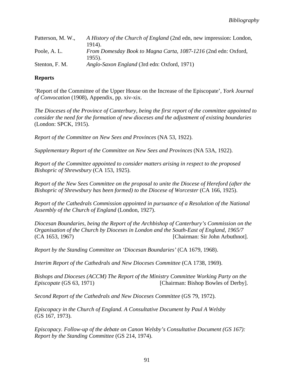| Patterson, M. W., | A History of the Church of England (2nd edn, new impression: London, |
|-------------------|----------------------------------------------------------------------|
|                   | 1914).                                                               |
| Poole, A.L.       | From Domesday Book to Magna Carta, 1087-1216 (2nd edn: Oxford,       |
|                   | 1955).                                                               |
| Stenton, F. M.    | Anglo-Saxon England (3rd edn: Oxford, 1971)                          |

#### **Reports**

'Report of the Committee of the Upper House on the Increase of the Episcopate', *York Journal of Convocation* (1908), Appendix, pp. xiv-xix.

*The Dioceses of the Province of Canterbury, being the first report of the committee appointed to consider the need for the formation of new dioceses and the adjustment of existing boundaries* (London: SPCK, 1915).

*Report of the Committee on New Sees and Provinces* (NA 53, 1922).

*Supplementary Report of the Committee on New Sees and Provinces* (NA 53A, 1922).

*Report of the Committee appointed to consider matters arising in respect to the proposed Bishopric of Shrewsbury* (CA 153, 1925).

*Report of the New Sees Committee on the proposal to unite the Diocese of Hereford (after the Bishopric of Shrewsbury has been formed) to the Diocese of Worcester* (CA 166, 1925).

*Report of the Cathedrals Commission appointed in pursuance of a Resolution of the National Assembly of the Church of England* (London, 1927).

*Diocesan Boundaries, being the Report of the Archbishop of Canterbury's Commission on the Organisation of the Church by Dioceses in London and the South-East of England, 1965/7* (CA 1653, 1967) [Chairman: Sir John Arbuthnot].

*Report by the Standing Committee on 'Diocesan Boundaries'* (CA 1679, 1968).

*Interim Report of the Cathedrals and New Dioceses Committee* (CA 1738, 1969).

*Bishops and Dioceses (ACCM) The Report of the Ministry Committee Working Party on the Episcopate* (GS 63, 1971) [Chairman: Bishop Bowles of Derby].

*Second Report of the Cathedrals and New Dioceses Committee* (GS 79, 1972).

*Episcopacy in the Church of England. A Consultative Document by Paul A Welsby* (GS 167, 1973).

*Episcopacy. Follow-up of the debate on Canon Welsby's Consultative Document (GS 167): Report by the Standing Committee* (GS 214, 1974).